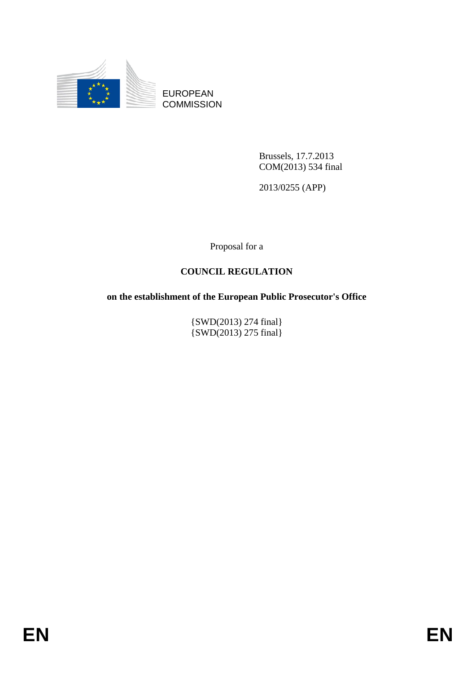

EUROPEAN **COMMISSION** 

> Brussels, 17.7.2013 COM(2013) 534 final

2013/0255 (APP)

Proposal for a

# **COUNCIL REGULATION**

# **on the establishment of the European Public Prosecutor's Office**

{SWD(2013) 274 final} {SWD(2013) 275 final}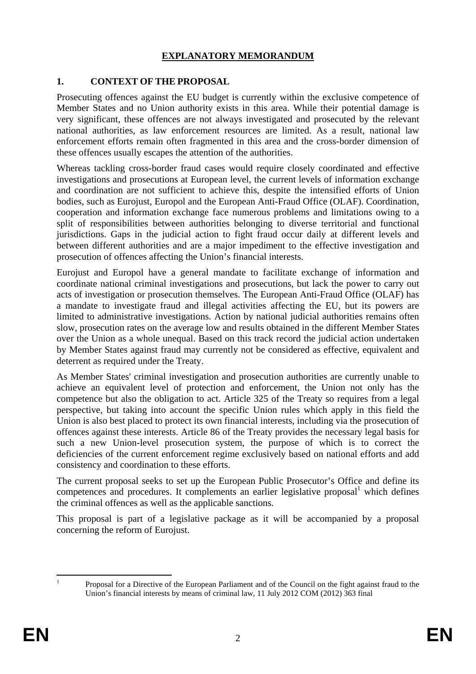# **EXPLANATORY MEMORANDUM**

## **1. CONTEXT OF THE PROPOSAL**

Prosecuting offences against the EU budget is currently within the exclusive competence of Member States and no Union authority exists in this area. While their potential damage is very significant, these offences are not always investigated and prosecuted by the relevant national authorities, as law enforcement resources are limited. As a result, national law enforcement efforts remain often fragmented in this area and the cross-border dimension of these offences usually escapes the attention of the authorities.

Whereas tackling cross-border fraud cases would require closely coordinated and effective investigations and prosecutions at European level, the current levels of information exchange and coordination are not sufficient to achieve this, despite the intensified efforts of Union bodies, such as Eurojust, Europol and the European Anti-Fraud Office (OLAF). Coordination, cooperation and information exchange face numerous problems and limitations owing to a split of responsibilities between authorities belonging to diverse territorial and functional jurisdictions. Gaps in the judicial action to fight fraud occur daily at different levels and between different authorities and are a major impediment to the effective investigation and prosecution of offences affecting the Union's financial interests.

Eurojust and Europol have a general mandate to facilitate exchange of information and coordinate national criminal investigations and prosecutions, but lack the power to carry out acts of investigation or prosecution themselves. The European Anti-Fraud Office (OLAF) has a mandate to investigate fraud and illegal activities affecting the EU, but its powers are limited to administrative investigations. Action by national judicial authorities remains often slow, prosecution rates on the average low and results obtained in the different Member States over the Union as a whole unequal. Based on this track record the judicial action undertaken by Member States against fraud may currently not be considered as effective, equivalent and deterrent as required under the Treaty.

As Member States' criminal investigation and prosecution authorities are currently unable to achieve an equivalent level of protection and enforcement, the Union not only has the competence but also the obligation to act. Article 325 of the Treaty so requires from a legal perspective, but taking into account the specific Union rules which apply in this field the Union is also best placed to protect its own financial interests, including via the prosecution of offences against these interests. Article 86 of the Treaty provides the necessary legal basis for such a new Union-level prosecution system, the purpose of which is to correct the deficiencies of the current enforcement regime exclusively based on national efforts and add consistency and coordination to these efforts.

The current proposal seeks to set up the European Public Prosecutor's Office and define its  $\alpha$  competences and procedures. It complements an earlier legislative proposal<sup>1</sup> which defines the criminal offences as well as the applicable sanctions.

This proposal is part of a legislative package as it will be accompanied by a proposal concerning the reform of Eurojust.

<sup>1</sup> 1

Proposal for a Directive of the European Parliament and of the Council on the fight against fraud to the Union's financial interests by means of criminal law, 11 July 2012 COM (2012) 363 final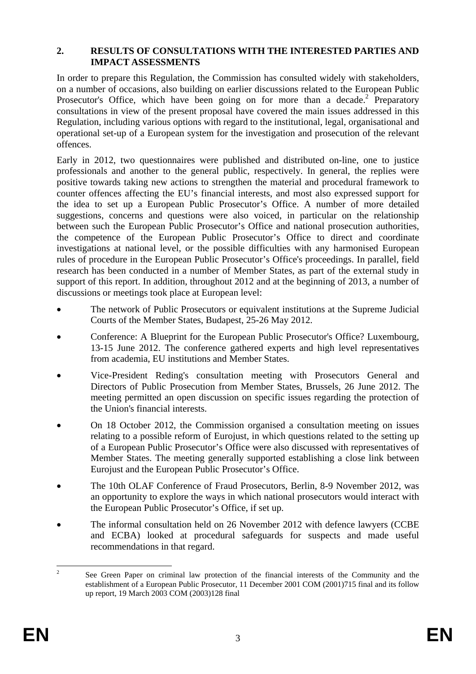## **2. RESULTS OF CONSULTATIONS WITH THE INTERESTED PARTIES AND IMPACT ASSESSMENTS**

In order to prepare this Regulation, the Commission has consulted widely with stakeholders, on a number of occasions, also building on earlier discussions related to the European Public Prosecutor's Office, which have been going on for more than a decade.<sup>2</sup> Preparatory consultations in view of the present proposal have covered the main issues addressed in this Regulation, including various options with regard to the institutional, legal, organisational and operational set-up of a European system for the investigation and prosecution of the relevant offences.

Early in 2012, two questionnaires were published and distributed on-line, one to justice professionals and another to the general public, respectively. In general, the replies were positive towards taking new actions to strengthen the material and procedural framework to counter offences affecting the EU's financial interests, and most also expressed support for the idea to set up a European Public Prosecutor's Office. A number of more detailed suggestions, concerns and questions were also voiced, in particular on the relationship between such the European Public Prosecutor's Office and national prosecution authorities, the competence of the European Public Prosecutor's Office to direct and coordinate investigations at national level, or the possible difficulties with any harmonised European rules of procedure in the European Public Prosecutor's Office's proceedings. In parallel, field research has been conducted in a number of Member States, as part of the external study in support of this report. In addition, throughout 2012 and at the beginning of 2013, a number of discussions or meetings took place at European level:

- The network of Public Prosecutors or equivalent institutions at the Supreme Judicial Courts of the Member States, Budapest, 25-26 May 2012.
- Conference: A Blueprint for the European Public Prosecutor's Office? Luxembourg, 13-15 June 2012. The conference gathered experts and high level representatives from academia, EU institutions and Member States.
- Vice-President Reding's consultation meeting with Prosecutors General and Directors of Public Prosecution from Member States, Brussels, 26 June 2012. The meeting permitted an open discussion on specific issues regarding the protection of the Union's financial interests.
- On 18 October 2012, the Commission organised a consultation meeting on issues relating to a possible reform of Eurojust, in which questions related to the setting up of a European Public Prosecutor's Office were also discussed with representatives of Member States. The meeting generally supported establishing a close link between Eurojust and the European Public Prosecutor's Office.
- The 10th OLAF Conference of Fraud Prosecutors, Berlin, 8-9 November 2012, was an opportunity to explore the ways in which national prosecutors would interact with the European Public Prosecutor's Office, if set up.
- The informal consultation held on 26 November 2012 with defence lawyers (CCBE and ECBA) looked at procedural safeguards for suspects and made useful recommendations in that regard.

 $\frac{1}{2}$  See Green Paper on criminal law protection of the financial interests of the Community and the establishment of a European Public Prosecutor, 11 December 2001 COM (2001)715 final and its follow up report, 19 March 2003 COM (2003)128 final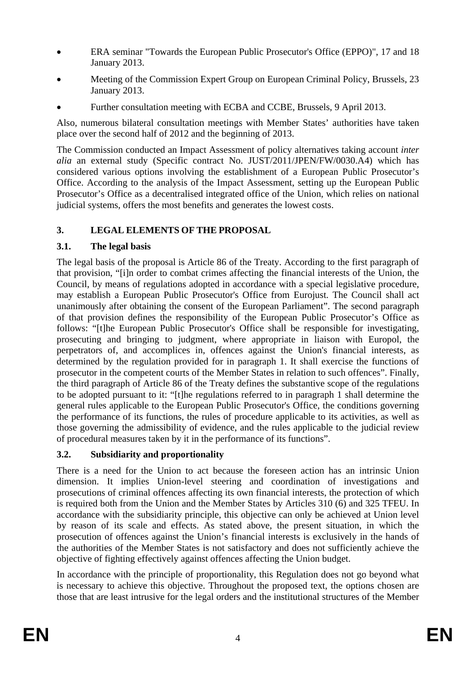- ERA seminar "Towards the European Public Prosecutor's Office (EPPO)", 17 and 18 January 2013.
- Meeting of the Commission Expert Group on European Criminal Policy, Brussels, 23 January 2013.
- Further consultation meeting with ECBA and CCBE, Brussels, 9 April 2013.

Also, numerous bilateral consultation meetings with Member States' authorities have taken place over the second half of 2012 and the beginning of 2013.

The Commission conducted an Impact Assessment of policy alternatives taking account *inter alia* an external study (Specific contract No. JUST/2011/JPEN/FW/0030.A4) which has considered various options involving the establishment of a European Public Prosecutor's Office. According to the analysis of the Impact Assessment, setting up the European Public Prosecutor's Office as a decentralised integrated office of the Union, which relies on national judicial systems, offers the most benefits and generates the lowest costs.

# **3. LEGAL ELEMENTS OF THE PROPOSAL**

# **3.1. The legal basis**

The legal basis of the proposal is Article 86 of the Treaty. According to the first paragraph of that provision, "[i]n order to combat crimes affecting the financial interests of the Union, the Council, by means of regulations adopted in accordance with a special legislative procedure, may establish a European Public Prosecutor's Office from Eurojust. The Council shall act unanimously after obtaining the consent of the European Parliament". The second paragraph of that provision defines the responsibility of the European Public Prosecutor's Office as follows: "[t]he European Public Prosecutor's Office shall be responsible for investigating, prosecuting and bringing to judgment, where appropriate in liaison with Europol, the perpetrators of, and accomplices in, offences against the Union's financial interests, as determined by the regulation provided for in paragraph 1. It shall exercise the functions of prosecutor in the competent courts of the Member States in relation to such offences". Finally, the third paragraph of Article 86 of the Treaty defines the substantive scope of the regulations to be adopted pursuant to it: "[t]he regulations referred to in paragraph 1 shall determine the general rules applicable to the European Public Prosecutor's Office, the conditions governing the performance of its functions, the rules of procedure applicable to its activities, as well as those governing the admissibility of evidence, and the rules applicable to the judicial review of procedural measures taken by it in the performance of its functions".

# **3.2. Subsidiarity and proportionality**

There is a need for the Union to act because the foreseen action has an intrinsic Union dimension. It implies Union-level steering and coordination of investigations and prosecutions of criminal offences affecting its own financial interests, the protection of which is required both from the Union and the Member States by Articles 310 (6) and 325 TFEU. In accordance with the subsidiarity principle, this objective can only be achieved at Union level by reason of its scale and effects. As stated above, the present situation, in which the prosecution of offences against the Union's financial interests is exclusively in the hands of the authorities of the Member States is not satisfactory and does not sufficiently achieve the objective of fighting effectively against offences affecting the Union budget.

In accordance with the principle of proportionality, this Regulation does not go beyond what is necessary to achieve this objective. Throughout the proposed text, the options chosen are those that are least intrusive for the legal orders and the institutional structures of the Member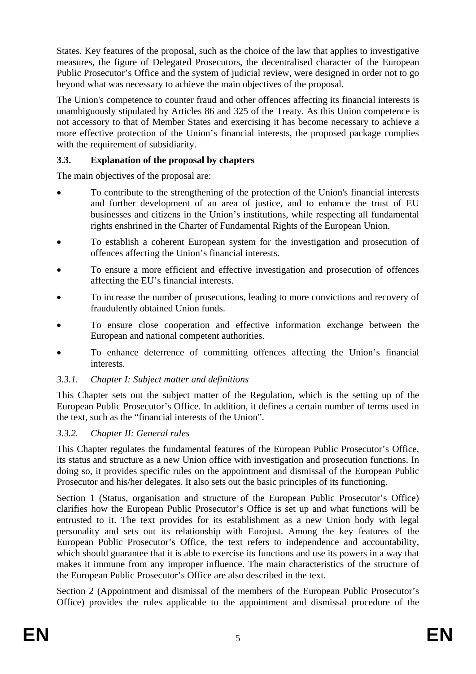States. Key features of the proposal, such as the choice of the law that applies to investigative measures, the figure of Delegated Prosecutors, the decentralised character of the European Public Prosecutor's Office and the system of judicial review, were designed in order not to go beyond what was necessary to achieve the main objectives of the proposal.

The Union's competence to counter fraud and other offences affecting its financial interests is unambiguously stipulated by Articles 86 and 325 of the Treaty. As this Union competence is not accessory to that of Member States and exercising it has become necessary to achieve a more effective protection of the Union's financial interests, the proposed package complies with the requirement of subsidiarity.

# **3.3. Explanation of the proposal by chapters**

The main objectives of the proposal are:

- To contribute to the strengthening of the protection of the Union's financial interests and further development of an area of justice, and to enhance the trust of EU businesses and citizens in the Union's institutions, while respecting all fundamental rights enshrined in the Charter of Fundamental Rights of the European Union.
- To establish a coherent European system for the investigation and prosecution of offences affecting the Union's financial interests.
- To ensure a more efficient and effective investigation and prosecution of offences affecting the EU's financial interests.
- To increase the number of prosecutions, leading to more convictions and recovery of fraudulently obtained Union funds.
- To ensure close cooperation and effective information exchange between the European and national competent authorities.
- To enhance deterrence of committing offences affecting the Union's financial interests.

# *3.3.1. Chapter I: Subject matter and definitions*

This Chapter sets out the subject matter of the Regulation, which is the setting up of the European Public Prosecutor's Office. In addition, it defines a certain number of terms used in the text, such as the "financial interests of the Union".

### *3.3.2. Chapter II: General rules*

This Chapter regulates the fundamental features of the European Public Prosecutor's Office, its status and structure as a new Union office with investigation and prosecution functions. In doing so, it provides specific rules on the appointment and dismissal of the European Public Prosecutor and his/her delegates. It also sets out the basic principles of its functioning.

Section 1 (Status, organisation and structure of the European Public Prosecutor's Office) clarifies how the European Public Prosecutor's Office is set up and what functions will be entrusted to it. The text provides for its establishment as a new Union body with legal personality and sets out its relationship with Eurojust. Among the key features of the European Public Prosecutor's Office, the text refers to independence and accountability, which should guarantee that it is able to exercise its functions and use its powers in a way that makes it immune from any improper influence. The main characteristics of the structure of the European Public Prosecutor's Office are also described in the text.

Section 2 (Appointment and dismissal of the members of the European Public Prosecutor's Office) provides the rules applicable to the appointment and dismissal procedure of the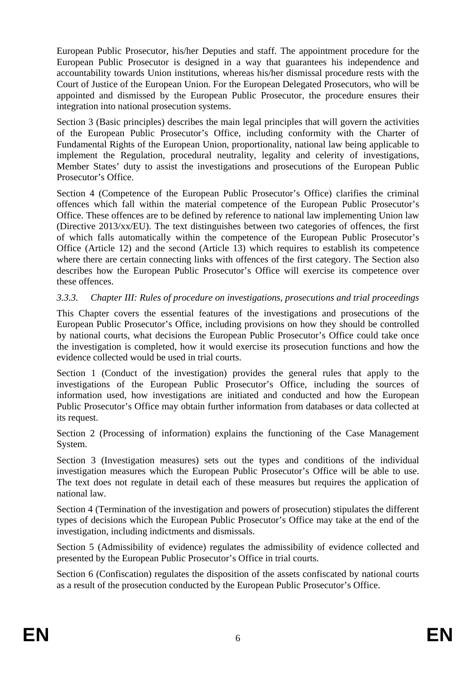European Public Prosecutor, his/her Deputies and staff. The appointment procedure for the European Public Prosecutor is designed in a way that guarantees his independence and accountability towards Union institutions, whereas his/her dismissal procedure rests with the Court of Justice of the European Union. For the European Delegated Prosecutors, who will be appointed and dismissed by the European Public Prosecutor, the procedure ensures their integration into national prosecution systems.

Section 3 (Basic principles) describes the main legal principles that will govern the activities of the European Public Prosecutor's Office, including conformity with the Charter of Fundamental Rights of the European Union, proportionality, national law being applicable to implement the Regulation, procedural neutrality, legality and celerity of investigations, Member States' duty to assist the investigations and prosecutions of the European Public Prosecutor's Office.

Section 4 (Competence of the European Public Prosecutor's Office) clarifies the criminal offences which fall within the material competence of the European Public Prosecutor's Office. These offences are to be defined by reference to national law implementing Union law (Directive 2013/xx/EU). The text distinguishes between two categories of offences, the first of which falls automatically within the competence of the European Public Prosecutor's Office (Article 12) and the second (Article 13) which requires to establish its competence where there are certain connecting links with offences of the first category. The Section also describes how the European Public Prosecutor's Office will exercise its competence over these offences.

# *3.3.3. Chapter III: Rules of procedure on investigations, prosecutions and trial proceedings*

This Chapter covers the essential features of the investigations and prosecutions of the European Public Prosecutor's Office, including provisions on how they should be controlled by national courts, what decisions the European Public Prosecutor's Office could take once the investigation is completed, how it would exercise its prosecution functions and how the evidence collected would be used in trial courts.

Section 1 (Conduct of the investigation) provides the general rules that apply to the investigations of the European Public Prosecutor's Office, including the sources of information used, how investigations are initiated and conducted and how the European Public Prosecutor's Office may obtain further information from databases or data collected at its request.

Section 2 (Processing of information) explains the functioning of the Case Management System.

Section 3 (Investigation measures) sets out the types and conditions of the individual investigation measures which the European Public Prosecutor's Office will be able to use. The text does not regulate in detail each of these measures but requires the application of national law.

Section 4 (Termination of the investigation and powers of prosecution) stipulates the different types of decisions which the European Public Prosecutor's Office may take at the end of the investigation, including indictments and dismissals.

Section 5 (Admissibility of evidence) regulates the admissibility of evidence collected and presented by the European Public Prosecutor's Office in trial courts.

Section 6 (Confiscation) regulates the disposition of the assets confiscated by national courts as a result of the prosecution conducted by the European Public Prosecutor's Office.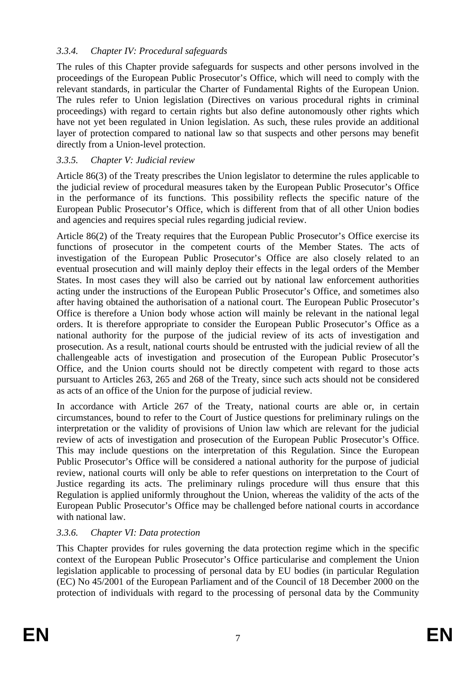# *3.3.4. Chapter IV: Procedural safeguards*

The rules of this Chapter provide safeguards for suspects and other persons involved in the proceedings of the European Public Prosecutor's Office, which will need to comply with the relevant standards, in particular the Charter of Fundamental Rights of the European Union. The rules refer to Union legislation (Directives on various procedural rights in criminal proceedings) with regard to certain rights but also define autonomously other rights which have not yet been regulated in Union legislation. As such, these rules provide an additional layer of protection compared to national law so that suspects and other persons may benefit directly from a Union-level protection.

# *3.3.5. Chapter V: Judicial review*

Article 86(3) of the Treaty prescribes the Union legislator to determine the rules applicable to the judicial review of procedural measures taken by the European Public Prosecutor's Office in the performance of its functions. This possibility reflects the specific nature of the European Public Prosecutor's Office, which is different from that of all other Union bodies and agencies and requires special rules regarding judicial review.

Article 86(2) of the Treaty requires that the European Public Prosecutor's Office exercise its functions of prosecutor in the competent courts of the Member States. The acts of investigation of the European Public Prosecutor's Office are also closely related to an eventual prosecution and will mainly deploy their effects in the legal orders of the Member States. In most cases they will also be carried out by national law enforcement authorities acting under the instructions of the European Public Prosecutor's Office, and sometimes also after having obtained the authorisation of a national court. The European Public Prosecutor's Office is therefore a Union body whose action will mainly be relevant in the national legal orders. It is therefore appropriate to consider the European Public Prosecutor's Office as a national authority for the purpose of the judicial review of its acts of investigation and prosecution. As a result, national courts should be entrusted with the judicial review of all the challengeable acts of investigation and prosecution of the European Public Prosecutor's Office, and the Union courts should not be directly competent with regard to those acts pursuant to Articles 263, 265 and 268 of the Treaty, since such acts should not be considered as acts of an office of the Union for the purpose of judicial review.

In accordance with Article 267 of the Treaty, national courts are able or, in certain circumstances, bound to refer to the Court of Justice questions for preliminary rulings on the interpretation or the validity of provisions of Union law which are relevant for the judicial review of acts of investigation and prosecution of the European Public Prosecutor's Office. This may include questions on the interpretation of this Regulation. Since the European Public Prosecutor's Office will be considered a national authority for the purpose of judicial review, national courts will only be able to refer questions on interpretation to the Court of Justice regarding its acts. The preliminary rulings procedure will thus ensure that this Regulation is applied uniformly throughout the Union, whereas the validity of the acts of the European Public Prosecutor's Office may be challenged before national courts in accordance with national law.

# *3.3.6. Chapter VI: Data protection*

This Chapter provides for rules governing the data protection regime which in the specific context of the European Public Prosecutor's Office particularise and complement the Union legislation applicable to processing of personal data by EU bodies (in particular Regulation (EC) No 45/2001 of the European Parliament and of the Council of 18 December 2000 on the protection of individuals with regard to the processing of personal data by the Community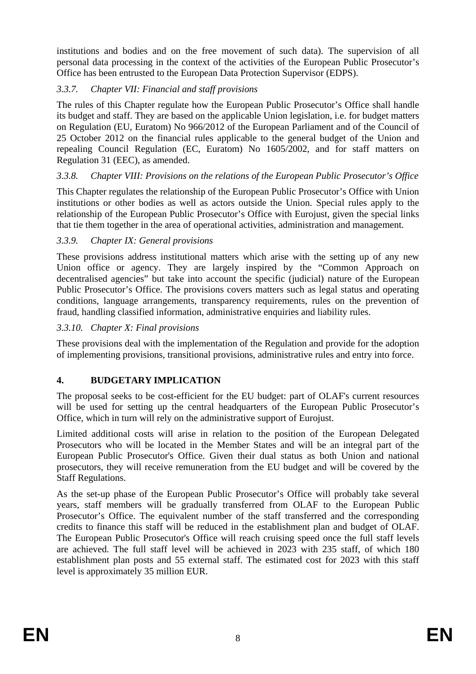institutions and bodies and on the free movement of such data). The supervision of all personal data processing in the context of the activities of the European Public Prosecutor's Office has been entrusted to the European Data Protection Supervisor (EDPS).

# *3.3.7. Chapter VII: Financial and staff provisions*

The rules of this Chapter regulate how the European Public Prosecutor's Office shall handle its budget and staff. They are based on the applicable Union legislation, i.e. for budget matters on Regulation (EU, Euratom) No 966/2012 of the European Parliament and of the Council of 25 October 2012 on the financial rules applicable to the general budget of the Union and repealing Council Regulation (EC, Euratom) No 1605/2002, and for staff matters on Regulation 31 (EEC), as amended.

# *3.3.8. Chapter VIII: Provisions on the relations of the European Public Prosecutor's Office*

This Chapter regulates the relationship of the European Public Prosecutor's Office with Union institutions or other bodies as well as actors outside the Union. Special rules apply to the relationship of the European Public Prosecutor's Office with Eurojust, given the special links that tie them together in the area of operational activities, administration and management.

# *3.3.9. Chapter IX: General provisions*

These provisions address institutional matters which arise with the setting up of any new Union office or agency. They are largely inspired by the "Common Approach on decentralised agencies" but take into account the specific (judicial) nature of the European Public Prosecutor's Office. The provisions covers matters such as legal status and operating conditions, language arrangements, transparency requirements, rules on the prevention of fraud, handling classified information, administrative enquiries and liability rules.

# *3.3.10. Chapter X: Final provisions*

These provisions deal with the implementation of the Regulation and provide for the adoption of implementing provisions, transitional provisions, administrative rules and entry into force.

# **4. BUDGETARY IMPLICATION**

The proposal seeks to be cost-efficient for the EU budget: part of OLAF's current resources will be used for setting up the central headquarters of the European Public Prosecutor's Office, which in turn will rely on the administrative support of Eurojust.

Limited additional costs will arise in relation to the position of the European Delegated Prosecutors who will be located in the Member States and will be an integral part of the European Public Prosecutor's Office. Given their dual status as both Union and national prosecutors, they will receive remuneration from the EU budget and will be covered by the Staff Regulations.

As the set-up phase of the European Public Prosecutor's Office will probably take several years, staff members will be gradually transferred from OLAF to the European Public Prosecutor's Office. The equivalent number of the staff transferred and the corresponding credits to finance this staff will be reduced in the establishment plan and budget of OLAF. The European Public Prosecutor's Office will reach cruising speed once the full staff levels are achieved. The full staff level will be achieved in 2023 with 235 staff, of which 180 establishment plan posts and 55 external staff. The estimated cost for 2023 with this staff level is approximately 35 million EUR.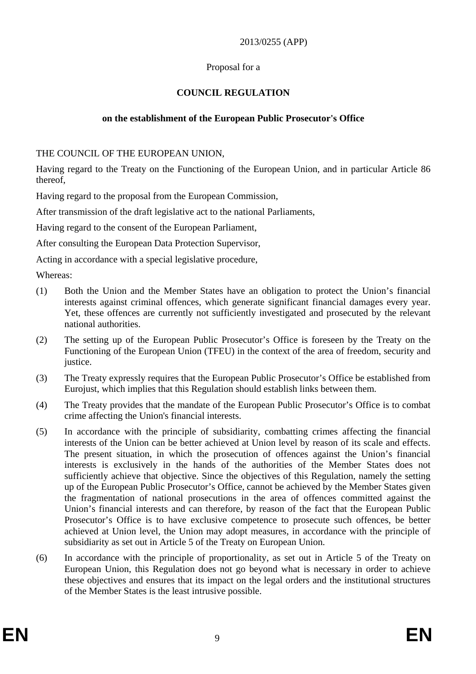### 2013/0255 (APP)

## Proposal for a

# **COUNCIL REGULATION**

## **on the establishment of the European Public Prosecutor's Office**

# THE COUNCIL OF THE EUROPEAN UNION,

Having regard to the Treaty on the Functioning of the European Union, and in particular Article 86 thereof,

Having regard to the proposal from the European Commission,

After transmission of the draft legislative act to the national Parliaments,

Having regard to the consent of the European Parliament,

After consulting the European Data Protection Supervisor,

Acting in accordance with a special legislative procedure,

Whereas:

- (1) Both the Union and the Member States have an obligation to protect the Union's financial interests against criminal offences, which generate significant financial damages every year. Yet, these offences are currently not sufficiently investigated and prosecuted by the relevant national authorities.
- (2) The setting up of the European Public Prosecutor's Office is foreseen by the Treaty on the Functioning of the European Union (TFEU) in the context of the area of freedom, security and justice.
- (3) The Treaty expressly requires that the European Public Prosecutor's Office be established from Eurojust, which implies that this Regulation should establish links between them.
- (4) The Treaty provides that the mandate of the European Public Prosecutor's Office is to combat crime affecting the Union's financial interests.
- (5) In accordance with the principle of subsidiarity, combatting crimes affecting the financial interests of the Union can be better achieved at Union level by reason of its scale and effects. The present situation, in which the prosecution of offences against the Union's financial interests is exclusively in the hands of the authorities of the Member States does not sufficiently achieve that objective. Since the objectives of this Regulation, namely the setting up of the European Public Prosecutor's Office, cannot be achieved by the Member States given the fragmentation of national prosecutions in the area of offences committed against the Union's financial interests and can therefore, by reason of the fact that the European Public Prosecutor's Office is to have exclusive competence to prosecute such offences, be better achieved at Union level, the Union may adopt measures, in accordance with the principle of subsidiarity as set out in Article 5 of the Treaty on European Union.
- (6) In accordance with the principle of proportionality, as set out in Article 5 of the Treaty on European Union, this Regulation does not go beyond what is necessary in order to achieve these objectives and ensures that its impact on the legal orders and the institutional structures of the Member States is the least intrusive possible.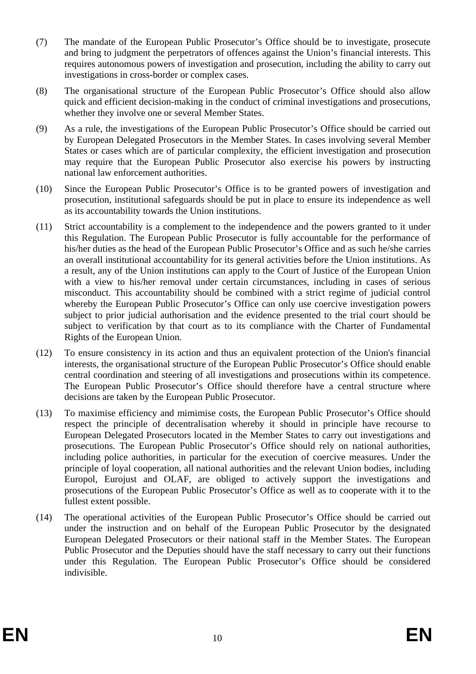- (7) The mandate of the European Public Prosecutor's Office should be to investigate, prosecute and bring to judgment the perpetrators of offences against the Union's financial interests. This requires autonomous powers of investigation and prosecution, including the ability to carry out investigations in cross-border or complex cases.
- (8) The organisational structure of the European Public Prosecutor's Office should also allow quick and efficient decision-making in the conduct of criminal investigations and prosecutions, whether they involve one or several Member States.
- (9) As a rule, the investigations of the European Public Prosecutor's Office should be carried out by European Delegated Prosecutors in the Member States. In cases involving several Member States or cases which are of particular complexity, the efficient investigation and prosecution may require that the European Public Prosecutor also exercise his powers by instructing national law enforcement authorities.
- (10) Since the European Public Prosecutor's Office is to be granted powers of investigation and prosecution, institutional safeguards should be put in place to ensure its independence as well as its accountability towards the Union institutions.
- (11) Strict accountability is a complement to the independence and the powers granted to it under this Regulation. The European Public Prosecutor is fully accountable for the performance of his/her duties as the head of the European Public Prosecutor's Office and as such he/she carries an overall institutional accountability for its general activities before the Union institutions. As a result, any of the Union institutions can apply to the Court of Justice of the European Union with a view to his/her removal under certain circumstances, including in cases of serious misconduct. This accountability should be combined with a strict regime of judicial control whereby the European Public Prosecutor's Office can only use coercive investigation powers subject to prior judicial authorisation and the evidence presented to the trial court should be subject to verification by that court as to its compliance with the Charter of Fundamental Rights of the European Union.
- (12) To ensure consistency in its action and thus an equivalent protection of the Union's financial interests, the organisational structure of the European Public Prosecutor's Office should enable central coordination and steering of all investigations and prosecutions within its competence. The European Public Prosecutor's Office should therefore have a central structure where decisions are taken by the European Public Prosecutor.
- (13) To maximise efficiency and mimimise costs, the European Public Prosecutor's Office should respect the principle of decentralisation whereby it should in principle have recourse to European Delegated Prosecutors located in the Member States to carry out investigations and prosecutions. The European Public Prosecutor's Office should rely on national authorities, including police authorities, in particular for the execution of coercive measures. Under the principle of loyal cooperation, all national authorities and the relevant Union bodies, including Europol, Eurojust and OLAF, are obliged to actively support the investigations and prosecutions of the European Public Prosecutor's Office as well as to cooperate with it to the fullest extent possible.
- (14) The operational activities of the European Public Prosecutor's Office should be carried out under the instruction and on behalf of the European Public Prosecutor by the designated European Delegated Prosecutors or their national staff in the Member States. The European Public Prosecutor and the Deputies should have the staff necessary to carry out their functions under this Regulation. The European Public Prosecutor's Office should be considered indivisible.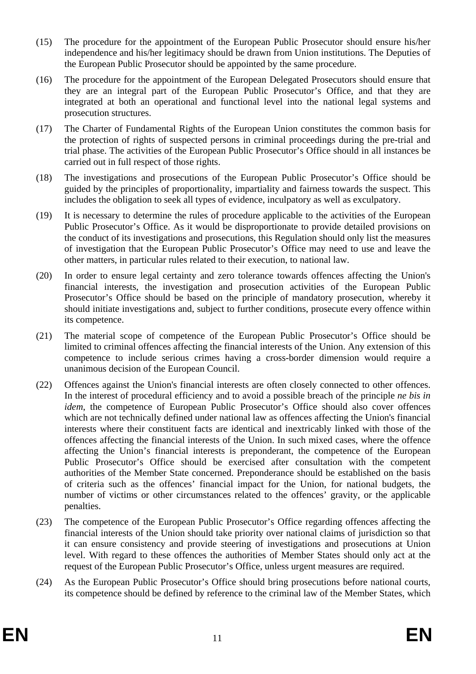- (15) The procedure for the appointment of the European Public Prosecutor should ensure his/her independence and his/her legitimacy should be drawn from Union institutions. The Deputies of the European Public Prosecutor should be appointed by the same procedure.
- (16) The procedure for the appointment of the European Delegated Prosecutors should ensure that they are an integral part of the European Public Prosecutor's Office, and that they are integrated at both an operational and functional level into the national legal systems and prosecution structures.
- (17) The Charter of Fundamental Rights of the European Union constitutes the common basis for the protection of rights of suspected persons in criminal proceedings during the pre-trial and trial phase. The activities of the European Public Prosecutor's Office should in all instances be carried out in full respect of those rights.
- (18) The investigations and prosecutions of the European Public Prosecutor's Office should be guided by the principles of proportionality, impartiality and fairness towards the suspect. This includes the obligation to seek all types of evidence, inculpatory as well as exculpatory.
- (19) It is necessary to determine the rules of procedure applicable to the activities of the European Public Prosecutor's Office. As it would be disproportionate to provide detailed provisions on the conduct of its investigations and prosecutions, this Regulation should only list the measures of investigation that the European Public Prosecutor's Office may need to use and leave the other matters, in particular rules related to their execution, to national law.
- (20) In order to ensure legal certainty and zero tolerance towards offences affecting the Union's financial interests, the investigation and prosecution activities of the European Public Prosecutor's Office should be based on the principle of mandatory prosecution, whereby it should initiate investigations and, subject to further conditions, prosecute every offence within its competence.
- (21) The material scope of competence of the European Public Prosecutor's Office should be limited to criminal offences affecting the financial interests of the Union. Any extension of this competence to include serious crimes having a cross-border dimension would require a unanimous decision of the European Council.
- (22) Offences against the Union's financial interests are often closely connected to other offences. In the interest of procedural efficiency and to avoid a possible breach of the principle *ne bis in idem*, the competence of European Public Prosecutor's Office should also cover offences which are not technically defined under national law as offences affecting the Union's financial interests where their constituent facts are identical and inextricably linked with those of the offences affecting the financial interests of the Union. In such mixed cases, where the offence affecting the Union's financial interests is preponderant, the competence of the European Public Prosecutor's Office should be exercised after consultation with the competent authorities of the Member State concerned. Preponderance should be established on the basis of criteria such as the offences' financial impact for the Union, for national budgets, the number of victims or other circumstances related to the offences' gravity, or the applicable penalties.
- (23) The competence of the European Public Prosecutor's Office regarding offences affecting the financial interests of the Union should take priority over national claims of jurisdiction so that it can ensure consistency and provide steering of investigations and prosecutions at Union level. With regard to these offences the authorities of Member States should only act at the request of the European Public Prosecutor's Office, unless urgent measures are required.
- (24) As the European Public Prosecutor's Office should bring prosecutions before national courts, its competence should be defined by reference to the criminal law of the Member States, which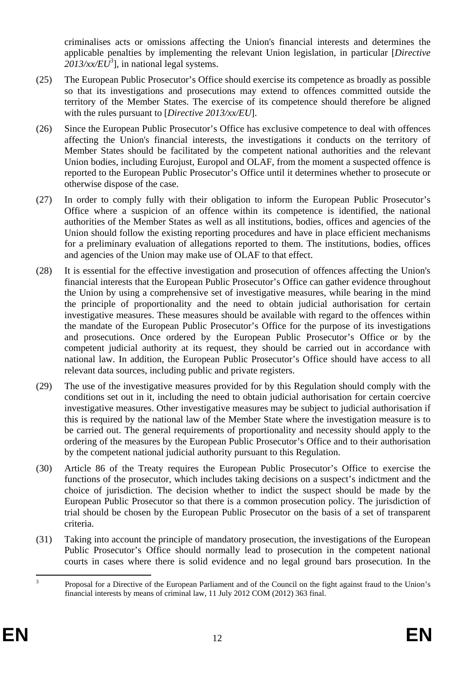criminalises acts or omissions affecting the Union's financial interests and determines the applicable penalties by implementing the relevant Union legislation, in particular [*Directive*   $2013$ /*xx*/ $E\overline{U}^3$ ], in national legal systems.

- (25) The European Public Prosecutor's Office should exercise its competence as broadly as possible so that its investigations and prosecutions may extend to offences committed outside the territory of the Member States. The exercise of its competence should therefore be aligned with the rules pursuant to [*Directive 2013/xx/EU*].
- (26) Since the European Public Prosecutor's Office has exclusive competence to deal with offences affecting the Union's financial interests, the investigations it conducts on the territory of Member States should be facilitated by the competent national authorities and the relevant Union bodies, including Eurojust, Europol and OLAF, from the moment a suspected offence is reported to the European Public Prosecutor's Office until it determines whether to prosecute or otherwise dispose of the case.
- (27) In order to comply fully with their obligation to inform the European Public Prosecutor's Office where a suspicion of an offence within its competence is identified, the national authorities of the Member States as well as all institutions, bodies, offices and agencies of the Union should follow the existing reporting procedures and have in place efficient mechanisms for a preliminary evaluation of allegations reported to them. The institutions, bodies, offices and agencies of the Union may make use of OLAF to that effect.
- (28) It is essential for the effective investigation and prosecution of offences affecting the Union's financial interests that the European Public Prosecutor's Office can gather evidence throughout the Union by using a comprehensive set of investigative measures, while bearing in the mind the principle of proportionality and the need to obtain judicial authorisation for certain investigative measures. These measures should be available with regard to the offences within the mandate of the European Public Prosecutor's Office for the purpose of its investigations and prosecutions. Once ordered by the European Public Prosecutor's Office or by the competent judicial authority at its request, they should be carried out in accordance with national law. In addition, the European Public Prosecutor's Office should have access to all relevant data sources, including public and private registers.
- (29) The use of the investigative measures provided for by this Regulation should comply with the conditions set out in it, including the need to obtain judicial authorisation for certain coercive investigative measures. Other investigative measures may be subject to judicial authorisation if this is required by the national law of the Member State where the investigation measure is to be carried out. The general requirements of proportionality and necessity should apply to the ordering of the measures by the European Public Prosecutor's Office and to their authorisation by the competent national judicial authority pursuant to this Regulation.
- (30) Article 86 of the Treaty requires the European Public Prosecutor's Office to exercise the functions of the prosecutor, which includes taking decisions on a suspect's indictment and the choice of jurisdiction. The decision whether to indict the suspect should be made by the European Public Prosecutor so that there is a common prosecution policy. The jurisdiction of trial should be chosen by the European Public Prosecutor on the basis of a set of transparent criteria.
- (31) Taking into account the principle of mandatory prosecution, the investigations of the European Public Prosecutor's Office should normally lead to prosecution in the competent national courts in cases where there is solid evidence and no legal ground bars prosecution. In the

 $\frac{1}{3}$  Proposal for a Directive of the European Parliament and of the Council on the fight against fraud to the Union's financial interests by means of criminal law, 11 July 2012 COM (2012) 363 final.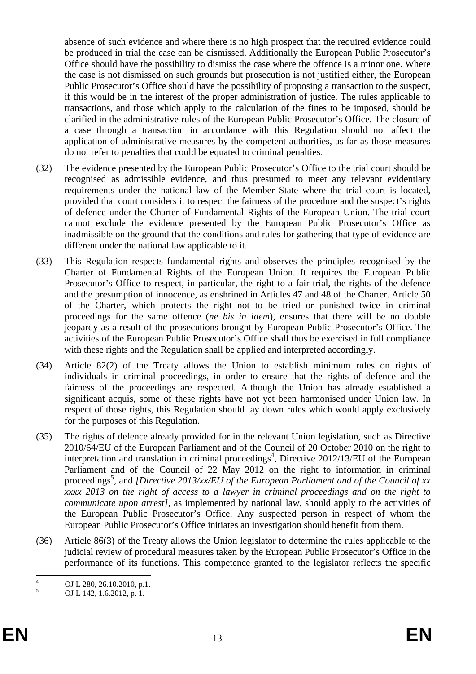absence of such evidence and where there is no high prospect that the required evidence could be produced in trial the case can be dismissed. Additionally the European Public Prosecutor's Office should have the possibility to dismiss the case where the offence is a minor one. Where the case is not dismissed on such grounds but prosecution is not justified either, the European Public Prosecutor's Office should have the possibility of proposing a transaction to the suspect, if this would be in the interest of the proper administration of justice. The rules applicable to transactions, and those which apply to the calculation of the fines to be imposed, should be clarified in the administrative rules of the European Public Prosecutor's Office. The closure of a case through a transaction in accordance with this Regulation should not affect the application of administrative measures by the competent authorities, as far as those measures do not refer to penalties that could be equated to criminal penalties.

- (32) The evidence presented by the European Public Prosecutor's Office to the trial court should be recognised as admissible evidence, and thus presumed to meet any relevant evidentiary requirements under the national law of the Member State where the trial court is located, provided that court considers it to respect the fairness of the procedure and the suspect's rights of defence under the Charter of Fundamental Rights of the European Union. The trial court cannot exclude the evidence presented by the European Public Prosecutor's Office as inadmissible on the ground that the conditions and rules for gathering that type of evidence are different under the national law applicable to it.
- (33) This Regulation respects fundamental rights and observes the principles recognised by the Charter of Fundamental Rights of the European Union. It requires the European Public Prosecutor's Office to respect, in particular, the right to a fair trial, the rights of the defence and the presumption of innocence, as enshrined in Articles 47 and 48 of the Charter. Article 50 of the Charter, which protects the right not to be tried or punished twice in criminal proceedings for the same offence (*ne bis in idem*), ensures that there will be no double jeopardy as a result of the prosecutions brought by European Public Prosecutor's Office. The activities of the European Public Prosecutor's Office shall thus be exercised in full compliance with these rights and the Regulation shall be applied and interpreted accordingly.
- (34) Article 82(2) of the Treaty allows the Union to establish minimum rules on rights of individuals in criminal proceedings, in order to ensure that the rights of defence and the fairness of the proceedings are respected. Although the Union has already established a significant acquis, some of these rights have not yet been harmonised under Union law. In respect of those rights, this Regulation should lay down rules which would apply exclusively for the purposes of this Regulation.
- (35) The rights of defence already provided for in the relevant Union legislation, such as Directive 2010/64/EU of the European Parliament and of the Council of 20 October 2010 on the right to interpretation and translation in criminal proceedings<sup>4</sup>, Directive 2012/13/EU of the European Parliament and of the Council of 22 May 2012 on the right to information in criminal proceedings<sup>5</sup>, and *[Directive 2013/xx/EU of the European Parliament and of the Council of xx xxxx 2013 on the right of access to a lawyer in criminal proceedings and on the right to communicate upon arrest]*, as implemented by national law, should apply to the activities of the European Public Prosecutor's Office. Any suspected person in respect of whom the European Public Prosecutor's Office initiates an investigation should benefit from them.
- (36) Article 86(3) of the Treaty allows the Union legislator to determine the rules applicable to the judicial review of procedural measures taken by the European Public Prosecutor's Office in the performance of its functions. This competence granted to the legislator reflects the specific

 $\frac{1}{4}$ OJ L 280, 26.10.2010, p.1.

<sup>5</sup> OJ L 142, 1.6.2012, p. 1.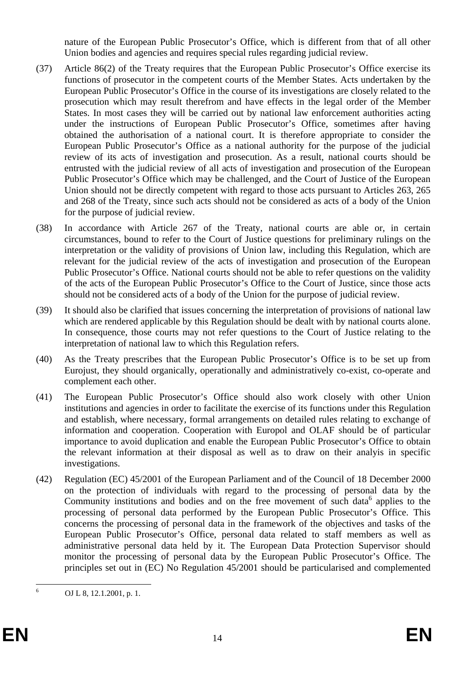nature of the European Public Prosecutor's Office, which is different from that of all other Union bodies and agencies and requires special rules regarding judicial review.

- (37) Article 86(2) of the Treaty requires that the European Public Prosecutor's Office exercise its functions of prosecutor in the competent courts of the Member States. Acts undertaken by the European Public Prosecutor's Office in the course of its investigations are closely related to the prosecution which may result therefrom and have effects in the legal order of the Member States. In most cases they will be carried out by national law enforcement authorities acting under the instructions of European Public Prosecutor's Office, sometimes after having obtained the authorisation of a national court. It is therefore appropriate to consider the European Public Prosecutor's Office as a national authority for the purpose of the judicial review of its acts of investigation and prosecution. As a result, national courts should be entrusted with the judicial review of all acts of investigation and prosecution of the European Public Prosecutor's Office which may be challenged, and the Court of Justice of the European Union should not be directly competent with regard to those acts pursuant to Articles 263, 265 and 268 of the Treaty, since such acts should not be considered as acts of a body of the Union for the purpose of judicial review.
- (38) In accordance with Article 267 of the Treaty, national courts are able or, in certain circumstances, bound to refer to the Court of Justice questions for preliminary rulings on the interpretation or the validity of provisions of Union law, including this Regulation, which are relevant for the judicial review of the acts of investigation and prosecution of the European Public Prosecutor's Office. National courts should not be able to refer questions on the validity of the acts of the European Public Prosecutor's Office to the Court of Justice, since those acts should not be considered acts of a body of the Union for the purpose of judicial review.
- (39) It should also be clarified that issues concerning the interpretation of provisions of national law which are rendered applicable by this Regulation should be dealt with by national courts alone. In consequence, those courts may not refer questions to the Court of Justice relating to the interpretation of national law to which this Regulation refers.
- (40) As the Treaty prescribes that the European Public Prosecutor's Office is to be set up from Eurojust, they should organically, operationally and administratively co-exist, co-operate and complement each other.
- (41) The European Public Prosecutor's Office should also work closely with other Union institutions and agencies in order to facilitate the exercise of its functions under this Regulation and establish, where necessary, formal arrangements on detailed rules relating to exchange of information and cooperation. Cooperation with Europol and OLAF should be of particular importance to avoid duplication and enable the European Public Prosecutor's Office to obtain the relevant information at their disposal as well as to draw on their analyis in specific investigations.
- (42) Regulation (EC) 45/2001 of the European Parliament and of the Council of 18 December 2000 on the protection of individuals with regard to the processing of personal data by the Community institutions and bodies and on the free movement of such data<sup>6</sup> applies to the processing of personal data performed by the European Public Prosecutor's Office. This concerns the processing of personal data in the framework of the objectives and tasks of the European Public Prosecutor's Office, personal data related to staff members as well as administrative personal data held by it. The European Data Protection Supervisor should monitor the processing of personal data by the European Public Prosecutor's Office. The principles set out in (EC) No Regulation 45/2001 should be particularised and complemented

 $\frac{1}{6}$ OJ L 8, 12.1.2001, p. 1.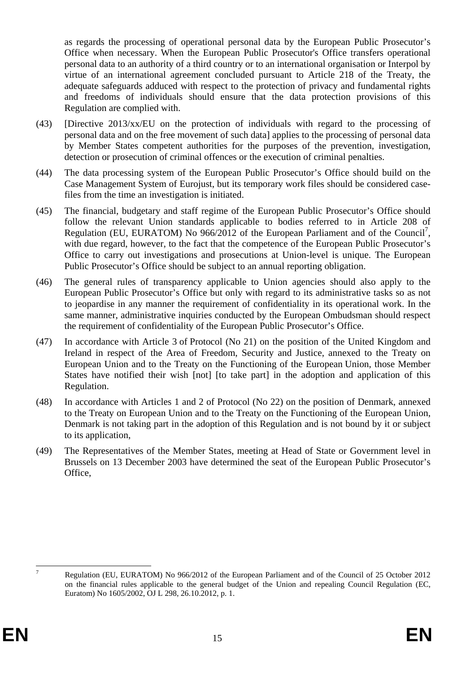as regards the processing of operational personal data by the European Public Prosecutor's Office when necessary. When the European Public Prosecutor's Office transfers operational personal data to an authority of a third country or to an international organisation or Interpol by virtue of an international agreement concluded pursuant to Article 218 of the Treaty, the adequate safeguards adduced with respect to the protection of privacy and fundamental rights and freedoms of individuals should ensure that the data protection provisions of this Regulation are complied with.

- (43) [Directive 2013/xx/EU on the protection of individuals with regard to the processing of personal data and on the free movement of such data] applies to the processing of personal data by Member States competent authorities for the purposes of the prevention, investigation, detection or prosecution of criminal offences or the execution of criminal penalties.
- (44) The data processing system of the European Public Prosecutor's Office should build on the Case Management System of Eurojust, but its temporary work files should be considered casefiles from the time an investigation is initiated.
- (45) The financial, budgetary and staff regime of the European Public Prosecutor's Office should follow the relevant Union standards applicable to bodies referred to in Article 208 of Regulation (EU, EURATOM) No 966/2012 of the European Parliament and of the Council<sup>7</sup>, with due regard, however, to the fact that the competence of the European Public Prosecutor's Office to carry out investigations and prosecutions at Union-level is unique. The European Public Prosecutor's Office should be subject to an annual reporting obligation.
- (46) The general rules of transparency applicable to Union agencies should also apply to the European Public Prosecutor's Office but only with regard to its administrative tasks so as not to jeopardise in any manner the requirement of confidentiality in its operational work. In the same manner, administrative inquiries conducted by the European Ombudsman should respect the requirement of confidentiality of the European Public Prosecutor's Office.
- (47) In accordance with Article 3 of Protocol (No 21) on the position of the United Kingdom and Ireland in respect of the Area of Freedom, Security and Justice, annexed to the Treaty on European Union and to the Treaty on the Functioning of the European Union, those Member States have notified their wish [not] [to take part] in the adoption and application of this Regulation.
- (48) In accordance with Articles 1 and 2 of Protocol (No 22) on the position of Denmark, annexed to the Treaty on European Union and to the Treaty on the Functioning of the European Union, Denmark is not taking part in the adoption of this Regulation and is not bound by it or subject to its application,
- (49) The Representatives of the Member States, meeting at Head of State or Government level in Brussels on 13 December 2003 have determined the seat of the European Public Prosecutor's Office,

<sup>-&</sup>lt;br>7

Regulation (EU, EURATOM) No 966/2012 of the European Parliament and of the Council of 25 October 2012 on the financial rules applicable to the general budget of the Union and repealing Council Regulation (EC, Euratom) No 1605/2002, OJ L 298, 26.10.2012, p. 1.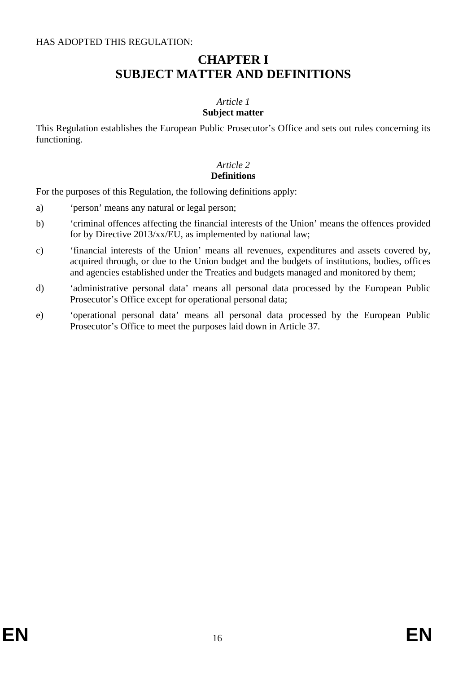# **CHAPTER I SUBJECT MATTER AND DEFINITIONS**

# *Article 1*

# **Subject matter**

This Regulation establishes the European Public Prosecutor's Office and sets out rules concerning its functioning.

# *Article 2*

# **Definitions**

For the purposes of this Regulation, the following definitions apply:

- a) 'person' means any natural or legal person;
- b) 'criminal offences affecting the financial interests of the Union' means the offences provided for by Directive 2013/xx/EU, as implemented by national law;
- c) 'financial interests of the Union' means all revenues, expenditures and assets covered by, acquired through, or due to the Union budget and the budgets of institutions, bodies, offices and agencies established under the Treaties and budgets managed and monitored by them;
- d) 'administrative personal data' means all personal data processed by the European Public Prosecutor's Office except for operational personal data;
- e) 'operational personal data' means all personal data processed by the European Public Prosecutor's Office to meet the purposes laid down in Article 37.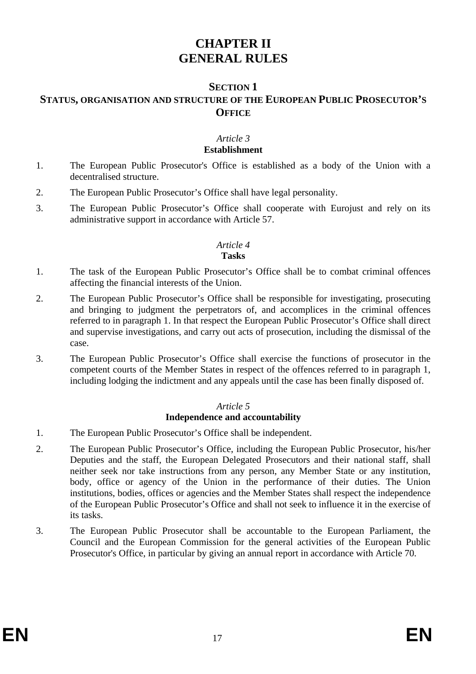# **CHAPTER II GENERAL RULES**

# **SECTION 1 STATUS, ORGANISATION AND STRUCTURE OF THE EUROPEAN PUBLIC PROSECUTOR'S OFFICE**

### *Article 3*

### **Establishment**

- 1. The European Public Prosecutor's Office is established as a body of the Union with a decentralised structure.
- 2. The European Public Prosecutor's Office shall have legal personality.
- 3. The European Public Prosecutor's Office shall cooperate with Eurojust and rely on its administrative support in accordance with Article 57.

# *Article 4*

### **Tasks**

- 1. The task of the European Public Prosecutor's Office shall be to combat criminal offences affecting the financial interests of the Union.
- 2. The European Public Prosecutor's Office shall be responsible for investigating, prosecuting and bringing to judgment the perpetrators of, and accomplices in the criminal offences referred to in paragraph 1. In that respect the European Public Prosecutor's Office shall direct and supervise investigations, and carry out acts of prosecution, including the dismissal of the case.
- 3. The European Public Prosecutor's Office shall exercise the functions of prosecutor in the competent courts of the Member States in respect of the offences referred to in paragraph 1, including lodging the indictment and any appeals until the case has been finally disposed of.

### *Article 5*

## **Independence and accountability**

- 1. The European Public Prosecutor's Office shall be independent.
- 2. The European Public Prosecutor's Office, including the European Public Prosecutor, his/her Deputies and the staff, the European Delegated Prosecutors and their national staff, shall neither seek nor take instructions from any person, any Member State or any institution, body, office or agency of the Union in the performance of their duties. The Union institutions, bodies, offices or agencies and the Member States shall respect the independence of the European Public Prosecutor's Office and shall not seek to influence it in the exercise of its tasks.
- 3. The European Public Prosecutor shall be accountable to the European Parliament, the Council and the European Commission for the general activities of the European Public Prosecutor's Office, in particular by giving an annual report in accordance with Article 70.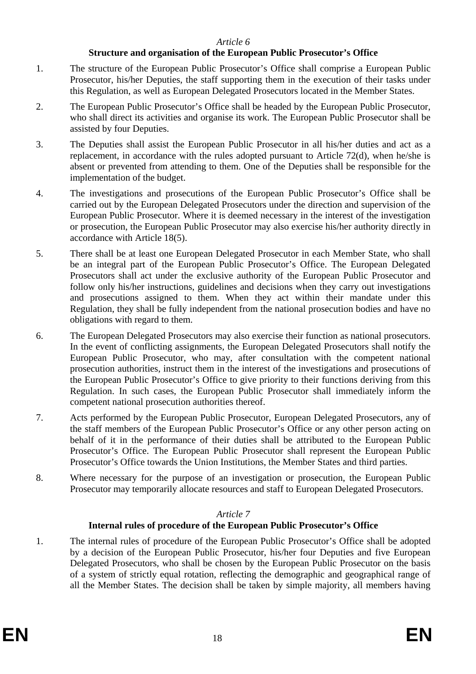#### *Article 6*

### **Structure and organisation of the European Public Prosecutor's Office**

- 1. The structure of the European Public Prosecutor's Office shall comprise a European Public Prosecutor, his/her Deputies, the staff supporting them in the execution of their tasks under this Regulation, as well as European Delegated Prosecutors located in the Member States.
- 2. The European Public Prosecutor's Office shall be headed by the European Public Prosecutor, who shall direct its activities and organise its work. The European Public Prosecutor shall be assisted by four Deputies.
- 3. The Deputies shall assist the European Public Prosecutor in all his/her duties and act as a replacement, in accordance with the rules adopted pursuant to Article 72(d), when he/she is absent or prevented from attending to them. One of the Deputies shall be responsible for the implementation of the budget.
- 4. The investigations and prosecutions of the European Public Prosecutor's Office shall be carried out by the European Delegated Prosecutors under the direction and supervision of the European Public Prosecutor. Where it is deemed necessary in the interest of the investigation or prosecution, the European Public Prosecutor may also exercise his/her authority directly in accordance with Article 18(5).
- 5. There shall be at least one European Delegated Prosecutor in each Member State, who shall be an integral part of the European Public Prosecutor's Office. The European Delegated Prosecutors shall act under the exclusive authority of the European Public Prosecutor and follow only his/her instructions, guidelines and decisions when they carry out investigations and prosecutions assigned to them. When they act within their mandate under this Regulation, they shall be fully independent from the national prosecution bodies and have no obligations with regard to them.
- 6. The European Delegated Prosecutors may also exercise their function as national prosecutors. In the event of conflicting assignments, the European Delegated Prosecutors shall notify the European Public Prosecutor, who may, after consultation with the competent national prosecution authorities, instruct them in the interest of the investigations and prosecutions of the European Public Prosecutor's Office to give priority to their functions deriving from this Regulation. In such cases, the European Public Prosecutor shall immediately inform the competent national prosecution authorities thereof.
- 7. Acts performed by the European Public Prosecutor, European Delegated Prosecutors, any of the staff members of the European Public Prosecutor's Office or any other person acting on behalf of it in the performance of their duties shall be attributed to the European Public Prosecutor's Office. The European Public Prosecutor shall represent the European Public Prosecutor's Office towards the Union Institutions, the Member States and third parties.
- 8. Where necessary for the purpose of an investigation or prosecution, the European Public Prosecutor may temporarily allocate resources and staff to European Delegated Prosecutors.

#### *Article 7*

### **Internal rules of procedure of the European Public Prosecutor's Office**

1. The internal rules of procedure of the European Public Prosecutor's Office shall be adopted by a decision of the European Public Prosecutor, his/her four Deputies and five European Delegated Prosecutors, who shall be chosen by the European Public Prosecutor on the basis of a system of strictly equal rotation, reflecting the demographic and geographical range of all the Member States. The decision shall be taken by simple majority, all members having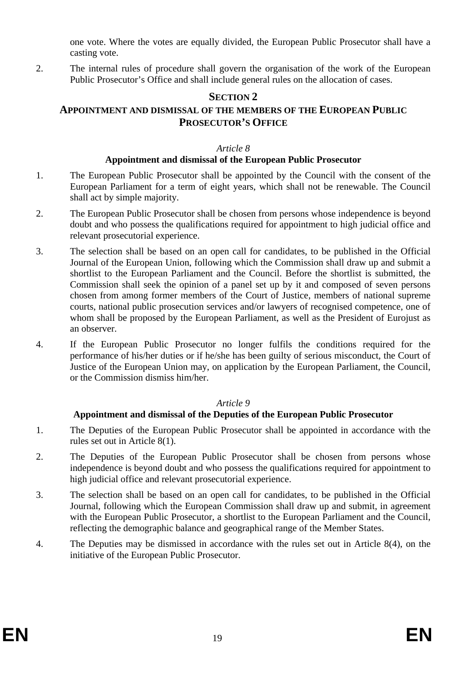one vote. Where the votes are equally divided, the European Public Prosecutor shall have a casting vote.

2. The internal rules of procedure shall govern the organisation of the work of the European Public Prosecutor's Office and shall include general rules on the allocation of cases.

### **SECTION 2**

# **APPOINTMENT AND DISMISSAL OF THE MEMBERS OF THE EUROPEAN PUBLIC PROSECUTOR'S OFFICE**

#### *Article 8*

#### **Appointment and dismissal of the European Public Prosecutor**

- 1. The European Public Prosecutor shall be appointed by the Council with the consent of the European Parliament for a term of eight years, which shall not be renewable. The Council shall act by simple majority.
- 2. The European Public Prosecutor shall be chosen from persons whose independence is beyond doubt and who possess the qualifications required for appointment to high judicial office and relevant prosecutorial experience.
- 3. The selection shall be based on an open call for candidates, to be published in the Official Journal of the European Union, following which the Commission shall draw up and submit a shortlist to the European Parliament and the Council. Before the shortlist is submitted, the Commission shall seek the opinion of a panel set up by it and composed of seven persons chosen from among former members of the Court of Justice, members of national supreme courts, national public prosecution services and/or lawyers of recognised competence, one of whom shall be proposed by the European Parliament, as well as the President of Eurojust as an observer.
- 4. If the European Public Prosecutor no longer fulfils the conditions required for the performance of his/her duties or if he/she has been guilty of serious misconduct, the Court of Justice of the European Union may, on application by the European Parliament, the Council, or the Commission dismiss him/her.

#### *Article 9*

### **Appointment and dismissal of the Deputies of the European Public Prosecutor**

- 1. The Deputies of the European Public Prosecutor shall be appointed in accordance with the rules set out in Article 8(1).
- 2. The Deputies of the European Public Prosecutor shall be chosen from persons whose independence is beyond doubt and who possess the qualifications required for appointment to high judicial office and relevant prosecutorial experience.
- 3. The selection shall be based on an open call for candidates, to be published in the Official Journal, following which the European Commission shall draw up and submit, in agreement with the European Public Prosecutor, a shortlist to the European Parliament and the Council, reflecting the demographic balance and geographical range of the Member States.
- 4. The Deputies may be dismissed in accordance with the rules set out in Article 8(4), on the initiative of the European Public Prosecutor.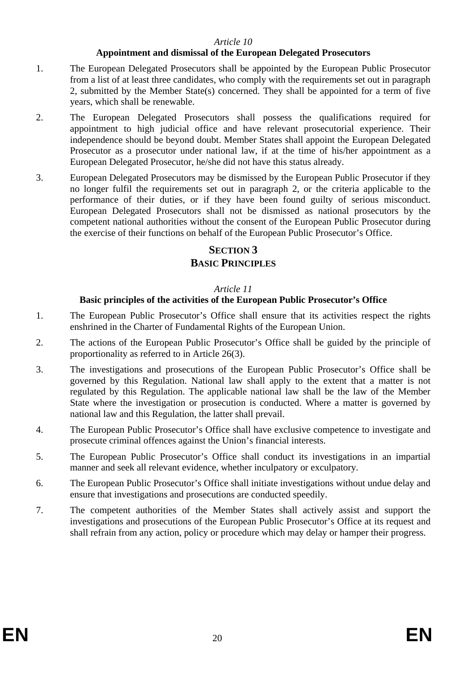### *Article 10*

### **Appointment and dismissal of the European Delegated Prosecutors**

- 1. The European Delegated Prosecutors shall be appointed by the European Public Prosecutor from a list of at least three candidates, who comply with the requirements set out in paragraph 2, submitted by the Member State(s) concerned. They shall be appointed for a term of five years, which shall be renewable.
- 2. The European Delegated Prosecutors shall possess the qualifications required for appointment to high judicial office and have relevant prosecutorial experience. Their independence should be beyond doubt. Member States shall appoint the European Delegated Prosecutor as a prosecutor under national law, if at the time of his/her appointment as a European Delegated Prosecutor, he/she did not have this status already.
- 3. European Delegated Prosecutors may be dismissed by the European Public Prosecutor if they no longer fulfil the requirements set out in paragraph 2, or the criteria applicable to the performance of their duties, or if they have been found guilty of serious misconduct. European Delegated Prosecutors shall not be dismissed as national prosecutors by the competent national authorities without the consent of the European Public Prosecutor during the exercise of their functions on behalf of the European Public Prosecutor's Office.

# **SECTION 3 BASIC PRINCIPLES**

#### *Article 11*

### **Basic principles of the activities of the European Public Prosecutor's Office**

- 1. The European Public Prosecutor's Office shall ensure that its activities respect the rights enshrined in the Charter of Fundamental Rights of the European Union.
- 2. The actions of the European Public Prosecutor's Office shall be guided by the principle of proportionality as referred to in Article 26(3).
- 3. The investigations and prosecutions of the European Public Prosecutor's Office shall be governed by this Regulation. National law shall apply to the extent that a matter is not regulated by this Regulation. The applicable national law shall be the law of the Member State where the investigation or prosecution is conducted. Where a matter is governed by national law and this Regulation, the latter shall prevail.
- 4. The European Public Prosecutor's Office shall have exclusive competence to investigate and prosecute criminal offences against the Union's financial interests.
- 5. The European Public Prosecutor's Office shall conduct its investigations in an impartial manner and seek all relevant evidence, whether inculpatory or exculpatory.
- 6. The European Public Prosecutor's Office shall initiate investigations without undue delay and ensure that investigations and prosecutions are conducted speedily.
- 7. The competent authorities of the Member States shall actively assist and support the investigations and prosecutions of the European Public Prosecutor's Office at its request and shall refrain from any action, policy or procedure which may delay or hamper their progress.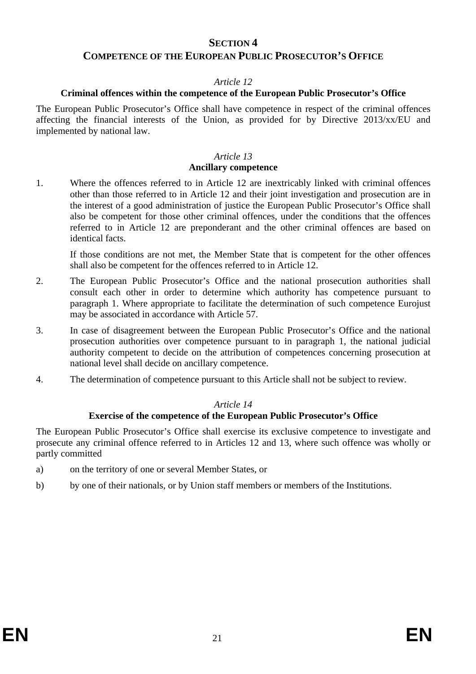# **SECTION 4 COMPETENCE OF THE EUROPEAN PUBLIC PROSECUTOR'S OFFICE**

## *Article 12*

## **Criminal offences within the competence of the European Public Prosecutor's Office**

The European Public Prosecutor's Office shall have competence in respect of the criminal offences affecting the financial interests of the Union, as provided for by Directive 2013/xx/EU and implemented by national law.

## *Article 13*

### **Ancillary competence**

1. Where the offences referred to in Article 12 are inextricably linked with criminal offences other than those referred to in Article 12 and their joint investigation and prosecution are in the interest of a good administration of justice the European Public Prosecutor's Office shall also be competent for those other criminal offences, under the conditions that the offences referred to in Article 12 are preponderant and the other criminal offences are based on identical facts.

 If those conditions are not met, the Member State that is competent for the other offences shall also be competent for the offences referred to in Article 12.

- 2. The European Public Prosecutor's Office and the national prosecution authorities shall consult each other in order to determine which authority has competence pursuant to paragraph 1. Where appropriate to facilitate the determination of such competence Eurojust may be associated in accordance with Article 57.
- 3. In case of disagreement between the European Public Prosecutor's Office and the national prosecution authorities over competence pursuant to in paragraph 1, the national judicial authority competent to decide on the attribution of competences concerning prosecution at national level shall decide on ancillary competence.
- 4. The determination of competence pursuant to this Article shall not be subject to review.

### *Article 14*

### **Exercise of the competence of the European Public Prosecutor's Office**

The European Public Prosecutor's Office shall exercise its exclusive competence to investigate and prosecute any criminal offence referred to in Articles 12 and 13, where such offence was wholly or partly committed

- a) on the territory of one or several Member States, or
- b) by one of their nationals, or by Union staff members or members of the Institutions.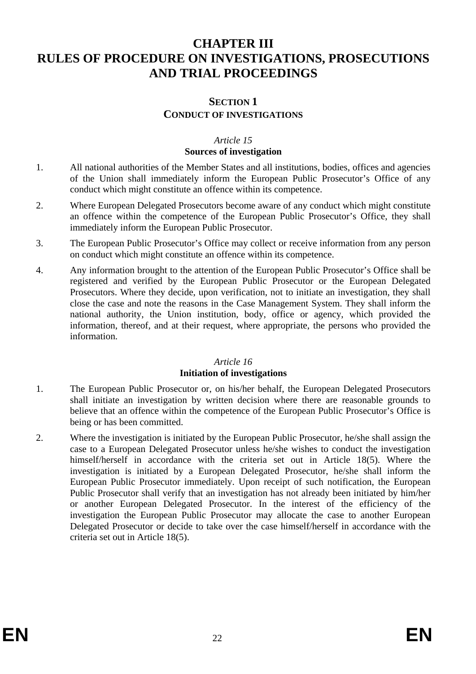# **CHAPTER III RULES OF PROCEDURE ON INVESTIGATIONS, PROSECUTIONS AND TRIAL PROCEEDINGS**

# **SECTION 1 CONDUCT OF INVESTIGATIONS**

# *Article 15*  **Sources of investigation**

- 1. All national authorities of the Member States and all institutions, bodies, offices and agencies of the Union shall immediately inform the European Public Prosecutor's Office of any conduct which might constitute an offence within its competence.
- 2. Where European Delegated Prosecutors become aware of any conduct which might constitute an offence within the competence of the European Public Prosecutor's Office, they shall immediately inform the European Public Prosecutor.
- 3. The European Public Prosecutor's Office may collect or receive information from any person on conduct which might constitute an offence within its competence.
- 4. Any information brought to the attention of the European Public Prosecutor's Office shall be registered and verified by the European Public Prosecutor or the European Delegated Prosecutors. Where they decide, upon verification, not to initiate an investigation, they shall close the case and note the reasons in the Case Management System. They shall inform the national authority, the Union institution, body, office or agency, which provided the information, thereof, and at their request, where appropriate, the persons who provided the information.

#### *Article 16*

### **Initiation of investigations**

- 1. The European Public Prosecutor or, on his/her behalf, the European Delegated Prosecutors shall initiate an investigation by written decision where there are reasonable grounds to believe that an offence within the competence of the European Public Prosecutor's Office is being or has been committed.
- 2. Where the investigation is initiated by the European Public Prosecutor, he/she shall assign the case to a European Delegated Prosecutor unless he/she wishes to conduct the investigation himself/herself in accordance with the criteria set out in Article 18(5). Where the investigation is initiated by a European Delegated Prosecutor, he/she shall inform the European Public Prosecutor immediately. Upon receipt of such notification, the European Public Prosecutor shall verify that an investigation has not already been initiated by him/her or another European Delegated Prosecutor. In the interest of the efficiency of the investigation the European Public Prosecutor may allocate the case to another European Delegated Prosecutor or decide to take over the case himself/herself in accordance with the criteria set out in Article 18(5).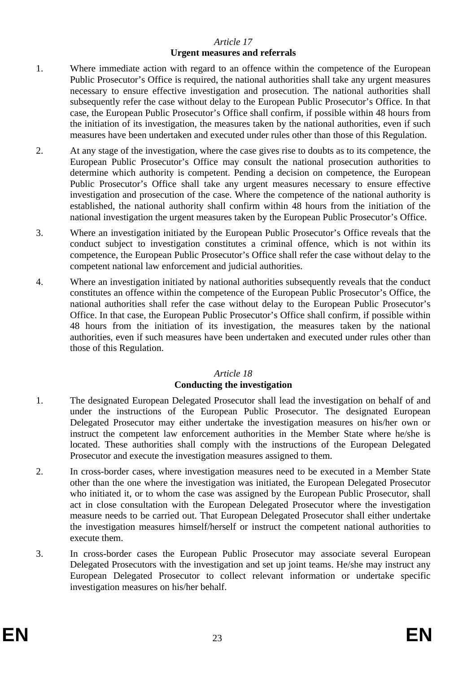#### *Article 17*  **Urgent measures and referrals**

- 1. Where immediate action with regard to an offence within the competence of the European Public Prosecutor's Office is required, the national authorities shall take any urgent measures necessary to ensure effective investigation and prosecution. The national authorities shall subsequently refer the case without delay to the European Public Prosecutor's Office. In that case, the European Public Prosecutor's Office shall confirm, if possible within 48 hours from the initiation of its investigation, the measures taken by the national authorities, even if such measures have been undertaken and executed under rules other than those of this Regulation.
- 2. At any stage of the investigation, where the case gives rise to doubts as to its competence, the European Public Prosecutor's Office may consult the national prosecution authorities to determine which authority is competent. Pending a decision on competence, the European Public Prosecutor's Office shall take any urgent measures necessary to ensure effective investigation and prosecution of the case. Where the competence of the national authority is established, the national authority shall confirm within 48 hours from the initiation of the national investigation the urgent measures taken by the European Public Prosecutor's Office.
- 3. Where an investigation initiated by the European Public Prosecutor's Office reveals that the conduct subject to investigation constitutes a criminal offence, which is not within its competence, the European Public Prosecutor's Office shall refer the case without delay to the competent national law enforcement and judicial authorities.
- 4. Where an investigation initiated by national authorities subsequently reveals that the conduct constitutes an offence within the competence of the European Public Prosecutor's Office, the national authorities shall refer the case without delay to the European Public Prosecutor's Office. In that case, the European Public Prosecutor's Office shall confirm, if possible within 48 hours from the initiation of its investigation, the measures taken by the national authorities, even if such measures have been undertaken and executed under rules other than those of this Regulation.

# *Article 18*  **Conducting the investigation**

- 1. The designated European Delegated Prosecutor shall lead the investigation on behalf of and under the instructions of the European Public Prosecutor. The designated European Delegated Prosecutor may either undertake the investigation measures on his/her own or instruct the competent law enforcement authorities in the Member State where he/she is located. These authorities shall comply with the instructions of the European Delegated Prosecutor and execute the investigation measures assigned to them.
- 2. In cross-border cases, where investigation measures need to be executed in a Member State other than the one where the investigation was initiated, the European Delegated Prosecutor who initiated it, or to whom the case was assigned by the European Public Prosecutor, shall act in close consultation with the European Delegated Prosecutor where the investigation measure needs to be carried out. That European Delegated Prosecutor shall either undertake the investigation measures himself/herself or instruct the competent national authorities to execute them.
- 3. In cross-border cases the European Public Prosecutor may associate several European Delegated Prosecutors with the investigation and set up joint teams. He/she may instruct any European Delegated Prosecutor to collect relevant information or undertake specific investigation measures on his/her behalf.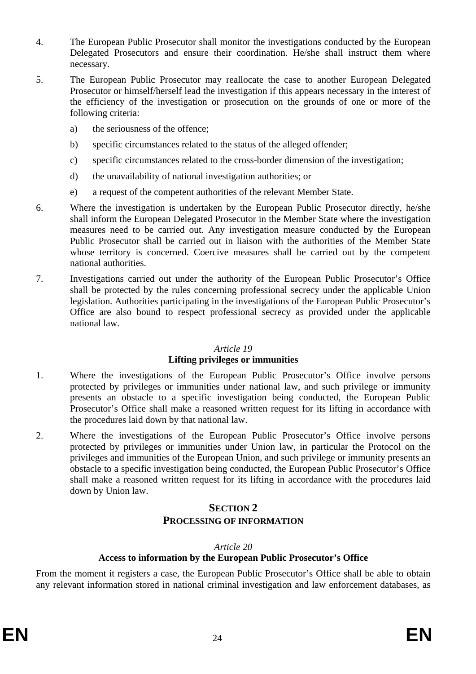- 4. The European Public Prosecutor shall monitor the investigations conducted by the European Delegated Prosecutors and ensure their coordination. He/she shall instruct them where necessary.
- 5. The European Public Prosecutor may reallocate the case to another European Delegated Prosecutor or himself/herself lead the investigation if this appears necessary in the interest of the efficiency of the investigation or prosecution on the grounds of one or more of the following criteria:
	- a) the seriousness of the offence;
	- b) specific circumstances related to the status of the alleged offender;
	- c) specific circumstances related to the cross-border dimension of the investigation;
	- d) the unavailability of national investigation authorities; or
	- e) a request of the competent authorities of the relevant Member State.
- 6. Where the investigation is undertaken by the European Public Prosecutor directly, he/she shall inform the European Delegated Prosecutor in the Member State where the investigation measures need to be carried out. Any investigation measure conducted by the European Public Prosecutor shall be carried out in liaison with the authorities of the Member State whose territory is concerned. Coercive measures shall be carried out by the competent national authorities.
- 7. Investigations carried out under the authority of the European Public Prosecutor's Office shall be protected by the rules concerning professional secrecy under the applicable Union legislation. Authorities participating in the investigations of the European Public Prosecutor's Office are also bound to respect professional secrecy as provided under the applicable national law.

#### *Article 19*

# **Lifting privileges or immunities**

- 1. Where the investigations of the European Public Prosecutor's Office involve persons protected by privileges or immunities under national law, and such privilege or immunity presents an obstacle to a specific investigation being conducted, the European Public Prosecutor's Office shall make a reasoned written request for its lifting in accordance with the procedures laid down by that national law.
- 2. Where the investigations of the European Public Prosecutor's Office involve persons protected by privileges or immunities under Union law, in particular the Protocol on the privileges and immunities of the European Union, and such privilege or immunity presents an obstacle to a specific investigation being conducted, the European Public Prosecutor's Office shall make a reasoned written request for its lifting in accordance with the procedures laid down by Union law.

# **SECTION 2 PROCESSING OF INFORMATION**

### *Article 20*

### **Access to information by the European Public Prosecutor's Office**

From the moment it registers a case, the European Public Prosecutor's Office shall be able to obtain any relevant information stored in national criminal investigation and law enforcement databases, as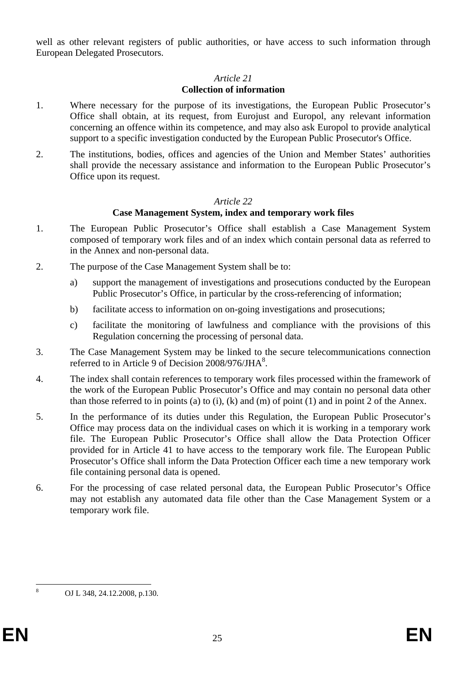well as other relevant registers of public authorities, or have access to such information through European Delegated Prosecutors.

### *Article 21*

### **Collection of information**

- 1. Where necessary for the purpose of its investigations, the European Public Prosecutor's Office shall obtain, at its request, from Eurojust and Europol, any relevant information concerning an offence within its competence, and may also ask Europol to provide analytical support to a specific investigation conducted by the European Public Prosecutor's Office.
- 2. The institutions, bodies, offices and agencies of the Union and Member States' authorities shall provide the necessary assistance and information to the European Public Prosecutor's Office upon its request.

### *Article 22*

### **Case Management System, index and temporary work files**

- 1. The European Public Prosecutor's Office shall establish a Case Management System composed of temporary work files and of an index which contain personal data as referred to in the Annex and non-personal data.
- 2. The purpose of the Case Management System shall be to:
	- a) support the management of investigations and prosecutions conducted by the European Public Prosecutor's Office, in particular by the cross-referencing of information;
	- b) facilitate access to information on on-going investigations and prosecutions;
	- c) facilitate the monitoring of lawfulness and compliance with the provisions of this Regulation concerning the processing of personal data.
- 3. The Case Management System may be linked to the secure telecommunications connection referred to in Article 9 of Decision 2008/976/JHA<sup>8</sup>.
- 4. The index shall contain references to temporary work files processed within the framework of the work of the European Public Prosecutor's Office and may contain no personal data other than those referred to in points (a) to (i), (k) and (m) of point (1) and in point 2 of the Annex.
- 5. In the performance of its duties under this Regulation, the European Public Prosecutor's Office may process data on the individual cases on which it is working in a temporary work file. The European Public Prosecutor's Office shall allow the Data Protection Officer provided for in Article 41 to have access to the temporary work file. The European Public Prosecutor's Office shall inform the Data Protection Officer each time a new temporary work file containing personal data is opened.
- 6. For the processing of case related personal data, the European Public Prosecutor's Office may not establish any automated data file other than the Case Management System or a temporary work file.

8 OJ L 348, 24.12.2008, p.130.

 $\overline{a}$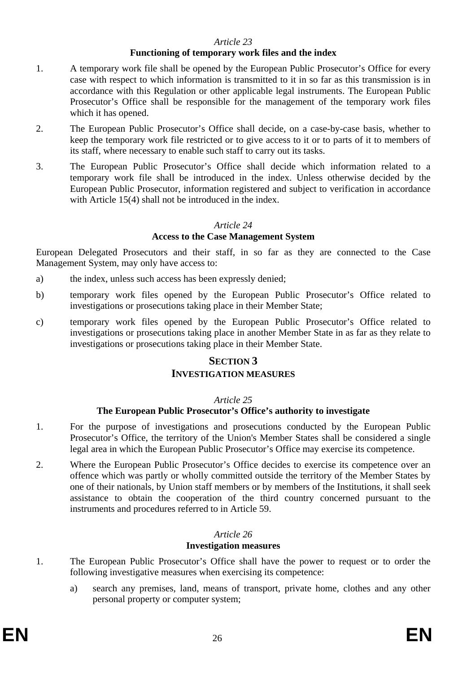#### *Article 23*

### **Functioning of temporary work files and the index**

- 1. A temporary work file shall be opened by the European Public Prosecutor's Office for every case with respect to which information is transmitted to it in so far as this transmission is in accordance with this Regulation or other applicable legal instruments. The European Public Prosecutor's Office shall be responsible for the management of the temporary work files which it has opened.
- 2. The European Public Prosecutor's Office shall decide, on a case-by-case basis, whether to keep the temporary work file restricted or to give access to it or to parts of it to members of its staff, where necessary to enable such staff to carry out its tasks.
- 3. The European Public Prosecutor's Office shall decide which information related to a temporary work file shall be introduced in the index. Unless otherwise decided by the European Public Prosecutor, information registered and subject to verification in accordance with Article 15(4) shall not be introduced in the index.

### *Article 24*

# **Access to the Case Management System**

European Delegated Prosecutors and their staff, in so far as they are connected to the Case Management System, may only have access to:

- a) the index, unless such access has been expressly denied;
- b) temporary work files opened by the European Public Prosecutor's Office related to investigations or prosecutions taking place in their Member State;
- c) temporary work files opened by the European Public Prosecutor's Office related to investigations or prosecutions taking place in another Member State in as far as they relate to investigations or prosecutions taking place in their Member State.

# **SECTION 3**

# **INVESTIGATION MEASURES**

### *Article 25*

# **The European Public Prosecutor's Office's authority to investigate**

- 1. For the purpose of investigations and prosecutions conducted by the European Public Prosecutor's Office, the territory of the Union's Member States shall be considered a single legal area in which the European Public Prosecutor's Office may exercise its competence.
- 2. Where the European Public Prosecutor's Office decides to exercise its competence over an offence which was partly or wholly committed outside the territory of the Member States by one of their nationals, by Union staff members or by members of the Institutions, it shall seek assistance to obtain the cooperation of the third country concerned pursuant to the instruments and procedures referred to in Article 59.

#### *Article 26*  **Investigation measures**

- 1. The European Public Prosecutor's Office shall have the power to request or to order the following investigative measures when exercising its competence:
	- a) search any premises, land, means of transport, private home, clothes and any other personal property or computer system;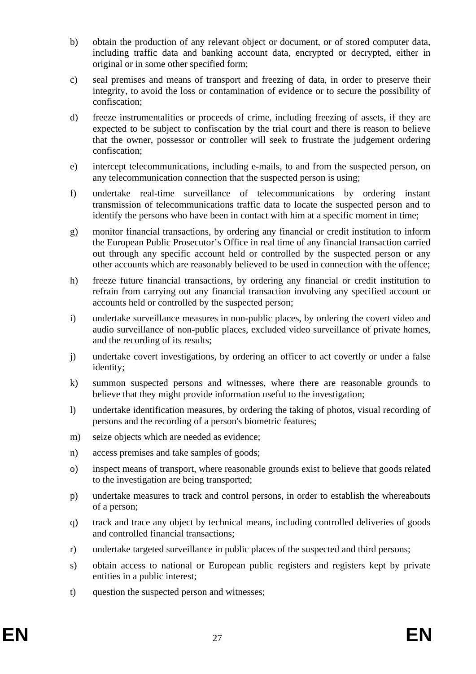- b) obtain the production of any relevant object or document, or of stored computer data, including traffic data and banking account data, encrypted or decrypted, either in original or in some other specified form;
- c) seal premises and means of transport and freezing of data, in order to preserve their integrity, to avoid the loss or contamination of evidence or to secure the possibility of confiscation;
- d) freeze instrumentalities or proceeds of crime, including freezing of assets, if they are expected to be subject to confiscation by the trial court and there is reason to believe that the owner, possessor or controller will seek to frustrate the judgement ordering confiscation;
- e) intercept telecommunications, including e-mails, to and from the suspected person, on any telecommunication connection that the suspected person is using;
- f) undertake real-time surveillance of telecommunications by ordering instant transmission of telecommunications traffic data to locate the suspected person and to identify the persons who have been in contact with him at a specific moment in time;
- g) monitor financial transactions, by ordering any financial or credit institution to inform the European Public Prosecutor's Office in real time of any financial transaction carried out through any specific account held or controlled by the suspected person or any other accounts which are reasonably believed to be used in connection with the offence;
- h) freeze future financial transactions, by ordering any financial or credit institution to refrain from carrying out any financial transaction involving any specified account or accounts held or controlled by the suspected person;
- i) undertake surveillance measures in non-public places, by ordering the covert video and audio surveillance of non-public places, excluded video surveillance of private homes, and the recording of its results;
- j) undertake covert investigations, by ordering an officer to act covertly or under a false identity;
- k) summon suspected persons and witnesses, where there are reasonable grounds to believe that they might provide information useful to the investigation;
- l) undertake identification measures, by ordering the taking of photos, visual recording of persons and the recording of a person's biometric features;
- m) seize objects which are needed as evidence;
- n) access premises and take samples of goods;
- o) inspect means of transport, where reasonable grounds exist to believe that goods related to the investigation are being transported;
- p) undertake measures to track and control persons, in order to establish the whereabouts of a person;
- q) track and trace any object by technical means, including controlled deliveries of goods and controlled financial transactions;
- r) undertake targeted surveillance in public places of the suspected and third persons;
- s) obtain access to national or European public registers and registers kept by private entities in a public interest;
- t) question the suspected person and witnesses;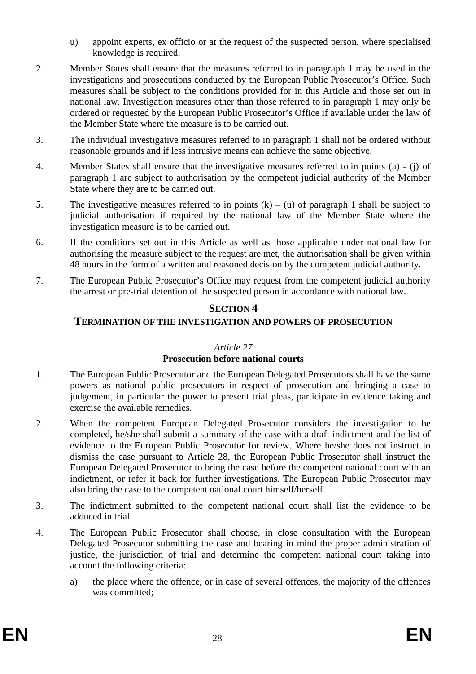- u) appoint experts, ex officio or at the request of the suspected person, where specialised knowledge is required.
- 2. Member States shall ensure that the measures referred to in paragraph 1 may be used in the investigations and prosecutions conducted by the European Public Prosecutor's Office. Such measures shall be subject to the conditions provided for in this Article and those set out in national law. Investigation measures other than those referred to in paragraph 1 may only be ordered or requested by the European Public Prosecutor's Office if available under the law of the Member State where the measure is to be carried out.
- 3. The individual investigative measures referred to in paragraph 1 shall not be ordered without reasonable grounds and if less intrusive means can achieve the same objective.
- 4. Member States shall ensure that the investigative measures referred to in points (a) (j) of paragraph 1 are subject to authorisation by the competent judicial authority of the Member State where they are to be carried out.
- 5. The investigative measures referred to in points  $(k) (u)$  of paragraph 1 shall be subject to judicial authorisation if required by the national law of the Member State where the investigation measure is to be carried out.
- 6. If the conditions set out in this Article as well as those applicable under national law for authorising the measure subject to the request are met, the authorisation shall be given within 48 hours in the form of a written and reasoned decision by the competent judicial authority.
- 7. The European Public Prosecutor's Office may request from the competent judicial authority the arrest or pre-trial detention of the suspected person in accordance with national law.

# **SECTION 4**

# **TERMINATION OF THE INVESTIGATION AND POWERS OF PROSECUTION**

### *Article 27*

# **Prosecution before national courts**

- 1. The European Public Prosecutor and the European Delegated Prosecutors shall have the same powers as national public prosecutors in respect of prosecution and bringing a case to judgement, in particular the power to present trial pleas, participate in evidence taking and exercise the available remedies.
- 2. When the competent European Delegated Prosecutor considers the investigation to be completed, he/she shall submit a summary of the case with a draft indictment and the list of evidence to the European Public Prosecutor for review. Where he/she does not instruct to dismiss the case pursuant to Article 28, the European Public Prosecutor shall instruct the European Delegated Prosecutor to bring the case before the competent national court with an indictment, or refer it back for further investigations. The European Public Prosecutor may also bring the case to the competent national court himself/herself.
- 3. The indictment submitted to the competent national court shall list the evidence to be adduced in trial.
- 4. The European Public Prosecutor shall choose, in close consultation with the European Delegated Prosecutor submitting the case and bearing in mind the proper administration of justice, the jurisdiction of trial and determine the competent national court taking into account the following criteria:
	- a) the place where the offence, or in case of several offences, the majority of the offences was committed;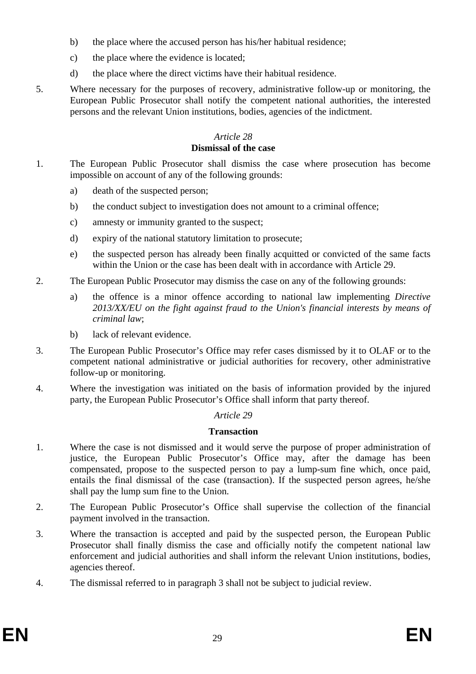- b) the place where the accused person has his/her habitual residence;
- c) the place where the evidence is located;
- d) the place where the direct victims have their habitual residence.
- 5. Where necessary for the purposes of recovery, administrative follow-up or monitoring, the European Public Prosecutor shall notify the competent national authorities, the interested persons and the relevant Union institutions, bodies, agencies of the indictment.

# *Article 28*

# **Dismissal of the case**

- 1. The European Public Prosecutor shall dismiss the case where prosecution has become impossible on account of any of the following grounds:
	- a) death of the suspected person;
	- b) the conduct subject to investigation does not amount to a criminal offence;
	- c) amnesty or immunity granted to the suspect;
	- d) expiry of the national statutory limitation to prosecute;
	- e) the suspected person has already been finally acquitted or convicted of the same facts within the Union or the case has been dealt with in accordance with Article 29.
- 2. The European Public Prosecutor may dismiss the case on any of the following grounds:
	- a) the offence is a minor offence according to national law implementing *Directive 2013/XX/EU on the fight against fraud to the Union's financial interests by means of criminal law*;
	- b) lack of relevant evidence.
- 3. The European Public Prosecutor's Office may refer cases dismissed by it to OLAF or to the competent national administrative or judicial authorities for recovery, other administrative follow-up or monitoring.
- 4. Where the investigation was initiated on the basis of information provided by the injured party, the European Public Prosecutor's Office shall inform that party thereof.

# *Article 29*

# **Transaction**

- 1. Where the case is not dismissed and it would serve the purpose of proper administration of justice, the European Public Prosecutor's Office may, after the damage has been compensated, propose to the suspected person to pay a lump-sum fine which, once paid, entails the final dismissal of the case (transaction). If the suspected person agrees, he/she shall pay the lump sum fine to the Union.
- 2. The European Public Prosecutor's Office shall supervise the collection of the financial payment involved in the transaction.
- 3. Where the transaction is accepted and paid by the suspected person, the European Public Prosecutor shall finally dismiss the case and officially notify the competent national law enforcement and judicial authorities and shall inform the relevant Union institutions, bodies, agencies thereof.
- 4. The dismissal referred to in paragraph 3 shall not be subject to judicial review.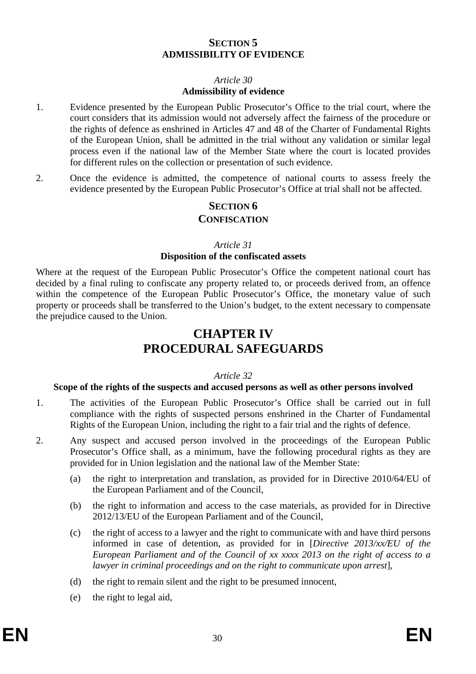# **SECTION 5 ADMISSIBILITY OF EVIDENCE**

#### *Article 30*  **Admissibility of evidence**

- 1. Evidence presented by the European Public Prosecutor's Office to the trial court, where the court considers that its admission would not adversely affect the fairness of the procedure or the rights of defence as enshrined in Articles 47 and 48 of the Charter of Fundamental Rights of the European Union, shall be admitted in the trial without any validation or similar legal process even if the national law of the Member State where the court is located provides for different rules on the collection or presentation of such evidence.
- 2. Once the evidence is admitted, the competence of national courts to assess freely the evidence presented by the European Public Prosecutor's Office at trial shall not be affected.

# **SECTION 6 CONFISCATION**

#### *Article 31*

### **Disposition of the confiscated assets**

Where at the request of the European Public Prosecutor's Office the competent national court has decided by a final ruling to confiscate any property related to, or proceeds derived from, an offence within the competence of the European Public Prosecutor's Office, the monetary value of such property or proceeds shall be transferred to the Union's budget, to the extent necessary to compensate the prejudice caused to the Union.

# **CHAPTER IV PROCEDURAL SAFEGUARDS**

### *Article 32*

#### **Scope of the rights of the suspects and accused persons as well as other persons involved**

- 1. The activities of the European Public Prosecutor's Office shall be carried out in full compliance with the rights of suspected persons enshrined in the Charter of Fundamental Rights of the European Union, including the right to a fair trial and the rights of defence.
- 2. Any suspect and accused person involved in the proceedings of the European Public Prosecutor's Office shall, as a minimum, have the following procedural rights as they are provided for in Union legislation and the national law of the Member State:
	- (a) the right to interpretation and translation, as provided for in Directive 2010/64/EU of the European Parliament and of the Council,
	- (b) the right to information and access to the case materials, as provided for in Directive 2012/13/EU of the European Parliament and of the Council,
	- (c) the right of access to a lawyer and the right to communicate with and have third persons informed in case of detention, as provided for in [*Directive 2013/xx/EU of the European Parliament and of the Council of xx xxxx 2013 on the right of access to a lawyer in criminal proceedings and on the right to communicate upon arrest*],
	- (d) the right to remain silent and the right to be presumed innocent,
	- (e) the right to legal aid,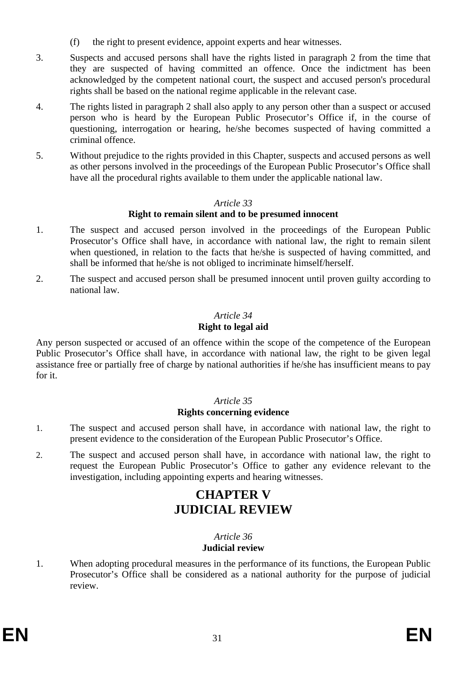- (f) the right to present evidence, appoint experts and hear witnesses.
- 3. Suspects and accused persons shall have the rights listed in paragraph 2 from the time that they are suspected of having committed an offence. Once the indictment has been acknowledged by the competent national court, the suspect and accused person's procedural rights shall be based on the national regime applicable in the relevant case.
- 4. The rights listed in paragraph 2 shall also apply to any person other than a suspect or accused person who is heard by the European Public Prosecutor's Office if, in the course of questioning, interrogation or hearing, he/she becomes suspected of having committed a criminal offence.
- 5. Without prejudice to the rights provided in this Chapter, suspects and accused persons as well as other persons involved in the proceedings of the European Public Prosecutor's Office shall have all the procedural rights available to them under the applicable national law.

### *Article 33*

# **Right to remain silent and to be presumed innocent**

- 1. The suspect and accused person involved in the proceedings of the European Public Prosecutor's Office shall have, in accordance with national law, the right to remain silent when questioned, in relation to the facts that he/she is suspected of having committed, and shall be informed that he/she is not obliged to incriminate himself/herself.
- 2. The suspect and accused person shall be presumed innocent until proven guilty according to national law.

# *Article 34*

# **Right to legal aid**

Any person suspected or accused of an offence within the scope of the competence of the European Public Prosecutor's Office shall have, in accordance with national law, the right to be given legal assistance free or partially free of charge by national authorities if he/she has insufficient means to pay for it.

### *Article 35*

### **Rights concerning evidence**

- 1. The suspect and accused person shall have, in accordance with national law, the right to present evidence to the consideration of the European Public Prosecutor's Office.
- 2. The suspect and accused person shall have, in accordance with national law, the right to request the European Public Prosecutor's Office to gather any evidence relevant to the investigation, including appointing experts and hearing witnesses.

# **CHAPTER V JUDICIAL REVIEW**

### *Article 36*  **Judicial review**

1. When adopting procedural measures in the performance of its functions, the European Public Prosecutor's Office shall be considered as a national authority for the purpose of judicial review.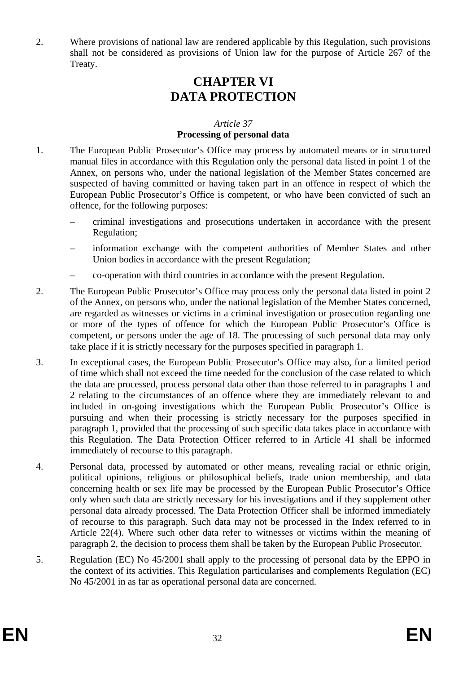2. Where provisions of national law are rendered applicable by this Regulation, such provisions shall not be considered as provisions of Union law for the purpose of Article 267 of the Treaty.

# **CHAPTER VI DATA PROTECTION**

# *Article 37*

# **Processing of personal data**

- 1. The European Public Prosecutor's Office may process by automated means or in structured manual files in accordance with this Regulation only the personal data listed in point 1 of the Annex, on persons who, under the national legislation of the Member States concerned are suspected of having committed or having taken part in an offence in respect of which the European Public Prosecutor's Office is competent, or who have been convicted of such an offence, for the following purposes:
	- criminal investigations and prosecutions undertaken in accordance with the present Regulation;
	- information exchange with the competent authorities of Member States and other Union bodies in accordance with the present Regulation;
	- co-operation with third countries in accordance with the present Regulation.
- 2. The European Public Prosecutor's Office may process only the personal data listed in point 2 of the Annex, on persons who, under the national legislation of the Member States concerned, are regarded as witnesses or victims in a criminal investigation or prosecution regarding one or more of the types of offence for which the European Public Prosecutor's Office is competent, or persons under the age of 18. The processing of such personal data may only take place if it is strictly necessary for the purposes specified in paragraph 1.
- 3. In exceptional cases, the European Public Prosecutor's Office may also, for a limited period of time which shall not exceed the time needed for the conclusion of the case related to which the data are processed, process personal data other than those referred to in paragraphs 1 and 2 relating to the circumstances of an offence where they are immediately relevant to and included in on-going investigations which the European Public Prosecutor's Office is pursuing and when their processing is strictly necessary for the purposes specified in paragraph 1, provided that the processing of such specific data takes place in accordance with this Regulation. The Data Protection Officer referred to in Article 41 shall be informed immediately of recourse to this paragraph.
- 4. Personal data, processed by automated or other means, revealing racial or ethnic origin, political opinions, religious or philosophical beliefs, trade union membership, and data concerning health or sex life may be processed by the European Public Prosecutor's Office only when such data are strictly necessary for his investigations and if they supplement other personal data already processed. The Data Protection Officer shall be informed immediately of recourse to this paragraph. Such data may not be processed in the Index referred to in Article 22(4). Where such other data refer to witnesses or victims within the meaning of paragraph 2, the decision to process them shall be taken by the European Public Prosecutor.
- 5. Regulation (EC) No 45/2001 shall apply to the processing of personal data by the EPPO in the context of its activities. This Regulation particularises and complements Regulation (EC) No 45/2001 in as far as operational personal data are concerned.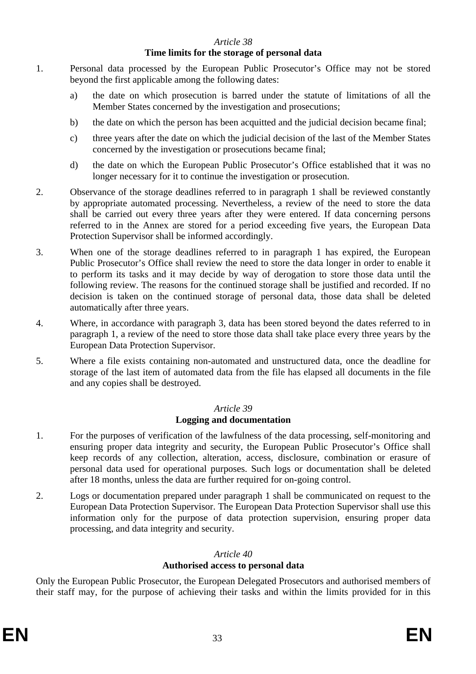#### *Article 38*

### **Time limits for the storage of personal data**

- 1. Personal data processed by the European Public Prosecutor's Office may not be stored beyond the first applicable among the following dates:
	- a) the date on which prosecution is barred under the statute of limitations of all the Member States concerned by the investigation and prosecutions;
	- b) the date on which the person has been acquitted and the judicial decision became final;
	- c) three years after the date on which the judicial decision of the last of the Member States concerned by the investigation or prosecutions became final;
	- d) the date on which the European Public Prosecutor's Office established that it was no longer necessary for it to continue the investigation or prosecution.
- 2. Observance of the storage deadlines referred to in paragraph 1 shall be reviewed constantly by appropriate automated processing. Nevertheless, a review of the need to store the data shall be carried out every three years after they were entered. If data concerning persons referred to in the Annex are stored for a period exceeding five years, the European Data Protection Supervisor shall be informed accordingly.
- 3. When one of the storage deadlines referred to in paragraph 1 has expired, the European Public Prosecutor's Office shall review the need to store the data longer in order to enable it to perform its tasks and it may decide by way of derogation to store those data until the following review. The reasons for the continued storage shall be justified and recorded. If no decision is taken on the continued storage of personal data, those data shall be deleted automatically after three years.
- 4. Where, in accordance with paragraph 3, data has been stored beyond the dates referred to in paragraph 1, a review of the need to store those data shall take place every three years by the European Data Protection Supervisor.
- 5. Where a file exists containing non-automated and unstructured data, once the deadline for storage of the last item of automated data from the file has elapsed all documents in the file and any copies shall be destroyed.

### *Article 39*

### **Logging and documentation**

- 1. For the purposes of verification of the lawfulness of the data processing, self-monitoring and ensuring proper data integrity and security, the European Public Prosecutor's Office shall keep records of any collection, alteration, access, disclosure, combination or erasure of personal data used for operational purposes. Such logs or documentation shall be deleted after 18 months, unless the data are further required for on-going control.
- 2. Logs or documentation prepared under paragraph 1 shall be communicated on request to the European Data Protection Supervisor. The European Data Protection Supervisor shall use this information only for the purpose of data protection supervision, ensuring proper data processing, and data integrity and security.

### *Article 40*

# **Authorised access to personal data**

Only the European Public Prosecutor, the European Delegated Prosecutors and authorised members of their staff may, for the purpose of achieving their tasks and within the limits provided for in this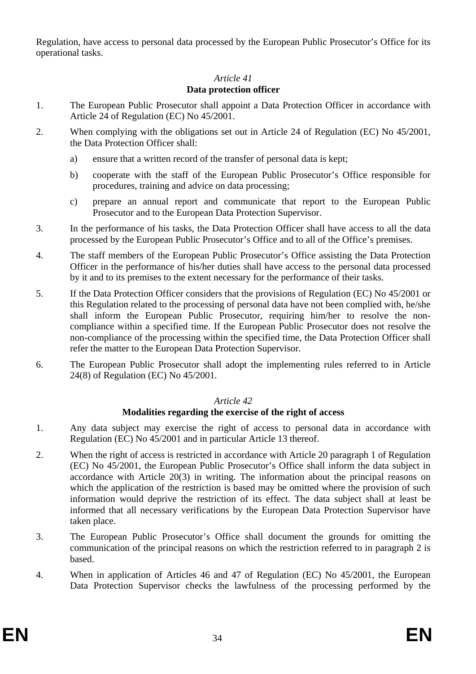Regulation, have access to personal data processed by the European Public Prosecutor's Office for its operational tasks.

# *Article 41*  **Data protection officer**

- 1. The European Public Prosecutor shall appoint a Data Protection Officer in accordance with Article 24 of Regulation (EC) No 45/2001.
- 2. When complying with the obligations set out in Article 24 of Regulation (EC) No 45/2001, the Data Protection Officer shall:
	- a) ensure that a written record of the transfer of personal data is kept;
	- b) cooperate with the staff of the European Public Prosecutor's Office responsible for procedures, training and advice on data processing;
	- c) prepare an annual report and communicate that report to the European Public Prosecutor and to the European Data Protection Supervisor.
- 3. In the performance of his tasks, the Data Protection Officer shall have access to all the data processed by the European Public Prosecutor's Office and to all of the Office's premises.
- 4. The staff members of the European Public Prosecutor's Office assisting the Data Protection Officer in the performance of his/her duties shall have access to the personal data processed by it and to its premises to the extent necessary for the performance of their tasks.
- 5. If the Data Protection Officer considers that the provisions of Regulation (EC) No 45/2001 or this Regulation related to the processing of personal data have not been complied with, he/she shall inform the European Public Prosecutor, requiring him/her to resolve the noncompliance within a specified time. If the European Public Prosecutor does not resolve the non-compliance of the processing within the specified time, the Data Protection Officer shall refer the matter to the European Data Protection Supervisor.
- 6. The European Public Prosecutor shall adopt the implementing rules referred to in Article 24(8) of Regulation (EC) No 45/2001.

# *Article 42*

# **Modalities regarding the exercise of the right of access**

- 1. Any data subject may exercise the right of access to personal data in accordance with Regulation (EC) No 45/2001 and in particular Article 13 thereof.
- 2. When the right of access is restricted in accordance with Article 20 paragraph 1 of Regulation (EC) No 45/2001, the European Public Prosecutor's Office shall inform the data subject in accordance with Article 20(3) in writing. The information about the principal reasons on which the application of the restriction is based may be omitted where the provision of such information would deprive the restriction of its effect. The data subject shall at least be informed that all necessary verifications by the European Data Protection Supervisor have taken place.
- 3. The European Public Prosecutor's Office shall document the grounds for omitting the communication of the principal reasons on which the restriction referred to in paragraph 2 is based.
- 4. When in application of Articles 46 and 47 of Regulation (EC) No 45/2001, the European Data Protection Supervisor checks the lawfulness of the processing performed by the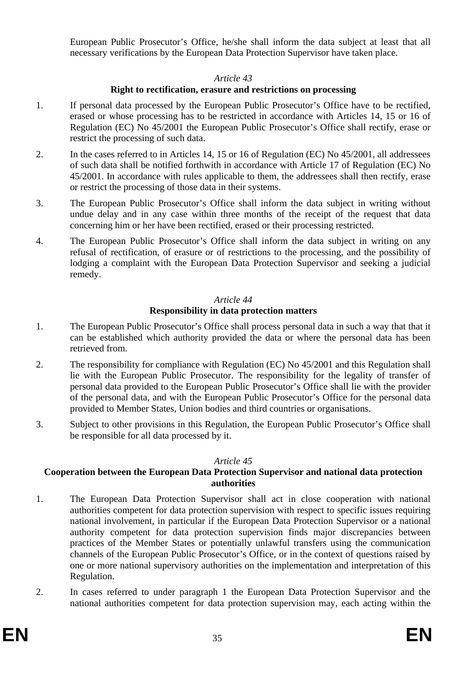European Public Prosecutor's Office, he/she shall inform the data subject at least that all necessary verifications by the European Data Protection Supervisor have taken place.

### *Article 43*

### **Right to rectification, erasure and restrictions on processing**

- 1. If personal data processed by the European Public Prosecutor's Office have to be rectified, erased or whose processing has to be restricted in accordance with Articles 14, 15 or 16 of Regulation (EC) No 45/2001 the European Public Prosecutor's Office shall rectify, erase or restrict the processing of such data.
- 2. In the cases referred to in Articles 14, 15 or 16 of Regulation (EC) No 45/2001, all addressees of such data shall be notified forthwith in accordance with Article 17 of Regulation (EC) No 45/2001. In accordance with rules applicable to them, the addressees shall then rectify, erase or restrict the processing of those data in their systems.
- 3. The European Public Prosecutor's Office shall inform the data subject in writing without undue delay and in any case within three months of the receipt of the request that data concerning him or her have been rectified, erased or their processing restricted.
- 4. The European Public Prosecutor's Office shall inform the data subject in writing on any refusal of rectification, of erasure or of restrictions to the processing, and the possibility of lodging a complaint with the European Data Protection Supervisor and seeking a judicial remedy.

### *Article 44*

### **Responsibility in data protection matters**

- 1. The European Public Prosecutor's Office shall process personal data in such a way that that it can be established which authority provided the data or where the personal data has been retrieved from.
- 2. The responsibility for compliance with Regulation (EC) No 45/2001 and this Regulation shall lie with the European Public Prosecutor. The responsibility for the legality of transfer of personal data provided to the European Public Prosecutor's Office shall lie with the provider of the personal data, and with the European Public Prosecutor's Office for the personal data provided to Member States, Union bodies and third countries or organisations.
- 3. Subject to other provisions in this Regulation, the European Public Prosecutor's Office shall be responsible for all data processed by it.

### *Article 45*

### **Cooperation between the European Data Protection Supervisor and national data protection authorities**

- 1. The European Data Protection Supervisor shall act in close cooperation with national authorities competent for data protection supervision with respect to specific issues requiring national involvement, in particular if the European Data Protection Supervisor or a national authority competent for data protection supervision finds major discrepancies between practices of the Member States or potentially unlawful transfers using the communication channels of the European Public Prosecutor's Office, or in the context of questions raised by one or more national supervisory authorities on the implementation and interpretation of this Regulation.
- 2. In cases referred to under paragraph 1 the European Data Protection Supervisor and the national authorities competent for data protection supervision may, each acting within the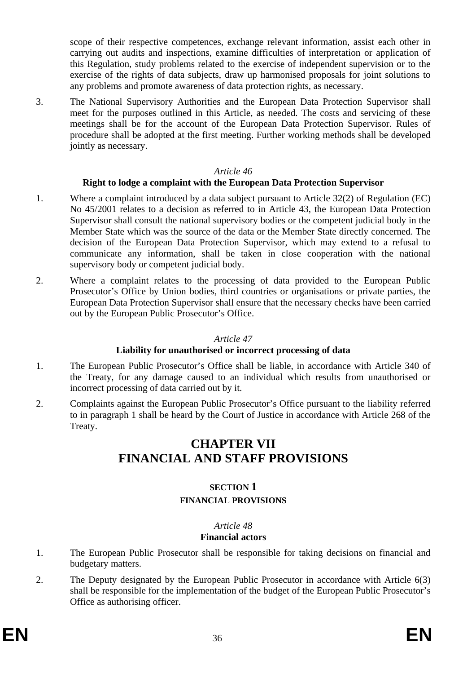scope of their respective competences, exchange relevant information, assist each other in carrying out audits and inspections, examine difficulties of interpretation or application of this Regulation, study problems related to the exercise of independent supervision or to the exercise of the rights of data subjects, draw up harmonised proposals for joint solutions to any problems and promote awareness of data protection rights, as necessary.

3. The National Supervisory Authorities and the European Data Protection Supervisor shall meet for the purposes outlined in this Article, as needed. The costs and servicing of these meetings shall be for the account of the European Data Protection Supervisor. Rules of procedure shall be adopted at the first meeting. Further working methods shall be developed jointly as necessary.

#### *Article 46*

#### **Right to lodge a complaint with the European Data Protection Supervisor**

- 1. Where a complaint introduced by a data subject pursuant to Article 32(2) of Regulation (EC) No 45/2001 relates to a decision as referred to in Article 43, the European Data Protection Supervisor shall consult the national supervisory bodies or the competent judicial body in the Member State which was the source of the data or the Member State directly concerned. The decision of the European Data Protection Supervisor, which may extend to a refusal to communicate any information, shall be taken in close cooperation with the national supervisory body or competent judicial body.
- 2. Where a complaint relates to the processing of data provided to the European Public Prosecutor's Office by Union bodies, third countries or organisations or private parties, the European Data Protection Supervisor shall ensure that the necessary checks have been carried out by the European Public Prosecutor's Office.

### *Article 47*

### **Liability for unauthorised or incorrect processing of data**

- 1. The European Public Prosecutor's Office shall be liable, in accordance with Article 340 of the Treaty, for any damage caused to an individual which results from unauthorised or incorrect processing of data carried out by it.
- 2. Complaints against the European Public Prosecutor's Office pursuant to the liability referred to in paragraph 1 shall be heard by the Court of Justice in accordance with Article 268 of the Treaty.

# **CHAPTER VII FINANCIAL AND STAFF PROVISIONS**

# **SECTION 1 FINANCIAL PROVISIONS**

# *Article 48*  **Financial actors**

- 1. The European Public Prosecutor shall be responsible for taking decisions on financial and budgetary matters.
- 2. The Deputy designated by the European Public Prosecutor in accordance with Article 6(3) shall be responsible for the implementation of the budget of the European Public Prosecutor's Office as authorising officer.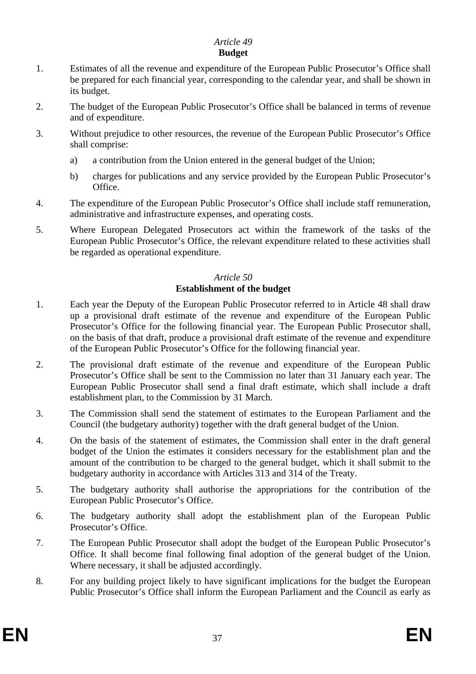#### *Article 49*  **Budget**

- 1. Estimates of all the revenue and expenditure of the European Public Prosecutor's Office shall be prepared for each financial year, corresponding to the calendar year, and shall be shown in its budget.
- 2. The budget of the European Public Prosecutor's Office shall be balanced in terms of revenue and of expenditure.
- 3. Without prejudice to other resources, the revenue of the European Public Prosecutor's Office shall comprise:
	- a) a contribution from the Union entered in the general budget of the Union;
	- b) charges for publications and any service provided by the European Public Prosecutor's Office.
- 4. The expenditure of the European Public Prosecutor's Office shall include staff remuneration, administrative and infrastructure expenses, and operating costs.
- 5. Where European Delegated Prosecutors act within the framework of the tasks of the European Public Prosecutor's Office, the relevant expenditure related to these activities shall be regarded as operational expenditure.

### *Article 50*  **Establishment of the budget**

- 1. Each year the Deputy of the European Public Prosecutor referred to in Article 48 shall draw up a provisional draft estimate of the revenue and expenditure of the European Public Prosecutor's Office for the following financial year. The European Public Prosecutor shall, on the basis of that draft, produce a provisional draft estimate of the revenue and expenditure of the European Public Prosecutor's Office for the following financial year.
- 2. The provisional draft estimate of the revenue and expenditure of the European Public Prosecutor's Office shall be sent to the Commission no later than 31 January each year. The European Public Prosecutor shall send a final draft estimate, which shall include a draft establishment plan, to the Commission by 31 March.
- 3. The Commission shall send the statement of estimates to the European Parliament and the Council (the budgetary authority) together with the draft general budget of the Union.
- 4. On the basis of the statement of estimates, the Commission shall enter in the draft general budget of the Union the estimates it considers necessary for the establishment plan and the amount of the contribution to be charged to the general budget, which it shall submit to the budgetary authority in accordance with Articles 313 and 314 of the Treaty.
- 5. The budgetary authority shall authorise the appropriations for the contribution of the European Public Prosecutor's Office.
- 6. The budgetary authority shall adopt the establishment plan of the European Public Prosecutor's Office.
- 7. The European Public Prosecutor shall adopt the budget of the European Public Prosecutor's Office. It shall become final following final adoption of the general budget of the Union. Where necessary, it shall be adjusted accordingly.
- 8. For any building project likely to have significant implications for the budget the European Public Prosecutor's Office shall inform the European Parliament and the Council as early as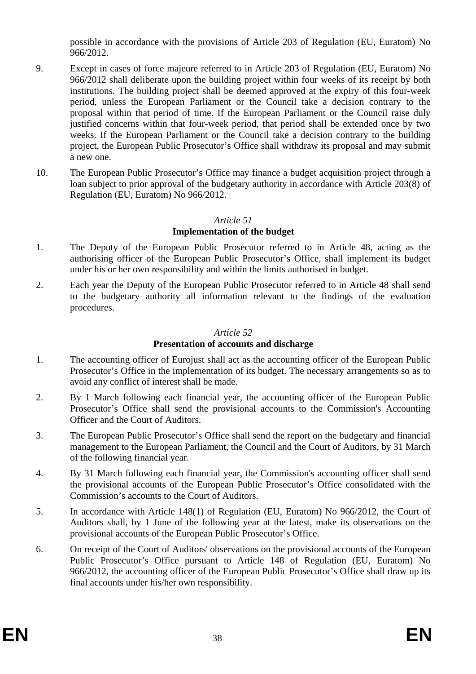possible in accordance with the provisions of Article 203 of Regulation (EU, Euratom) No 966/2012.

- 9. Except in cases of force majeure referred to in Article 203 of Regulation (EU, Euratom) No 966/2012 shall deliberate upon the building project within four weeks of its receipt by both institutions. The building project shall be deemed approved at the expiry of this four-week period, unless the European Parliament or the Council take a decision contrary to the proposal within that period of time. If the European Parliament or the Council raise duly justified concerns within that four-week period, that period shall be extended once by two weeks. If the European Parliament or the Council take a decision contrary to the building project, the European Public Prosecutor's Office shall withdraw its proposal and may submit a new one.
- 10. The European Public Prosecutor's Office may finance a budget acquisition project through a loan subject to prior approval of the budgetary authority in accordance with Article 203(8) of Regulation (EU, Euratom) No 966/2012.

### *Article 51*

### **Implementation of the budget**

- 1. The Deputy of the European Public Prosecutor referred to in Article 48, acting as the authorising officer of the European Public Prosecutor's Office, shall implement its budget under his or her own responsibility and within the limits authorised in budget.
- 2. Each year the Deputy of the European Public Prosecutor referred to in Article 48 shall send to the budgetary authority all information relevant to the findings of the evaluation procedures.

#### *Article 52*

### **Presentation of accounts and discharge**

- 1. The accounting officer of Eurojust shall act as the accounting officer of the European Public Prosecutor's Office in the implementation of its budget. The necessary arrangements so as to avoid any conflict of interest shall be made.
- 2. By 1 March following each financial year, the accounting officer of the European Public Prosecutor's Office shall send the provisional accounts to the Commission's Accounting Officer and the Court of Auditors.
- 3. The European Public Prosecutor's Office shall send the report on the budgetary and financial management to the European Parliament, the Council and the Court of Auditors, by 31 March of the following financial year.
- 4. By 31 March following each financial year, the Commission's accounting officer shall send the provisional accounts of the European Public Prosecutor's Office consolidated with the Commission's accounts to the Court of Auditors.
- 5. In accordance with Article 148(1) of Regulation (EU, Euratom) No 966/2012, the Court of Auditors shall, by 1 June of the following year at the latest, make its observations on the provisional accounts of the European Public Prosecutor's Office.
- 6. On receipt of the Court of Auditors' observations on the provisional accounts of the European Public Prosecutor's Office pursuant to Article 148 of Regulation (EU, Euratom) No 966/2012, the accounting officer of the European Public Prosecutor's Office shall draw up its final accounts under his/her own responsibility.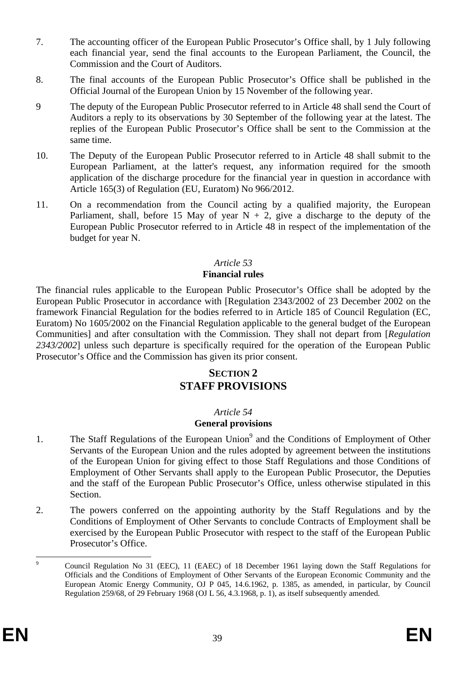- 7. The accounting officer of the European Public Prosecutor's Office shall, by 1 July following each financial year, send the final accounts to the European Parliament, the Council, the Commission and the Court of Auditors.
- 8. The final accounts of the European Public Prosecutor's Office shall be published in the Official Journal of the European Union by 15 November of the following year.
- 9 The deputy of the European Public Prosecutor referred to in Article 48 shall send the Court of Auditors a reply to its observations by 30 September of the following year at the latest. The replies of the European Public Prosecutor's Office shall be sent to the Commission at the same time.
- 10. The Deputy of the European Public Prosecutor referred to in Article 48 shall submit to the European Parliament, at the latter's request, any information required for the smooth application of the discharge procedure for the financial year in question in accordance with Article 165(3) of Regulation (EU, Euratom) No 966/2012.
- 11. On a recommendation from the Council acting by a qualified majority, the European Parliament, shall, before 15 May of year  $N + 2$ , give a discharge to the deputy of the European Public Prosecutor referred to in Article 48 in respect of the implementation of the budget for year N.

# *Article 53*

# **Financial rules**

The financial rules applicable to the European Public Prosecutor's Office shall be adopted by the European Public Prosecutor in accordance with [Regulation 2343/2002 of 23 December 2002 on the framework Financial Regulation for the bodies referred to in Article 185 of Council Regulation (EC, Euratom) No 1605/2002 on the Financial Regulation applicable to the general budget of the European Communities] and after consultation with the Commission. They shall not depart from [*Regulation 2343/2002*] unless such departure is specifically required for the operation of the European Public Prosecutor's Office and the Commission has given its prior consent.

# **SECTION 2 STAFF PROVISIONS**

# *Article 54*

# **General provisions**

- 1. The Staff Regulations of the European Union<sup>9</sup> and the Conditions of Employment of Other Servants of the European Union and the rules adopted by agreement between the institutions of the European Union for giving effect to those Staff Regulations and those Conditions of Employment of Other Servants shall apply to the European Public Prosecutor, the Deputies and the staff of the European Public Prosecutor's Office, unless otherwise stipulated in this Section.
- 2. The powers conferred on the appointing authority by the Staff Regulations and by the Conditions of Employment of Other Servants to conclude Contracts of Employment shall be exercised by the European Public Prosecutor with respect to the staff of the European Public Prosecutor's Office.

<sup>-&</sup>lt;br>9 Council Regulation No 31 (EEC), 11 (EAEC) of 18 December 1961 laying down the Staff Regulations for Officials and the Conditions of Employment of Other Servants of the European Economic Community and the European Atomic Energy Community, OJ P 045, 14.6.1962, p. 1385, as amended, in particular, by Council Regulation 259/68, of 29 February 1968 (OJ L 56, 4.3.1968, p. 1), as itself subsequently amended.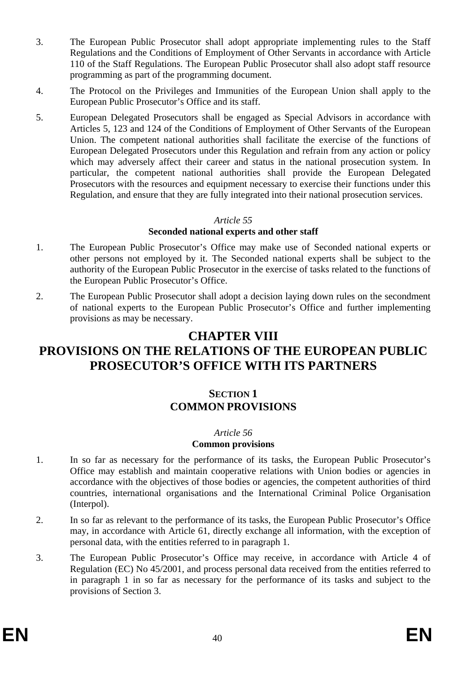- 3. The European Public Prosecutor shall adopt appropriate implementing rules to the Staff Regulations and the Conditions of Employment of Other Servants in accordance with Article 110 of the Staff Regulations. The European Public Prosecutor shall also adopt staff resource programming as part of the programming document.
- 4. The Protocol on the Privileges and Immunities of the European Union shall apply to the European Public Prosecutor's Office and its staff.
- 5. European Delegated Prosecutors shall be engaged as Special Advisors in accordance with Articles 5, 123 and 124 of the Conditions of Employment of Other Servants of the European Union. The competent national authorities shall facilitate the exercise of the functions of European Delegated Prosecutors under this Regulation and refrain from any action or policy which may adversely affect their career and status in the national prosecution system. In particular, the competent national authorities shall provide the European Delegated Prosecutors with the resources and equipment necessary to exercise their functions under this Regulation, and ensure that they are fully integrated into their national prosecution services.

### *Article 55*

### **Seconded national experts and other staff**

- 1. The European Public Prosecutor's Office may make use of Seconded national experts or other persons not employed by it. The Seconded national experts shall be subject to the authority of the European Public Prosecutor in the exercise of tasks related to the functions of the European Public Prosecutor's Office.
- 2. The European Public Prosecutor shall adopt a decision laying down rules on the secondment of national experts to the European Public Prosecutor's Office and further implementing provisions as may be necessary.

# **CHAPTER VIII**

# **PROVISIONS ON THE RELATIONS OF THE EUROPEAN PUBLIC PROSECUTOR'S OFFICE WITH ITS PARTNERS**

# **SECTION 1 COMMON PROVISIONS**

### *Article 56*

# **Common provisions**

- 1. In so far as necessary for the performance of its tasks, the European Public Prosecutor's Office may establish and maintain cooperative relations with Union bodies or agencies in accordance with the objectives of those bodies or agencies, the competent authorities of third countries, international organisations and the International Criminal Police Organisation (Interpol).
- 2. In so far as relevant to the performance of its tasks, the European Public Prosecutor's Office may, in accordance with Article 61, directly exchange all information, with the exception of personal data, with the entities referred to in paragraph 1.
- 3. The European Public Prosecutor's Office may receive, in accordance with Article 4 of Regulation (EC) No 45/2001, and process personal data received from the entities referred to in paragraph 1 in so far as necessary for the performance of its tasks and subject to the provisions of Section 3.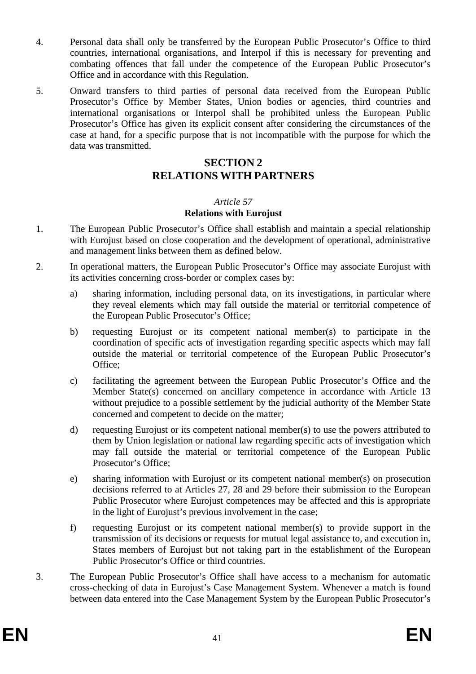- 4. Personal data shall only be transferred by the European Public Prosecutor's Office to third countries, international organisations, and Interpol if this is necessary for preventing and combating offences that fall under the competence of the European Public Prosecutor's Office and in accordance with this Regulation.
- 5. Onward transfers to third parties of personal data received from the European Public Prosecutor's Office by Member States, Union bodies or agencies, third countries and international organisations or Interpol shall be prohibited unless the European Public Prosecutor's Office has given its explicit consent after considering the circumstances of the case at hand, for a specific purpose that is not incompatible with the purpose for which the data was transmitted.

# **SECTION 2 RELATIONS WITH PARTNERS**

# *Article 57*  **Relations with Eurojust**

- 1. The European Public Prosecutor's Office shall establish and maintain a special relationship with Eurojust based on close cooperation and the development of operational, administrative and management links between them as defined below.
- 2. In operational matters, the European Public Prosecutor's Office may associate Eurojust with its activities concerning cross-border or complex cases by:
	- a) sharing information, including personal data, on its investigations, in particular where they reveal elements which may fall outside the material or territorial competence of the European Public Prosecutor's Office;
	- b) requesting Eurojust or its competent national member(s) to participate in the coordination of specific acts of investigation regarding specific aspects which may fall outside the material or territorial competence of the European Public Prosecutor's Office;
	- c) facilitating the agreement between the European Public Prosecutor's Office and the Member State(s) concerned on ancillary competence in accordance with Article 13 without prejudice to a possible settlement by the judicial authority of the Member State concerned and competent to decide on the matter;
	- d) requesting Eurojust or its competent national member(s) to use the powers attributed to them by Union legislation or national law regarding specific acts of investigation which may fall outside the material or territorial competence of the European Public Prosecutor's Office;
	- e) sharing information with Eurojust or its competent national member(s) on prosecution decisions referred to at Articles 27, 28 and 29 before their submission to the European Public Prosecutor where Eurojust competences may be affected and this is appropriate in the light of Eurojust's previous involvement in the case;
	- f) requesting Eurojust or its competent national member(s) to provide support in the transmission of its decisions or requests for mutual legal assistance to, and execution in, States members of Eurojust but not taking part in the establishment of the European Public Prosecutor's Office or third countries.
- 3. The European Public Prosecutor's Office shall have access to a mechanism for automatic cross-checking of data in Eurojust's Case Management System. Whenever a match is found between data entered into the Case Management System by the European Public Prosecutor's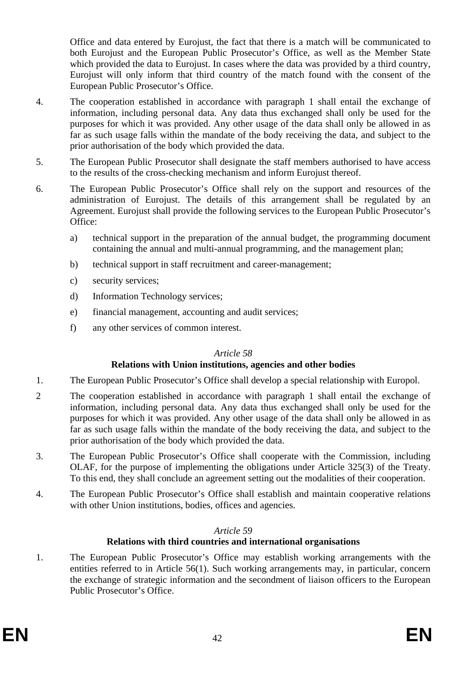Office and data entered by Eurojust, the fact that there is a match will be communicated to both Eurojust and the European Public Prosecutor's Office, as well as the Member State which provided the data to Eurojust. In cases where the data was provided by a third country, Eurojust will only inform that third country of the match found with the consent of the European Public Prosecutor's Office.

- 4. The cooperation established in accordance with paragraph 1 shall entail the exchange of information, including personal data. Any data thus exchanged shall only be used for the purposes for which it was provided. Any other usage of the data shall only be allowed in as far as such usage falls within the mandate of the body receiving the data, and subject to the prior authorisation of the body which provided the data.
- 5. The European Public Prosecutor shall designate the staff members authorised to have access to the results of the cross-checking mechanism and inform Eurojust thereof.
- 6. The European Public Prosecutor's Office shall rely on the support and resources of the administration of Eurojust. The details of this arrangement shall be regulated by an Agreement. Eurojust shall provide the following services to the European Public Prosecutor's Office:
	- a) technical support in the preparation of the annual budget, the programming document containing the annual and multi-annual programming, and the management plan;
	- b) technical support in staff recruitment and career-management;
	- c) security services;
	- d) Information Technology services;
	- e) financial management, accounting and audit services;
	- f) any other services of common interest.

### *Article 58*

### **Relations with Union institutions, agencies and other bodies**

- 1. The European Public Prosecutor's Office shall develop a special relationship with Europol.
- 2 The cooperation established in accordance with paragraph 1 shall entail the exchange of information, including personal data. Any data thus exchanged shall only be used for the purposes for which it was provided. Any other usage of the data shall only be allowed in as far as such usage falls within the mandate of the body receiving the data, and subject to the prior authorisation of the body which provided the data.
- 3. The European Public Prosecutor's Office shall cooperate with the Commission, including OLAF, for the purpose of implementing the obligations under Article 325(3) of the Treaty. To this end, they shall conclude an agreement setting out the modalities of their cooperation.
- 4. The European Public Prosecutor's Office shall establish and maintain cooperative relations with other Union institutions, bodies, offices and agencies.

### *Article 59*

# **Relations with third countries and international organisations**

1. The European Public Prosecutor's Office may establish working arrangements with the entities referred to in Article 56(1). Such working arrangements may, in particular, concern the exchange of strategic information and the secondment of liaison officers to the European Public Prosecutor's Office.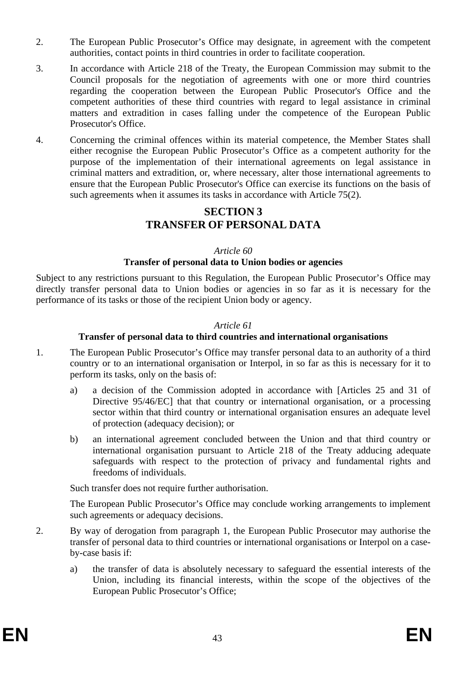- 2. The European Public Prosecutor's Office may designate, in agreement with the competent authorities, contact points in third countries in order to facilitate cooperation.
- 3. In accordance with Article 218 of the Treaty, the European Commission may submit to the Council proposals for the negotiation of agreements with one or more third countries regarding the cooperation between the European Public Prosecutor's Office and the competent authorities of these third countries with regard to legal assistance in criminal matters and extradition in cases falling under the competence of the European Public Prosecutor's Office.
- 4. Concerning the criminal offences within its material competence, the Member States shall either recognise the European Public Prosecutor's Office as a competent authority for the purpose of the implementation of their international agreements on legal assistance in criminal matters and extradition, or, where necessary, alter those international agreements to ensure that the European Public Prosecutor's Office can exercise its functions on the basis of such agreements when it assumes its tasks in accordance with Article 75(2).

# **SECTION 3 TRANSFER OF PERSONAL DATA**

### *Article 60*

### **Transfer of personal data to Union bodies or agencies**

Subject to any restrictions pursuant to this Regulation, the European Public Prosecutor's Office may directly transfer personal data to Union bodies or agencies in so far as it is necessary for the performance of its tasks or those of the recipient Union body or agency.

### *Article 61*

## **Transfer of personal data to third countries and international organisations**

- 1. The European Public Prosecutor's Office may transfer personal data to an authority of a third country or to an international organisation or Interpol, in so far as this is necessary for it to perform its tasks, only on the basis of:
	- a) a decision of the Commission adopted in accordance with [Articles 25 and 31 of Directive 95/46/EC] that that country or international organisation, or a processing sector within that third country or international organisation ensures an adequate level of protection (adequacy decision); or
	- b) an international agreement concluded between the Union and that third country or international organisation pursuant to Article 218 of the Treaty adducing adequate safeguards with respect to the protection of privacy and fundamental rights and freedoms of individuals.

Such transfer does not require further authorisation.

The European Public Prosecutor's Office may conclude working arrangements to implement such agreements or adequacy decisions.

- 2. By way of derogation from paragraph 1, the European Public Prosecutor may authorise the transfer of personal data to third countries or international organisations or Interpol on a caseby-case basis if:
	- a) the transfer of data is absolutely necessary to safeguard the essential interests of the Union, including its financial interests, within the scope of the objectives of the European Public Prosecutor's Office;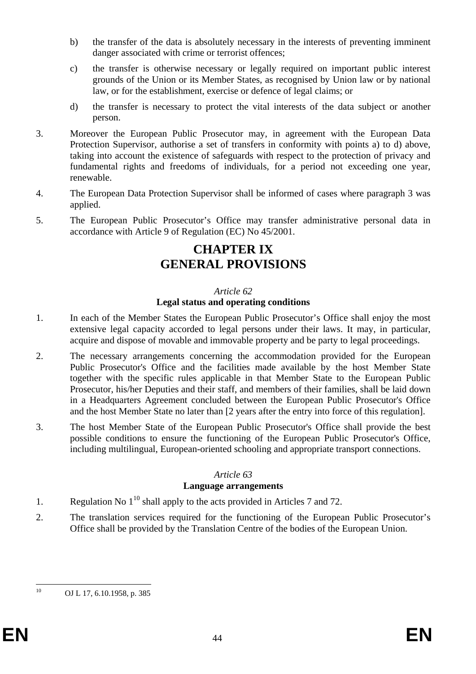- b) the transfer of the data is absolutely necessary in the interests of preventing imminent danger associated with crime or terrorist offences;
- c) the transfer is otherwise necessary or legally required on important public interest grounds of the Union or its Member States, as recognised by Union law or by national law, or for the establishment, exercise or defence of legal claims; or
- d) the transfer is necessary to protect the vital interests of the data subject or another person.
- 3. Moreover the European Public Prosecutor may, in agreement with the European Data Protection Supervisor, authorise a set of transfers in conformity with points a) to d) above, taking into account the existence of safeguards with respect to the protection of privacy and fundamental rights and freedoms of individuals, for a period not exceeding one year, renewable.
- 4. The European Data Protection Supervisor shall be informed of cases where paragraph 3 was applied.
- 5. The European Public Prosecutor's Office may transfer administrative personal data in accordance with Article 9 of Regulation (EC) No 45/2001.

# **CHAPTER IX GENERAL PROVISIONS**

### *Article 62*

# **Legal status and operating conditions**

- 1. In each of the Member States the European Public Prosecutor's Office shall enjoy the most extensive legal capacity accorded to legal persons under their laws. It may, in particular, acquire and dispose of movable and immovable property and be party to legal proceedings.
- 2. The necessary arrangements concerning the accommodation provided for the European Public Prosecutor's Office and the facilities made available by the host Member State together with the specific rules applicable in that Member State to the European Public Prosecutor, his/her Deputies and their staff, and members of their families, shall be laid down in a Headquarters Agreement concluded between the European Public Prosecutor's Office and the host Member State no later than [2 years after the entry into force of this regulation].
- 3. The host Member State of the European Public Prosecutor's Office shall provide the best possible conditions to ensure the functioning of the European Public Prosecutor's Office, including multilingual, European-oriented schooling and appropriate transport connections.

# *Article 63*

# **Language arrangements**

- 1. Regulation No  $1^{10}$  shall apply to the acts provided in Articles 7 and 72.
- 2. The translation services required for the functioning of the European Public Prosecutor's Office shall be provided by the Translation Centre of the bodies of the European Union.

 $10$ OJ L 17, 6.10.1958, p. 385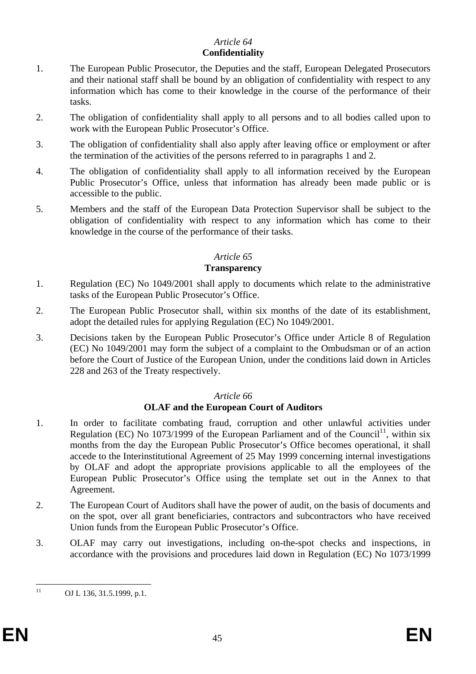#### *Article 64*  **Confidentiality**

- 1. The European Public Prosecutor, the Deputies and the staff, European Delegated Prosecutors and their national staff shall be bound by an obligation of confidentiality with respect to any information which has come to their knowledge in the course of the performance of their tasks.
- 2. The obligation of confidentiality shall apply to all persons and to all bodies called upon to work with the European Public Prosecutor's Office.
- 3. The obligation of confidentiality shall also apply after leaving office or employment or after the termination of the activities of the persons referred to in paragraphs 1 and 2.
- 4. The obligation of confidentiality shall apply to all information received by the European Public Prosecutor's Office, unless that information has already been made public or is accessible to the public.
- 5. Members and the staff of the European Data Protection Supervisor shall be subject to the obligation of confidentiality with respect to any information which has come to their knowledge in the course of the performance of their tasks.

# *Article 65*

# **Transparency**

- 1. Regulation (EC) No 1049/2001 shall apply to documents which relate to the administrative tasks of the European Public Prosecutor's Office.
- 2. The European Public Prosecutor shall, within six months of the date of its establishment, adopt the detailed rules for applying Regulation (EC) No 1049/2001.
- 3. Decisions taken by the European Public Prosecutor's Office under Article 8 of Regulation (EC) No 1049/2001 may form the subject of a complaint to the Ombudsman or of an action before the Court of Justice of the European Union, under the conditions laid down in Articles 228 and 263 of the Treaty respectively.

# *Article 66*

# **OLAF and the European Court of Auditors**

- 1. In order to facilitate combating fraud, corruption and other unlawful activities under Regulation (EC) No 1073/1999 of the European Parliament and of the Council<sup>11</sup>, within six months from the day the European Public Prosecutor's Office becomes operational, it shall accede to the Interinstitutional Agreement of 25 May 1999 concerning internal investigations by OLAF and adopt the appropriate provisions applicable to all the employees of the European Public Prosecutor's Office using the template set out in the Annex to that Agreement.
- 2. The European Court of Auditors shall have the power of audit, on the basis of documents and on the spot, over all grant beneficiaries, contractors and subcontractors who have received Union funds from the European Public Prosecutor's Office.
- 3. OLAF may carry out investigations, including on-the-spot checks and inspections, in accordance with the provisions and procedures laid down in Regulation (EC) No 1073/1999

 $11$ OJ L 136, 31.5.1999, p.1.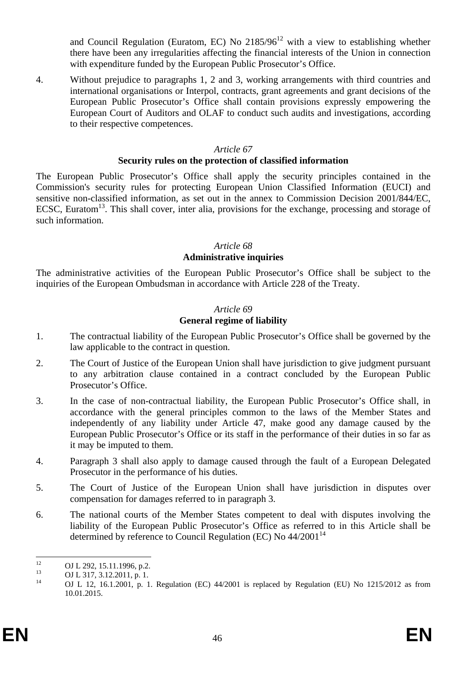and Council Regulation (Euratom, EC) No  $2185/96^{12}$  with a view to establishing whether there have been any irregularities affecting the financial interests of the Union in connection with expenditure funded by the European Public Prosecutor's Office.

4. Without prejudice to paragraphs 1, 2 and 3, working arrangements with third countries and international organisations or Interpol, contracts, grant agreements and grant decisions of the European Public Prosecutor's Office shall contain provisions expressly empowering the European Court of Auditors and OLAF to conduct such audits and investigations, according to their respective competences.

#### *Article 67*

#### **Security rules on the protection of classified information**

The European Public Prosecutor's Office shall apply the security principles contained in the Commission's security rules for protecting European Union Classified Information (EUCI) and sensitive non-classified information, as set out in the annex to Commission Decision 2001/844/EC, ECSC, Euratom<sup>13</sup>. This shall cover, inter alia, provisions for the exchange, processing and storage of such information.

#### *Article 68*

#### **Administrative inquiries**

The administrative activities of the European Public Prosecutor's Office shall be subject to the inquiries of the European Ombudsman in accordance with Article 228 of the Treaty.

### *Article 69*

### **General regime of liability**

- 1. The contractual liability of the European Public Prosecutor's Office shall be governed by the law applicable to the contract in question.
- 2. The Court of Justice of the European Union shall have jurisdiction to give judgment pursuant to any arbitration clause contained in a contract concluded by the European Public Prosecutor's Office.
- 3. In the case of non-contractual liability, the European Public Prosecutor's Office shall, in accordance with the general principles common to the laws of the Member States and independently of any liability under Article 47, make good any damage caused by the European Public Prosecutor's Office or its staff in the performance of their duties in so far as it may be imputed to them.
- 4. Paragraph 3 shall also apply to damage caused through the fault of a European Delegated Prosecutor in the performance of his duties.
- 5. The Court of Justice of the European Union shall have jurisdiction in disputes over compensation for damages referred to in paragraph 3.
- 6. The national courts of the Member States competent to deal with disputes involving the liability of the European Public Prosecutor's Office as referred to in this Article shall be determined by reference to Council Regulation (EC) No  $44/2001^{14}$

 $12$  $^{12}$  OJ L 292, 15.11.1996, p.2.<br>OJ L 317 3.12.2011 p.1

 $13$  OJ L 317, 3.12.2011, p. 1.

OJ L 12, 16.1.2001, p. 1. Regulation (EC)  $44/2001$  is replaced by Regulation (EU) No 1215/2012 as from 10.01.2015.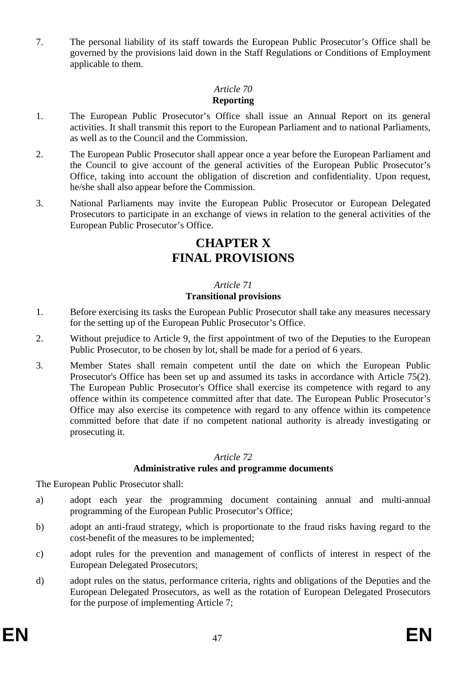7. The personal liability of its staff towards the European Public Prosecutor's Office shall be governed by the provisions laid down in the Staff Regulations or Conditions of Employment applicable to them.

# *Article 70*

# **Reporting**

- 1. The European Public Prosecutor's Office shall issue an Annual Report on its general activities. It shall transmit this report to the European Parliament and to national Parliaments, as well as to the Council and the Commission.
- 2. The European Public Prosecutor shall appear once a year before the European Parliament and the Council to give account of the general activities of the European Public Prosecutor's Office, taking into account the obligation of discretion and confidentiality. Upon request, he/she shall also appear before the Commission.
- 3. National Parliaments may invite the European Public Prosecutor or European Delegated Prosecutors to participate in an exchange of views in relation to the general activities of the European Public Prosecutor's Office.

# **CHAPTER X FINAL PROVISIONS**

### *Article 71*

### **Transitional provisions**

- 1. Before exercising its tasks the European Public Prosecutor shall take any measures necessary for the setting up of the European Public Prosecutor's Office.
- 2. Without prejudice to Article 9, the first appointment of two of the Deputies to the European Public Prosecutor, to be chosen by lot, shall be made for a period of 6 years.
- 3. Member States shall remain competent until the date on which the European Public Prosecutor's Office has been set up and assumed its tasks in accordance with Article 75(2). The European Public Prosecutor's Office shall exercise its competence with regard to any offence within its competence committed after that date. The European Public Prosecutor's Office may also exercise its competence with regard to any offence within its competence committed before that date if no competent national authority is already investigating or prosecuting it.

### *Article 72*

# **Administrative rules and programme documents**

The European Public Prosecutor shall:

- a) adopt each year the programming document containing annual and multi-annual programming of the European Public Prosecutor's Office;
- b) adopt an anti-fraud strategy, which is proportionate to the fraud risks having regard to the cost-benefit of the measures to be implemented;
- c) adopt rules for the prevention and management of conflicts of interest in respect of the European Delegated Prosecutors;
- d) adopt rules on the status, performance criteria, rights and obligations of the Deputies and the European Delegated Prosecutors, as well as the rotation of European Delegated Prosecutors for the purpose of implementing Article 7;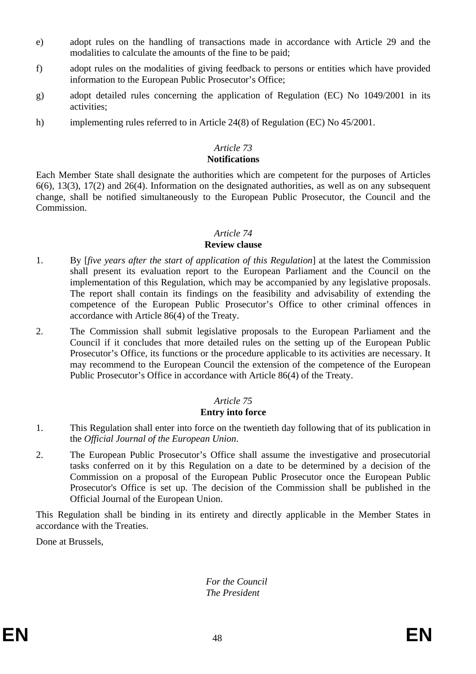- e) adopt rules on the handling of transactions made in accordance with Article 29 and the modalities to calculate the amounts of the fine to be paid;
- f) adopt rules on the modalities of giving feedback to persons or entities which have provided information to the European Public Prosecutor's Office;
- g) adopt detailed rules concerning the application of Regulation (EC) No 1049/2001 in its activities;
- h) implementing rules referred to in Article 24(8) of Regulation (EC) No 45/2001.

#### *Article 73*  **Notifications**

Each Member State shall designate the authorities which are competent for the purposes of Articles 6(6), 13(3), 17(2) and 26(4). Information on the designated authorities, as well as on any subsequent change, shall be notified simultaneously to the European Public Prosecutor, the Council and the Commission.

### *Article 74*

### **Review clause**

- 1. By [*five years after the start of application of this Regulation*] at the latest the Commission shall present its evaluation report to the European Parliament and the Council on the implementation of this Regulation, which may be accompanied by any legislative proposals. The report shall contain its findings on the feasibility and advisability of extending the competence of the European Public Prosecutor's Office to other criminal offences in accordance with Article 86(4) of the Treaty.
- 2. The Commission shall submit legislative proposals to the European Parliament and the Council if it concludes that more detailed rules on the setting up of the European Public Prosecutor's Office, its functions or the procedure applicable to its activities are necessary. It may recommend to the European Council the extension of the competence of the European Public Prosecutor's Office in accordance with Article 86(4) of the Treaty.

# *Article 75*

# **Entry into force**

- 1. This Regulation shall enter into force on the twentieth day following that of its publication in the *Official Journal of the European Union*.
- 2. The European Public Prosecutor's Office shall assume the investigative and prosecutorial tasks conferred on it by this Regulation on a date to be determined by a decision of the Commission on a proposal of the European Public Prosecutor once the European Public Prosecutor's Office is set up. The decision of the Commission shall be published in the Official Journal of the European Union.

This Regulation shall be binding in its entirety and directly applicable in the Member States in accordance with the Treaties.

Done at Brussels,

 *For the Council The President*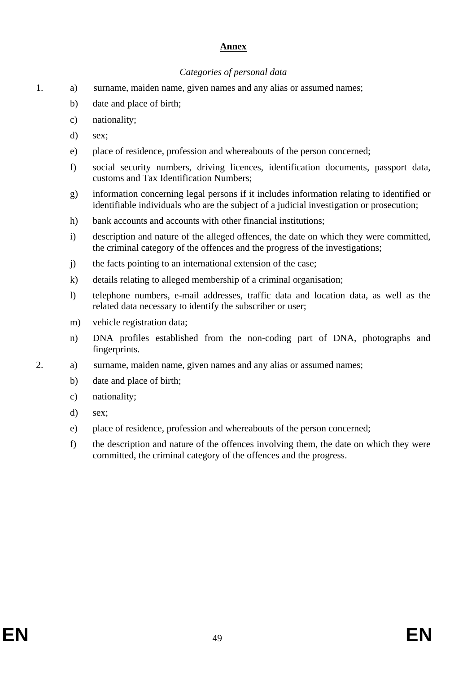## **Annex**

# *Categories of personal data*

- 1. a) surname, maiden name, given names and any alias or assumed names;
	- b) date and place of birth;
	- c) nationality;
	- d) sex;
	- e) place of residence, profession and whereabouts of the person concerned;
	- f) social security numbers, driving licences, identification documents, passport data, customs and Tax Identification Numbers;
	- g) information concerning legal persons if it includes information relating to identified or identifiable individuals who are the subject of a judicial investigation or prosecution;
	- h) bank accounts and accounts with other financial institutions;
	- i) description and nature of the alleged offences, the date on which they were committed, the criminal category of the offences and the progress of the investigations;
	- j) the facts pointing to an international extension of the case;
	- k) details relating to alleged membership of a criminal organisation;
	- l) telephone numbers, e-mail addresses, traffic data and location data, as well as the related data necessary to identify the subscriber or user;
	- m) vehicle registration data;
	- n) DNA profiles established from the non-coding part of DNA, photographs and fingerprints.
- 2. a) surname, maiden name, given names and any alias or assumed names;
	- b) date and place of birth;
	- c) nationality;
	- d) sex;
	- e) place of residence, profession and whereabouts of the person concerned;
	- f) the description and nature of the offences involving them, the date on which they were committed, the criminal category of the offences and the progress.

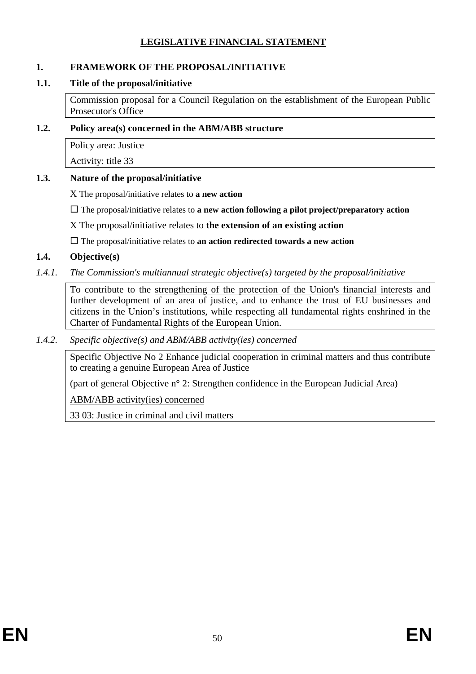# **LEGISLATIVE FINANCIAL STATEMENT**

# **1. FRAMEWORK OF THE PROPOSAL/INITIATIVE**

# **1.1. Title of the proposal/initiative**

Commission proposal for a Council Regulation on the establishment of the European Public Prosecutor's Office

# **1.2. Policy area(s) concerned in the ABM/ABB structure**

Policy area: Justice

Activity: title 33

# **1.3. Nature of the proposal/initiative**

X The proposal/initiative relates to **a new action**

The proposal/initiative relates to **a new action following a pilot project/preparatory action**

X The proposal/initiative relates to **the extension of an existing action**

The proposal/initiative relates to **an action redirected towards a new action**

# **1.4. Objective(s)**

# *1.4.1. The Commission's multiannual strategic objective(s) targeted by the proposal/initiative*

To contribute to the strengthening of the protection of the Union's financial interests and further development of an area of justice, and to enhance the trust of EU businesses and citizens in the Union's institutions, while respecting all fundamental rights enshrined in the Charter of Fundamental Rights of the European Union.

# *1.4.2. Specific objective(s) and ABM/ABB activity(ies) concerned*

Specific Objective No 2 Enhance judicial cooperation in criminal matters and thus contribute to creating a genuine European Area of Justice

(part of general Objective n° 2: Strengthen confidence in the European Judicial Area)

ABM/ABB activity(ies) concerned

33 03: Justice in criminal and civil matters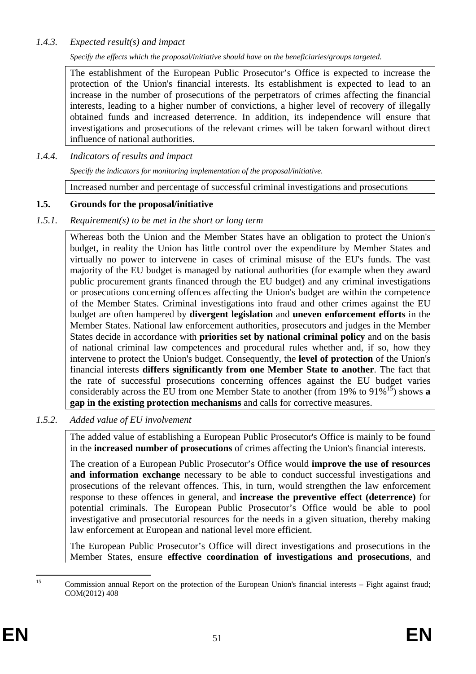# *1.4.3. Expected result(s) and impact*

*Specify the effects which the proposal/initiative should have on the beneficiaries/groups targeted.* 

The establishment of the European Public Prosecutor's Office is expected to increase the protection of the Union's financial interests. Its establishment is expected to lead to an increase in the number of prosecutions of the perpetrators of crimes affecting the financial interests, leading to a higher number of convictions, a higher level of recovery of illegally obtained funds and increased deterrence. In addition, its independence will ensure that investigations and prosecutions of the relevant crimes will be taken forward without direct influence of national authorities.

## *1.4.4. Indicators of results and impact*

*Specify the indicators for monitoring implementation of the proposal/initiative.* 

Increased number and percentage of successful criminal investigations and prosecutions

# **1.5. Grounds for the proposal/initiative**

### *1.5.1. Requirement(s) to be met in the short or long term*

Whereas both the Union and the Member States have an obligation to protect the Union's budget, in reality the Union has little control over the expenditure by Member States and virtually no power to intervene in cases of criminal misuse of the EU's funds. The vast majority of the EU budget is managed by national authorities (for example when they award public procurement grants financed through the EU budget) and any criminal investigations or prosecutions concerning offences affecting the Union's budget are within the competence of the Member States. Criminal investigations into fraud and other crimes against the EU budget are often hampered by **divergent legislation** and **uneven enforcement efforts** in the Member States. National law enforcement authorities, prosecutors and judges in the Member States decide in accordance with **priorities set by national criminal policy** and on the basis of national criminal law competences and procedural rules whether and, if so, how they intervene to protect the Union's budget. Consequently, the **level of protection** of the Union's financial interests **differs significantly from one Member State to another**. The fact that the rate of successful prosecutions concerning offences against the EU budget varies considerably across the EU from one Member State to another (from 19% to  $91\%$ <sup>15</sup>) shows **a gap in the existing protection mechanisms** and calls for corrective measures.

### *1.5.2. Added value of EU involvement*

The added value of establishing a European Public Prosecutor's Office is mainly to be found in the **increased number of prosecutions** of crimes affecting the Union's financial interests.

The creation of a European Public Prosecutor's Office would **improve the use of resources and information exchange** necessary to be able to conduct successful investigations and prosecutions of the relevant offences. This, in turn, would strengthen the law enforcement response to these offences in general, and **increase the preventive effect (deterrence)** for potential criminals. The European Public Prosecutor's Office would be able to pool investigative and prosecutorial resources for the needs in a given situation, thereby making law enforcement at European and national level more efficient.

The European Public Prosecutor's Office will direct investigations and prosecutions in the Member States, ensure **effective coordination of investigations and prosecutions**, and

 $15$ 15 Commission annual Report on the protection of the European Union's financial interests – Fight against fraud; COM(2012) 408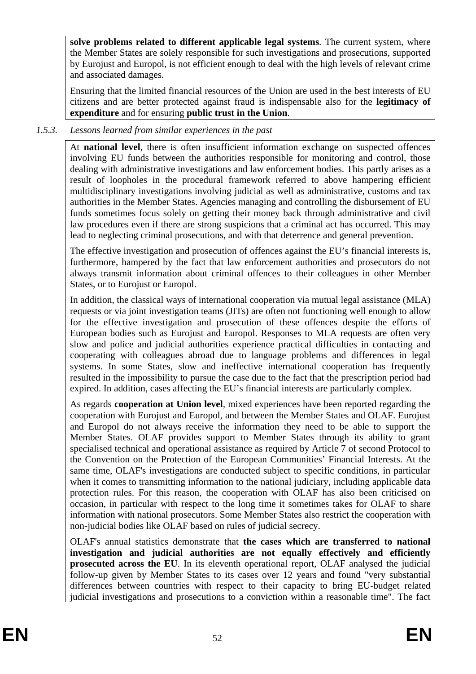**solve problems related to different applicable legal systems**. The current system, where the Member States are solely responsible for such investigations and prosecutions, supported by Eurojust and Europol, is not efficient enough to deal with the high levels of relevant crime and associated damages.

Ensuring that the limited financial resources of the Union are used in the best interests of EU citizens and are better protected against fraud is indispensable also for the **legitimacy of expenditure** and for ensuring **public trust in the Union**.

# *1.5.3. Lessons learned from similar experiences in the past*

At **national level**, there is often insufficient information exchange on suspected offences involving EU funds between the authorities responsible for monitoring and control, those dealing with administrative investigations and law enforcement bodies. This partly arises as a result of loopholes in the procedural framework referred to above hampering efficient multidisciplinary investigations involving judicial as well as administrative, customs and tax authorities in the Member States. Agencies managing and controlling the disbursement of EU funds sometimes focus solely on getting their money back through administrative and civil law procedures even if there are strong suspicions that a criminal act has occurred. This may lead to neglecting criminal prosecutions, and with that deterrence and general prevention.

The effective investigation and prosecution of offences against the EU's financial interests is, furthermore, hampered by the fact that law enforcement authorities and prosecutors do not always transmit information about criminal offences to their colleagues in other Member States, or to Eurojust or Europol.

In addition, the classical ways of international cooperation via mutual legal assistance (MLA) requests or via joint investigation teams (JITs) are often not functioning well enough to allow for the effective investigation and prosecution of these offences despite the efforts of European bodies such as Eurojust and Europol. Responses to MLA requests are often very slow and police and judicial authorities experience practical difficulties in contacting and cooperating with colleagues abroad due to language problems and differences in legal systems. In some States, slow and ineffective international cooperation has frequently resulted in the impossibility to pursue the case due to the fact that the prescription period had expired. In addition, cases affecting the EU's financial interests are particularly complex.

As regards **cooperation at Union level***,* mixed experiences have been reported regarding the cooperation with Eurojust and Europol, and between the Member States and OLAF. Eurojust and Europol do not always receive the information they need to be able to support the Member States. OLAF provides support to Member States through its ability to grant specialised technical and operational assistance as required by Article 7 of second Protocol to the Convention on the Protection of the European Communities' Financial Interests. At the same time, OLAF's investigations are conducted subject to specific conditions, in particular when it comes to transmitting information to the national judiciary, including applicable data protection rules. For this reason, the cooperation with OLAF has also been criticised on occasion, in particular with respect to the long time it sometimes takes for OLAF to share information with national prosecutors. Some Member States also restrict the cooperation with non-judicial bodies like OLAF based on rules of judicial secrecy.

OLAF's annual statistics demonstrate that **the cases which are transferred to national investigation and judicial authorities are not equally effectively and efficiently prosecuted across the EU**. In its eleventh operational report, OLAF analysed the judicial follow-up given by Member States to its cases over 12 years and found "very substantial differences between countries with respect to their capacity to bring EU-budget related judicial investigations and prosecutions to a conviction within a reasonable time". The fact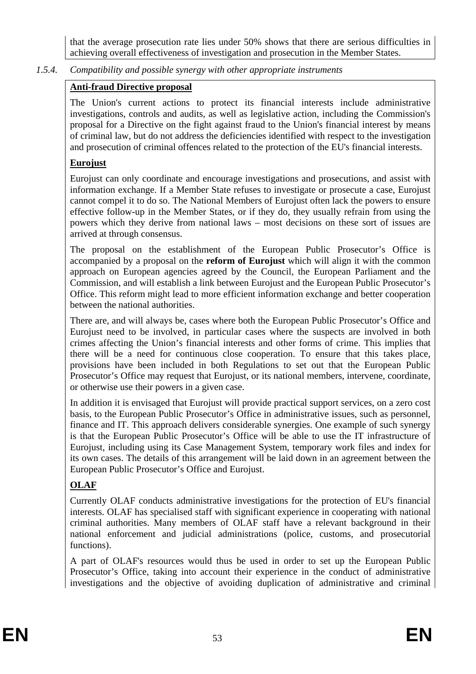that the average prosecution rate lies under 50% shows that there are serious difficulties in achieving overall effectiveness of investigation and prosecution in the Member States.

# *1.5.4. Compatibility and possible synergy with other appropriate instruments*

# **Anti-fraud Directive proposal**

The Union's current actions to protect its financial interests include administrative investigations, controls and audits, as well as legislative action, including the Commission's proposal for a Directive on the fight against fraud to the Union's financial interest by means of criminal law, but do not address the deficiencies identified with respect to the investigation and prosecution of criminal offences related to the protection of the EU's financial interests.

# **Eurojust**

Eurojust can only coordinate and encourage investigations and prosecutions, and assist with information exchange. If a Member State refuses to investigate or prosecute a case, Eurojust cannot compel it to do so. The National Members of Eurojust often lack the powers to ensure effective follow-up in the Member States, or if they do, they usually refrain from using the powers which they derive from national laws – most decisions on these sort of issues are arrived at through consensus.

The proposal on the establishment of the European Public Prosecutor's Office is accompanied by a proposal on the **reform of Eurojust** which will align it with the common approach on European agencies agreed by the Council, the European Parliament and the Commission, and will establish a link between Eurojust and the European Public Prosecutor's Office. This reform might lead to more efficient information exchange and better cooperation between the national authorities.

There are, and will always be, cases where both the European Public Prosecutor's Office and Eurojust need to be involved, in particular cases where the suspects are involved in both crimes affecting the Union's financial interests and other forms of crime. This implies that there will be a need for continuous close cooperation. To ensure that this takes place, provisions have been included in both Regulations to set out that the European Public Prosecutor's Office may request that Eurojust, or its national members, intervene, coordinate, or otherwise use their powers in a given case.

In addition it is envisaged that Eurojust will provide practical support services, on a zero cost basis, to the European Public Prosecutor's Office in administrative issues, such as personnel, finance and IT. This approach delivers considerable synergies. One example of such synergy is that the European Public Prosecutor's Office will be able to use the IT infrastructure of Eurojust, including using its Case Management System, temporary work files and index for its own cases. The details of this arrangement will be laid down in an agreement between the European Public Prosecutor's Office and Eurojust.

# **OLAF**

Currently OLAF conducts administrative investigations for the protection of EU's financial interests. OLAF has specialised staff with significant experience in cooperating with national criminal authorities. Many members of OLAF staff have a relevant background in their national enforcement and judicial administrations (police, customs, and prosecutorial functions).

A part of OLAF's resources would thus be used in order to set up the European Public Prosecutor's Office, taking into account their experience in the conduct of administrative investigations and the objective of avoiding duplication of administrative and criminal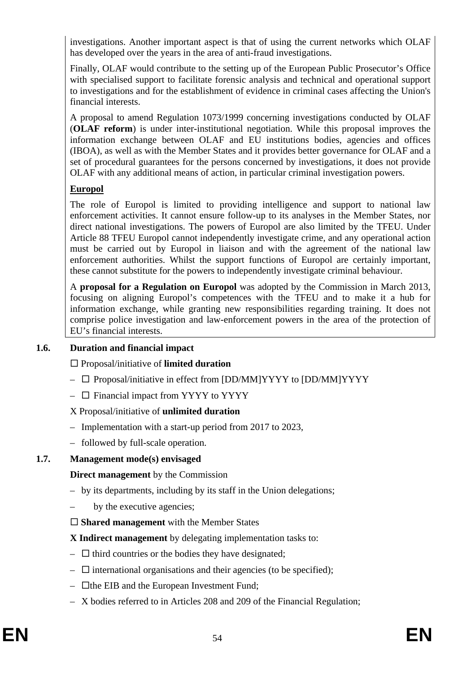investigations. Another important aspect is that of using the current networks which OLAF has developed over the years in the area of anti-fraud investigations.

Finally, OLAF would contribute to the setting up of the European Public Prosecutor's Office with specialised support to facilitate forensic analysis and technical and operational support to investigations and for the establishment of evidence in criminal cases affecting the Union's financial interests.

A proposal to amend Regulation 1073/1999 concerning investigations conducted by OLAF (**OLAF reform**) is under inter-institutional negotiation. While this proposal improves the information exchange between OLAF and EU institutions bodies, agencies and offices (IBOA), as well as with the Member States and it provides better governance for OLAF and a set of procedural guarantees for the persons concerned by investigations, it does not provide OLAF with any additional means of action, in particular criminal investigation powers.

# **Europol**

The role of Europol is limited to providing intelligence and support to national law enforcement activities. It cannot ensure follow-up to its analyses in the Member States, nor direct national investigations. The powers of Europol are also limited by the TFEU. Under Article 88 TFEU Europol cannot independently investigate crime, and any operational action must be carried out by Europol in liaison and with the agreement of the national law enforcement authorities. Whilst the support functions of Europol are certainly important, these cannot substitute for the powers to independently investigate criminal behaviour.

A **proposal for a Regulation on Europol** was adopted by the Commission in March 2013, focusing on aligning Europol's competences with the TFEU and to make it a hub for information exchange, while granting new responsibilities regarding training. It does not comprise police investigation and law-enforcement powers in the area of the protection of EU's financial interests.

# **1.6. Duration and financial impact**

# Proposal/initiative of **limited duration**

- $\Box$  Proposal/initiative in effect from [DD/MM]YYYY to [DD/MM]YYYY
- $\Box$  Financial impact from YYYY to YYYY

# X Proposal/initiative of **unlimited duration**

- Implementation with a start-up period from 2017 to 2023,
- followed by full-scale operation.

# **1.7. Management mode(s) envisaged**

**Direct management** by the Commission

- by its departments, including by its staff in the Union delegations;
- by the executive agencies;
- **Shared management** with the Member States

# **X Indirect management** by delegating implementation tasks to:

- $\Box$  third countries or the bodies they have designated;
- $\Box$  international organisations and their agencies (to be specified);
- $\Box$  the EIB and the European Investment Fund;
- X bodies referred to in Articles 208 and 209 of the Financial Regulation;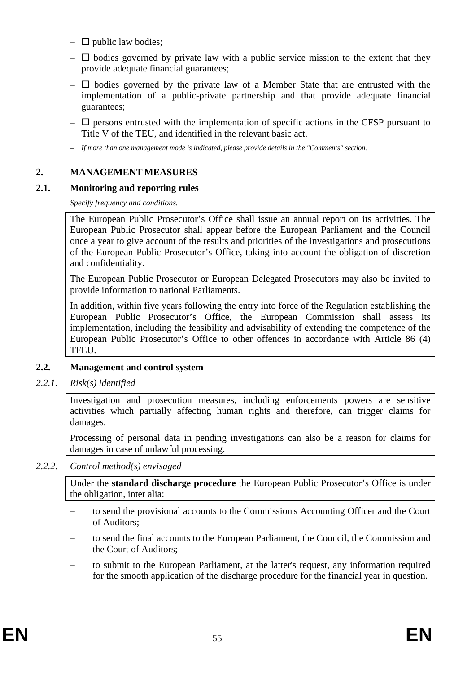- $\Box$  public law bodies;
- $\Box$  bodies governed by private law with a public service mission to the extent that they provide adequate financial guarantees;
- $\Box$  bodies governed by the private law of a Member State that are entrusted with the implementation of a public-private partnership and that provide adequate financial guarantees;
- $\Box$  persons entrusted with the implementation of specific actions in the CFSP pursuant to Title V of the TEU, and identified in the relevant basic act.
- *If more than one management mode is indicated, please provide details in the "Comments" section.*

# **2. MANAGEMENT MEASURES**

# **2.1. Monitoring and reporting rules**

*Specify frequency and conditions.* 

The European Public Prosecutor's Office shall issue an annual report on its activities. The European Public Prosecutor shall appear before the European Parliament and the Council once a year to give account of the results and priorities of the investigations and prosecutions of the European Public Prosecutor's Office, taking into account the obligation of discretion and confidentiality.

The European Public Prosecutor or European Delegated Prosecutors may also be invited to provide information to national Parliaments.

In addition, within five years following the entry into force of the Regulation establishing the European Public Prosecutor's Office, the European Commission shall assess its implementation, including the feasibility and advisability of extending the competence of the European Public Prosecutor's Office to other offences in accordance with Article 86 (4) TFEU.

# **2.2. Management and control system**

*2.2.1. Risk(s) identified* 

Investigation and prosecution measures, including enforcements powers are sensitive activities which partially affecting human rights and therefore, can trigger claims for damages.

Processing of personal data in pending investigations can also be a reason for claims for damages in case of unlawful processing.

### *2.2.2. Control method(s) envisaged*

Under the **standard discharge procedure** the European Public Prosecutor's Office is under the obligation, inter alia:

- to send the provisional accounts to the Commission's Accounting Officer and the Court of Auditors;
- to send the final accounts to the European Parliament, the Council, the Commission and the Court of Auditors;
- to submit to the European Parliament, at the latter's request, any information required for the smooth application of the discharge procedure for the financial year in question.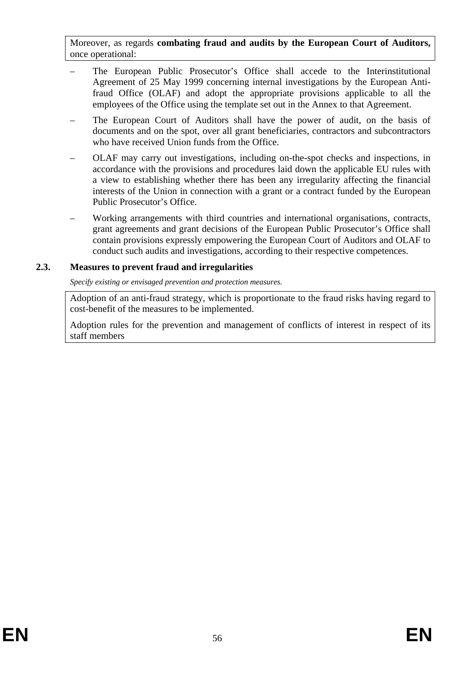Moreover, as regards **combating fraud and audits by the European Court of Auditors,**  once operational:

- The European Public Prosecutor's Office shall accede to the Interinstitutional Agreement of 25 May 1999 concerning internal investigations by the European Antifraud Office (OLAF) and adopt the appropriate provisions applicable to all the employees of the Office using the template set out in the Annex to that Agreement.
- The European Court of Auditors shall have the power of audit, on the basis of documents and on the spot, over all grant beneficiaries, contractors and subcontractors who have received Union funds from the Office.
- OLAF may carry out investigations, including on-the-spot checks and inspections, in accordance with the provisions and procedures laid down the applicable EU rules with a view to establishing whether there has been any irregularity affecting the financial interests of the Union in connection with a grant or a contract funded by the European Public Prosecutor's Office.
- Working arrangements with third countries and international organisations, contracts, grant agreements and grant decisions of the European Public Prosecutor's Office shall contain provisions expressly empowering the European Court of Auditors and OLAF to conduct such audits and investigations, according to their respective competences.

### **2.3. Measures to prevent fraud and irregularities**

*Specify existing or envisaged prevention and protection measures.* 

Adoption of an anti-fraud strategy, which is proportionate to the fraud risks having regard to cost-benefit of the measures to be implemented.

Adoption rules for the prevention and management of conflicts of interest in respect of its staff members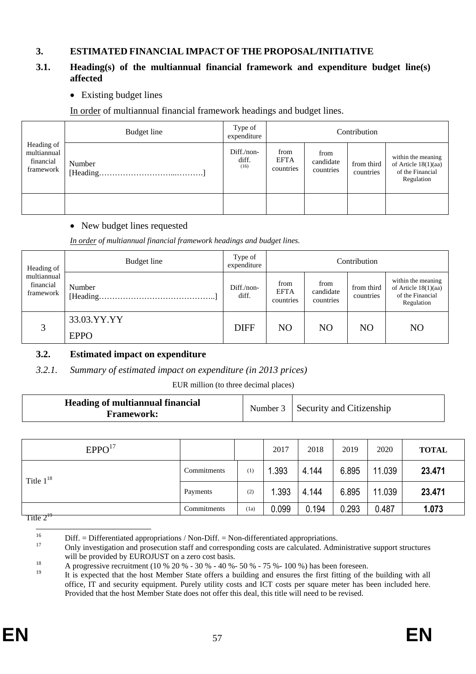### **3. ESTIMATED FINANCIAL IMPACT OF THE PROPOSAL/INITIATIVE**

### **3.1. Heading(s) of the multiannual financial framework and expenditure budget line(s) affected**

• Existing budget lines

In order of multiannual financial framework headings and budget lines.

|                                                     | Budget line           | Type of<br>expenditure        |                                  |                                | Contribution            |                                                                                |
|-----------------------------------------------------|-----------------------|-------------------------------|----------------------------------|--------------------------------|-------------------------|--------------------------------------------------------------------------------|
| Heading of<br>multiannual<br>financial<br>framework | Number<br>$[Heading.$ | $Diff./non-$<br>diff.<br>(16) | from<br><b>EFTA</b><br>countries | from<br>candidate<br>countries | from third<br>countries | within the meaning<br>of Article $18(1)(aa)$<br>of the Financial<br>Regulation |
|                                                     |                       |                               |                                  |                                |                         |                                                                                |

#### • New budget lines requested

*In order of multiannual financial framework headings and budget lines.* 

| Heading of                                      | Budget line                | Type of<br>expenditure | Contribution                     |                                |                         |                                                                                |
|-------------------------------------------------|----------------------------|------------------------|----------------------------------|--------------------------------|-------------------------|--------------------------------------------------------------------------------|
| multiannual<br>financial<br>Number<br>framework |                            | Diff./non-<br>diff.    | from<br><b>EFTA</b><br>countries | from<br>candidate<br>countries | from third<br>countries | within the meaning<br>of Article $18(1)(aa)$<br>of the Financial<br>Regulation |
| 3                                               | 33.03.YY.YY<br><b>EPPO</b> | <b>DIFF</b>            | N <sub>O</sub>                   | N <sub>O</sub>                 | N <sub>O</sub>          | NO                                                                             |

### **3.2. Estimated impact on expenditure**

#### *3.2.1. Summary of estimated impact on expenditure (in 2013 prices)*

EUR million (to three decimal places)

| <b>Heading of multiannual financial</b><br>Framework: |  | Number 3 Security and Citizenship |
|-------------------------------------------------------|--|-----------------------------------|
|-------------------------------------------------------|--|-----------------------------------|

| EPPO <sup>17</sup>                               |             |      | 2017  | 2018  | 2019  | 2020   | <b>TOTAL</b> |
|--------------------------------------------------|-------------|------|-------|-------|-------|--------|--------------|
| Title $1^{18}$                                   | Commitments | (1)  | 1.393 | 4.144 | 6.895 | 11.039 | 23.471       |
|                                                  | Payments    | (2)  | 1.393 | 4.144 | 6.895 | 11.039 | 23.471       |
| 1 <sub>0</sub><br>$T_{\rm H}$ $\sim$ $T_{\rm H}$ | Commitments | (1a) | 0.099 | 0.194 | 0.293 | 0.487  | 1.073        |

Title 2

 $16$ 

<sup>&</sup>lt;sup>16</sup> Diff. = Differentiated appropriations / Non-Diff. = Non-differentiated appropriations.<br><sup>17</sup> Only investigation and prosecution staff and corresponding costs are calculated. Administrative support structures

will be provided by EUROJUST on a zero cost basis.<br>
A progressive recruitment (10 % 20 % - 30 % - 40 %- 50 % - 75 %- 100 %) has been foreseen.<br>
It is expected that the best Member State offers a building and ensures the f

<sup>19</sup> It is expected that the host Member State offers a building and ensures the first fitting of the building with all office, IT and security equipment. Purely utility costs and ICT costs per square meter has been included here. Provided that the host Member State does not offer this deal, this title will need to be revised.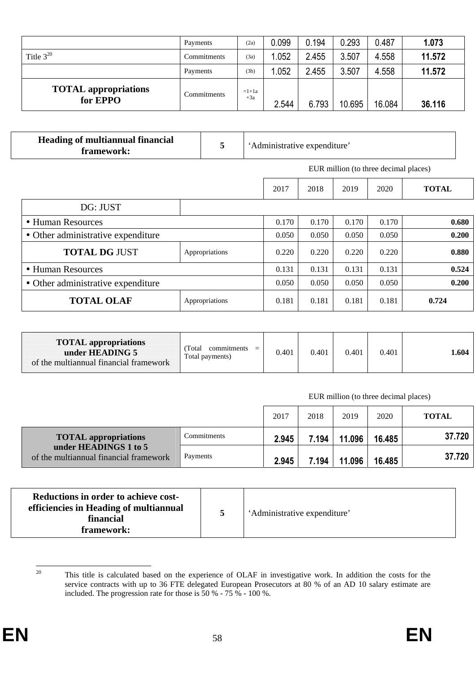|                                         | Payments    | (2a)             | 0.099 | 0.194 | 0.293  | 0.487  | 1.073  |
|-----------------------------------------|-------------|------------------|-------|-------|--------|--------|--------|
| Title $3^{20}$                          | Commitments | (3a)             | .052  | 2.455 | 3.507  | 4.558  | 11.572 |
|                                         | Payments    | (3b)             | .052  | 2.455 | 3.507  | 4.558  | 11.572 |
| <b>TOTAL</b> appropriations<br>for EPPO | Commitments | $=1+1a$<br>$+3a$ | 2.544 | 6.793 | 10.695 | 16.084 | 36.116 |

| <b>Heading of multiannual financial</b><br>framework: | 5<br>'Administrative expenditure' |  |       |       |       |                                       |              |
|-------------------------------------------------------|-----------------------------------|--|-------|-------|-------|---------------------------------------|--------------|
|                                                       |                                   |  |       |       |       | EUR million (to three decimal places) |              |
|                                                       |                                   |  | 2017  | 2018  | 2019  | 2020                                  | <b>TOTAL</b> |
| DG: JUST                                              |                                   |  |       |       |       |                                       |              |
| • Human Resources                                     |                                   |  | 0.170 | 0.170 | 0.170 | 0.170                                 | 0.680        |
| • Other administrative expenditure                    |                                   |  | 0.050 | 0.050 | 0.050 | 0.050                                 | 0.200        |
| <b>TOTAL DG JUST</b>                                  | Appropriations                    |  | 0.220 | 0.220 | 0.220 | 0.220                                 | 0.880        |
| • Human Resources                                     |                                   |  | 0.131 | 0.131 | 0.131 | 0.131                                 | 0.524        |
| • Other administrative expenditure                    |                                   |  | 0.050 | 0.050 | 0.050 | 0.050                                 | 0.200        |
| <b>TOTAL OLAF</b>                                     | Appropriations                    |  | 0.181 | 0.181 | 0.181 | 0.181                                 | 0.724        |

| <b>TOTAL</b> appropriations<br>under HEADING 5<br>of the multiannual financial framework | Total<br>commitments<br>$=$<br>Total payments) | 0.401 | 0.401 | 0.401 | 0.401 | 1.604 |
|------------------------------------------------------------------------------------------|------------------------------------------------|-------|-------|-------|-------|-------|
|------------------------------------------------------------------------------------------|------------------------------------------------|-------|-------|-------|-------|-------|

EUR million (to three decimal places)

|                                                                 |             | 2017  | 2018  | 2019   | 2020   | <b>TOTAL</b> |
|-----------------------------------------------------------------|-------------|-------|-------|--------|--------|--------------|
| <b>TOTAL</b> appropriations                                     | Commitments | 2.945 | 7.194 | 11.096 | 16.485 | 37.720       |
| under HEADINGS 1 to 5<br>of the multiannual financial framework | Payments    | 2.945 | 7.194 | 11.096 | 16.485 | 37.720       |

| Reductions in order to achieve cost-<br>efficiencies in Heading of multiannual<br>financial<br>framework: |  | 'Administrative expenditure' |
|-----------------------------------------------------------------------------------------------------------|--|------------------------------|
|-----------------------------------------------------------------------------------------------------------|--|------------------------------|

 $20\,$ This title is calculated based on the experience of OLAF in investigative work. In addition the costs for the service contracts with up to 36 FTE delegated European Prosecutors at 80 % of an AD 10 salary estimate are included. The progression rate for those is 50 % - 75 % - 100 %.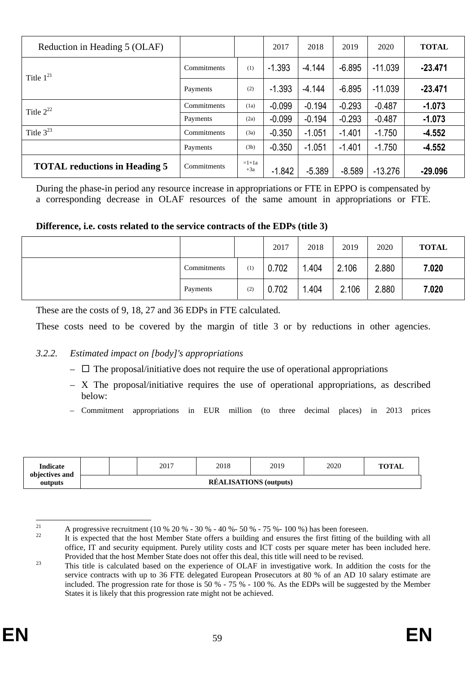| Reduction in Heading 5 (OLAF)        |             |                  | 2017     | 2018     | 2019     | 2020      | <b>TOTAL</b> |
|--------------------------------------|-------------|------------------|----------|----------|----------|-----------|--------------|
| Title $1^{21}$                       | Commitments | (1)              | $-1.393$ | $-4.144$ | $-6.895$ | $-11.039$ | $-23.471$    |
|                                      | Payments    | (2)              | $-1.393$ | $-4.144$ | $-6.895$ | $-11.039$ | $-23.471$    |
| Title $2^{22}$                       | Commitments | (1a)             | $-0.099$ | $-0.194$ | $-0.293$ | $-0.487$  | $-1.073$     |
|                                      | Payments    | (2a)             | $-0.099$ | $-0.194$ | $-0.293$ | $-0.487$  | $-1.073$     |
| Title $3^{23}$                       | Commitments | (3a)             | $-0.350$ | $-1.051$ | $-1.401$ | $-1.750$  | $-4.552$     |
|                                      | Payments    | (3b)             | $-0.350$ | $-1.051$ | $-1.401$ | $-1.750$  | $-4.552$     |
| <b>TOTAL reductions in Heading 5</b> | Commitments | $=1+1a$<br>$+3a$ | $-1.842$ | $-5.389$ | $-8.589$ | $-13.276$ | $-29.096$    |

During the phase-in period any resource increase in appropriations or FTE in EPPO is compensated by a corresponding decrease in OLAF resources of the same amount in appropriations or FTE.

### **Difference, i.e. costs related to the service contracts of the EDPs (title 3)**

|             |     | 2017  | 2018                   | 2019  | 2020  | <b>TOTAL</b> |
|-------------|-----|-------|------------------------|-------|-------|--------------|
| Commitments | (1) | 0.702 | .404<br>$\overline{ }$ | 2.106 | 2.880 | 7.020        |
| Payments    | (2) | 0.702 | .404                   | 2.106 | 2.880 | 7.020        |

These are the costs of 9, 18, 27 and 36 EDPs in FTE calculated.

These costs need to be covered by the margin of title 3 or by reductions in other agencies.

### *3.2.2. Estimated impact on [body]'s appropriations*

- $\Box$  The proposal/initiative does not require the use of operational appropriations
- X The proposal/initiative requires the use of operational appropriations, as described below:
- Commitment appropriations in EUR million (to three decimal places) in 2013 prices

| Indicate<br>objectives and | 2017 | 2018                          | 2019 | 2020 | <b>TOTAL</b> |
|----------------------------|------|-------------------------------|------|------|--------------|
| outputs                    |      | <b>RÉALISATIONS</b> (outputs) |      |      |              |

 $21$ 21 A progressive recruitment (10 % 20 % - 30 % - 40 %- 50 % - 75 %- 100 %) has been foreseen.

<sup>22</sup> It is expected that the host Member State offers a building and ensures the first fitting of the building with all office, IT and security equipment. Purely utility costs and ICT costs per square meter has been included here. Provided that the host Member State does not offer this deal, this title will need to be revised.<br><sup>23</sup> This title is calculated based on the experience of OLAF in investigative work. In addition the costs for the

service contracts with up to 36 FTE delegated European Prosecutors at 80 % of an AD 10 salary estimate are included. The progression rate for those is 50 % - 75 % - 100 %. As the EDPs will be suggested by the Member States it is likely that this progression rate might not be achieved.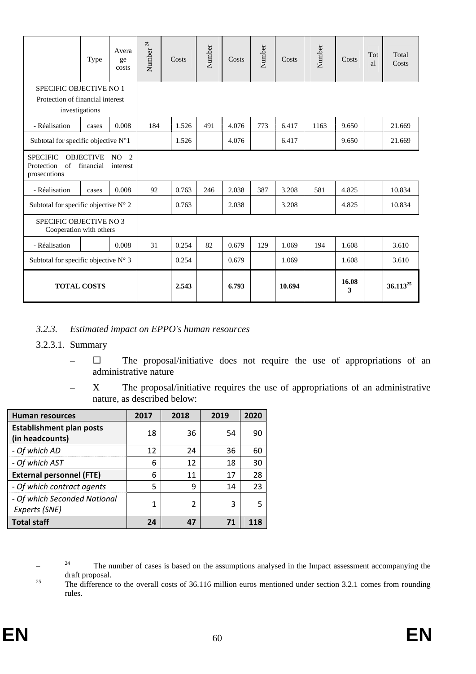|                                                             | Type                             | Avera<br>ge<br>costs              | Number <sup>24</sup> | Costs | Number | Costs | Number | Costs  | Number | Costs      | Tot<br>al | Total<br>Costs |
|-------------------------------------------------------------|----------------------------------|-----------------------------------|----------------------|-------|--------|-------|--------|--------|--------|------------|-----------|----------------|
| SPECIFIC OBJECTIVE NO 1<br>Protection of financial interest | investigations                   |                                   |                      |       |        |       |        |        |        |            |           |                |
| - Réalisation                                               | cases                            | 0.008                             | 184                  | 1.526 | 491    | 4.076 | 773    | 6.417  | 1163   | 9.650      |           | 21.669         |
| Subtotal for specific objective N°1                         |                                  |                                   |                      | 1.526 |        | 4.076 |        | 6.417  |        | 9.650      |           | 21.669         |
| <b>SPECIFIC</b><br>Protection<br>prosecutions               | <b>OBJECTIVE</b><br>of financial | $\overline{2}$<br>NO.<br>interest |                      |       |        |       |        |        |        |            |           |                |
| - Réalisation                                               | cases                            | 0.008                             | 92                   | 0.763 | 246    | 2.038 | 387    | 3.208  | 581    | 4.825      |           | 10.834         |
| Subtotal for specific objective $N^{\circ}$ 2               |                                  |                                   |                      | 0.763 |        | 2.038 |        | 3.208  |        | 4.825      |           | 10.834         |
| SPECIFIC OBJECTIVE NO 3<br>Cooperation with others          |                                  |                                   |                      |       |        |       |        |        |        |            |           |                |
| - Réalisation                                               |                                  | 0.008                             | 31                   | 0.254 | 82     | 0.679 | 129    | 1.069  | 194    | 1.608      |           | 3.610          |
| Subtotal for specific objective $N^{\circ}$ 3               |                                  |                                   |                      | 0.254 |        | 0.679 |        | 1.069  |        | 1.608      |           | 3.610          |
|                                                             | <b>TOTAL COSTS</b>               |                                   |                      | 2.543 |        | 6.793 |        | 10.694 |        | 16.08<br>3 |           | $36.113^{25}$  |

### *3.2.3. Estimated impact on EPPO's human resources*

### 3.2.3.1. Summary

- $-\Box$  The proposal/initiative does not require the use of appropriations of an administrative nature
- X The proposal/initiative requires the use of appropriations of an administrative nature, as described below:

| <b>Human resources</b>                             | 2017 | 2018 | 2019 | 2020 |
|----------------------------------------------------|------|------|------|------|
| <b>Establishment plan posts</b><br>(in headcounts) | 18   | 36   | 54   | 90   |
| - Of which AD                                      | 12   | 24   | 36   | 60   |
| - Of which AST                                     | 6    | 12   | 18   | 30   |
| <b>External personnel (FTE)</b>                    | 6    | 11   | 17   | 28   |
| - Of which contract agents                         | 5    | 9    | 14   | 23   |
| - Of which Seconded National<br>Experts (SNE)      | 1    | 2    |      |      |
| <b>Total staff</b>                                 | 24   | 47   | 71   |      |

 $\overline{a}$ <sup>24</sup> The number of cases is based on the assumptions analysed in the Impact assessment accompanying the draft proposal.<br><sup>25</sup> The difference to the overall costs of 36.116 million euros mentioned under section 3.2.1 comes from rounding

rules.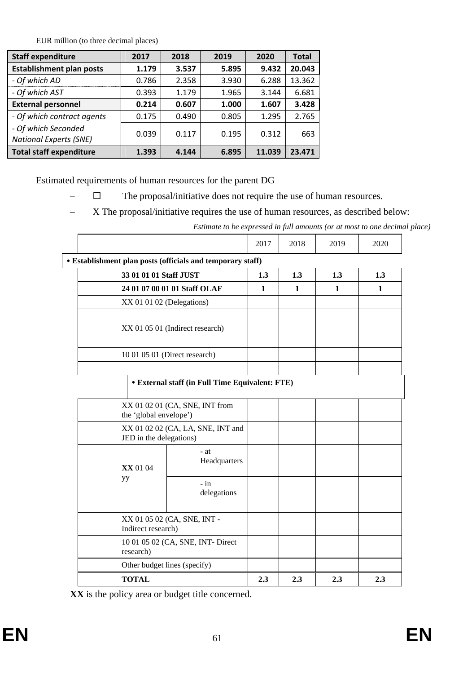EUR million (to three decimal places)

| <b>Staff expenditure</b>                             | 2017  | 2018  | 2019  | 2020   | <b>Total</b> |
|------------------------------------------------------|-------|-------|-------|--------|--------------|
| <b>Establishment plan posts</b>                      | 1.179 | 3.537 | 5.895 | 9.432  | 20.043       |
| - Of which AD                                        | 0.786 | 2.358 | 3.930 | 6.288  | 13.362       |
| - Of which AST                                       | 0.393 | 1.179 | 1.965 | 3.144  | 6.681        |
| <b>External personnel</b>                            | 0.214 | 0.607 | 1.000 | 1.607  | 3.428        |
| - Of which contract agents                           | 0.175 | 0.490 | 0.805 | 1.295  | 2.765        |
| - Of which Seconded<br><b>National Experts (SNE)</b> | 0.039 | 0.117 | 0.195 | 0.312  | 663          |
| <b>Total staff expenditure</b>                       | 1.393 | 4.144 | 6.895 | 11.039 | 23.471       |

Estimated requirements of human resources for the parent DG

- $\Box$  The proposal/initiative does not require the use of human resources.
- X The proposal/initiative requires the use of human resources, as described below:

*Estimate to be expressed in full amounts (or at most to one decimal place)* 

|                                                            |                                                          | 2017         | 2018         | 2019 | 2020         |
|------------------------------------------------------------|----------------------------------------------------------|--------------|--------------|------|--------------|
| · Establishment plan posts (officials and temporary staff) |                                                          |              |              |      |              |
| 33 01 01 01 Staff JUST                                     |                                                          | 1.3          | 1.3          | 1.3  | 1.3          |
|                                                            | 24 01 07 00 01 01 Staff OLAF                             | $\mathbf{1}$ | $\mathbf{1}$ | 1    | $\mathbf{1}$ |
| XX 01 01 02 (Delegations)                                  |                                                          |              |              |      |              |
|                                                            | XX 01 05 01 (Indirect research)                          |              |              |      |              |
| 10 01 05 01 (Direct research)                              |                                                          |              |              |      |              |
|                                                            |                                                          |              |              |      |              |
|                                                            | • External staff (in Full Time Equivalent: FTE)          |              |              |      |              |
|                                                            | XX 01 02 01 (CA, SNE, INT from<br>the 'global envelope') |              |              |      |              |
| JED in the delegations)                                    | XX 01 02 02 (CA, LA, SNE, INT and                        |              |              |      |              |
| <b>XX</b> 01 04                                            | - at<br>Headquarters                                     |              |              |      |              |
| yу                                                         | $-$ in<br>delegations                                    |              |              |      |              |
| Indirect research)                                         | XX 01 05 02 (CA, SNE, INT -                              |              |              |      |              |
| research)                                                  | 10 01 05 02 (CA, SNE, INT- Direct                        |              |              |      |              |
| Other budget lines (specify)                               |                                                          |              |              |      |              |
| <b>TOTAL</b>                                               |                                                          | 2.3          | 2.3          | 2.3  | 2.3          |

**XX** is the policy area or budget title concerned.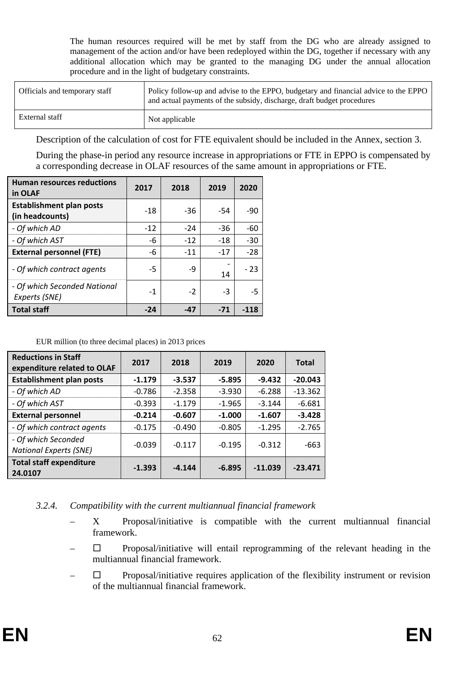The human resources required will be met by staff from the DG who are already assigned to management of the action and/or have been redeployed within the DG, together if necessary with any additional allocation which may be granted to the managing DG under the annual allocation procedure and in the light of budgetary constraints.

| Officials and temporary staff | Policy follow-up and advise to the EPPO, budgetary and financial advice to the EPPO<br>and actual payments of the subsidy, discharge, draft budget procedures |
|-------------------------------|---------------------------------------------------------------------------------------------------------------------------------------------------------------|
| External staff                | Not applicable                                                                                                                                                |

Description of the calculation of cost for FTE equivalent should be included in the Annex, section 3.

During the phase-in period any resource increase in appropriations or FTE in EPPO is compensated by a corresponding decrease in OLAF resources of the same amount in appropriations or FTE.

| <b>Human resources reductions</b><br>in OLAF       | 2017  | 2018  | 2019  | 2020   |
|----------------------------------------------------|-------|-------|-------|--------|
| <b>Establishment plan posts</b><br>(in headcounts) | $-18$ | $-36$ | -54   | -90    |
| - Of which AD                                      | $-12$ | $-24$ | $-36$ | -60    |
| - Of which AST                                     | -6    | $-12$ | $-18$ | $-30$  |
| <b>External personnel (FTE)</b>                    | -6    | $-11$ | $-17$ | $-28$  |
| - Of which contract agents                         | -5    | -9    | 14    | $-23$  |
| - Of which Seconded National<br>Experts (SNE)      | -1    | $-2$  | -3    | -5     |
| <b>Total staff</b>                                 | $-24$ | -47   | $-71$ | $-118$ |

EUR million (to three decimal places) in 2013 prices

| <b>Reductions in Staff</b><br>expenditure related to OLAF | 2017     | 2018     | 2019     | 2020      | <b>Total</b> |
|-----------------------------------------------------------|----------|----------|----------|-----------|--------------|
| <b>Establishment plan posts</b>                           | $-1.179$ | $-3.537$ | $-5.895$ | $-9.432$  | $-20.043$    |
| - Of which AD                                             | $-0.786$ | $-2.358$ | $-3.930$ | $-6.288$  | $-13.362$    |
| - Of which AST                                            | $-0.393$ | $-1.179$ | $-1.965$ | $-3.144$  | $-6.681$     |
| <b>External personnel</b>                                 | $-0.214$ | $-0.607$ | $-1.000$ | $-1.607$  | $-3.428$     |
| - Of which contract agents                                | $-0.175$ | $-0.490$ | $-0.805$ | $-1.295$  | $-2.765$     |
| - Of which Seconded<br><b>National Experts (SNE)</b>      | $-0.039$ | $-0.117$ | $-0.195$ | $-0.312$  | -663         |
| <b>Total staff expenditure</b><br>24.0107                 | $-1.393$ | $-4.144$ | $-6.895$ | $-11.039$ | $-23.471$    |

- *3.2.4. Compatibility with the current multiannual financial framework* 
	- X Proposal/initiative is compatible with the current multiannual financial framework.
	- $\Box$  Proposal/initiative will entail reprogramming of the relevant heading in the multiannual financial framework.
	- $\Box$  Proposal/initiative requires application of the flexibility instrument or revision of the multiannual financial framework.